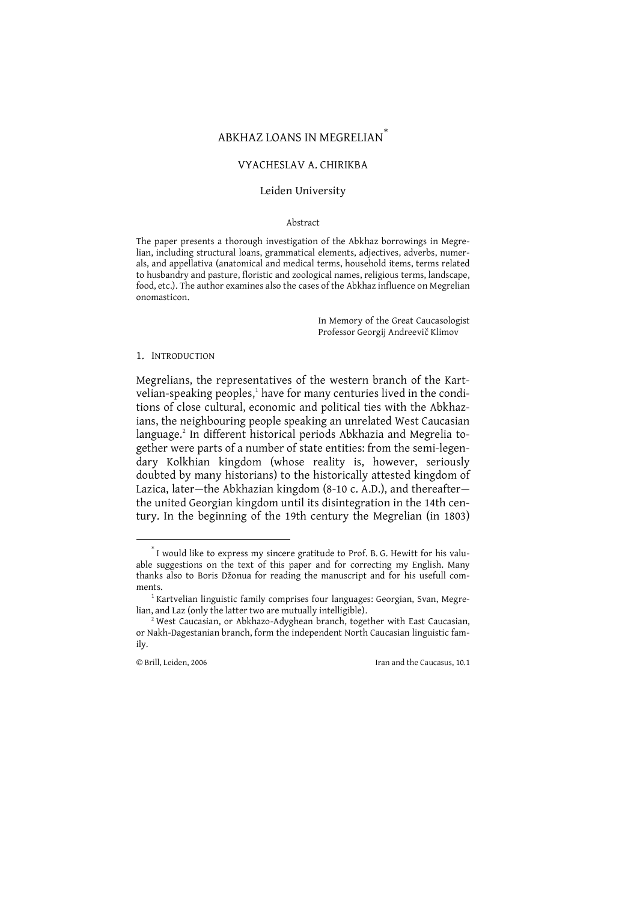# ABKHAZ LOANS IN MEGRELIAN

#### VYACHESLAV A. CHIRIKBA

### Leiden University

#### Abstract

The paper presents a thorough investigation of the Abkhaz borrowings in Megrelian, including structural loans, grammatical elements, adjectives, adverbs, numerals, and appellativa (anatomical and medical terms, household items, terms related to husbandry and pasture, floristic and zoological names, religious terms, landscape, food, etc.). The author examines also the cases of the Abkhaz influence on Megrelian onomasticon.

> In Memory of the Great Caucasologist Professor Georgij Andreevič Klimov

#### 1. INTRODUCTION

Megrelians, the representatives of the western branch of the Kartvelian-speaking peoples,<sup>1</sup> have for many centuries lived in the conditions of close cultural, economic and political ties with the Abkhazians, the neighbouring people speaking an unrelated West Caucasian language.<sup>2</sup> In different historical periods Abkhazia and Megrelia together were parts of a number of state entities: from the semi-legendary Kolkhian kingdom (whose reality is, however, seriously doubted by many historians) to the historically attested kingdom of Lazica, later-the Abkhazian kingdom (8-10 c. A.D.), and thereafterthe united Georgian kingdom until its disintegration in the 14th century. In the beginning of the 19th century the Megrelian (in 1803)

 $\degree$  I would like to express my sincere gratitude to Prof. B. G. Hewitt for his valuable suggestions on the text of this paper and for correcting my English. Many thanks also to Boris Džonua for reading the manuscript and for his usefull comments

 $1$  Kartvelian linguistic family comprises four languages: Georgian, Svan, Megrelian, and Laz (only the latter two are mutually intelligible).

<sup>&</sup>lt;sup>2</sup> West Caucasian, or Abkhazo-Adyghean branch, together with East Caucasian, or Nakh-Dagestanian branch, form the independent North Caucasian linguistic family.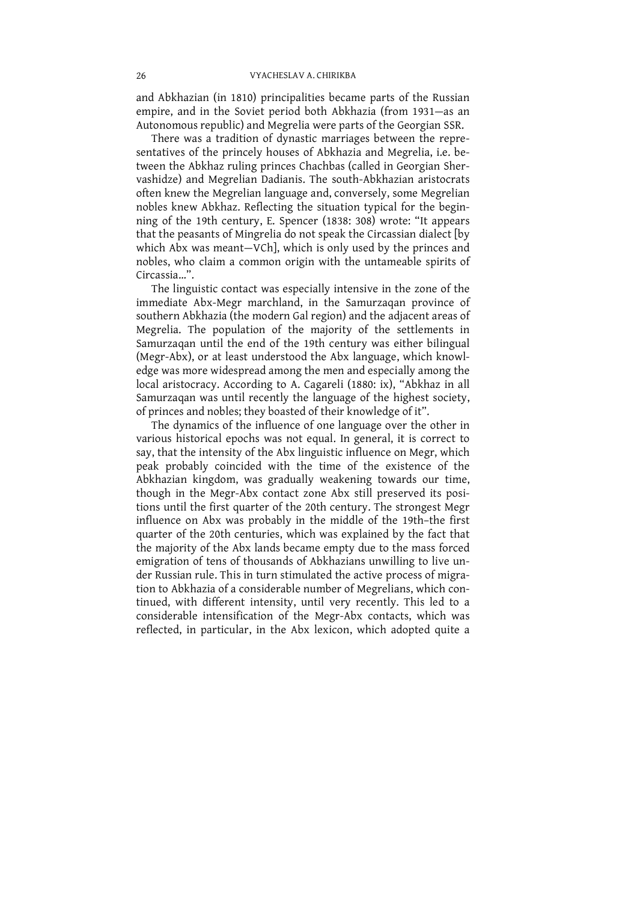and Abkhazian (in 1810) principalities became parts of the Russian empire, and in the Soviet period both Abkhazia (from 1931—as an Autonomous republic) and Megrelia were parts of the Georgian SSR.<br>There was a tradition of dynastic marriages between the representatives of the princely hous

tween the Abkhaz ruling princes Chachbas (called in Georgian Shervashidze) and Megrelian Dadianis. The south-Abkhazian aristocrats often knew the Megrelian language and, conversely, some Megrelian nobles knew Abkhaz. Reflecting the situation typical for the beginning of the 19th century, E. Spencer (1838: 308) wrote: "It appears that the peasants of Mingrelia do not speak the Circassian dialect [by which Abx was meant—VCh], which is only used by the princes and nobles, who claim a common origin with the untameable spirits of Circassia...".

Circassia... .<br>The linguistic contact was especially intensive in the zone of the<br>immediate Abx-Megr marchland, in the Samurzaqan province of<br>southern Abkhazia (the modern Gal region) and the adjacent areas of<br>Megrelia. Th  $\frac{1}{2}$  edge was more widespread among the men and especially among the local aristocracy. According to A. Cagareli (1880: ix), "Abkhaz in all Samurzaqan was until recently the language of the highest society, of princes and nobles; they boasted of their knowledge of it". The dynamics of the i

various historical epochs was not equal. In general, it is correct to say, that the intensity of the Abx linguistic influence on Megr, which peak probably coincided with the time of the existence of the Abkhazian kingdom, was gradually weakening towards our time, though in the Megr-Abx contact zone Abx still preserved its positions until the first quarter of the 20th century. The strongest Megr influence on Abx was probably in the middle of the 19th-the first quarter of the 20th centuries, which was explained by the fact that the majority of the Abx lands became empty due to the mass forced<br>emigration of tens of thousands of Abkhazians unwilling to live under Russian rule. This in turn stimulated the active process of migration to Abkhazia of a considerable number of Megrelians, which continued, with different intensity, until very recently. This led to a considerable intensification of the Megr-Abx contacts, which was reflected, in particul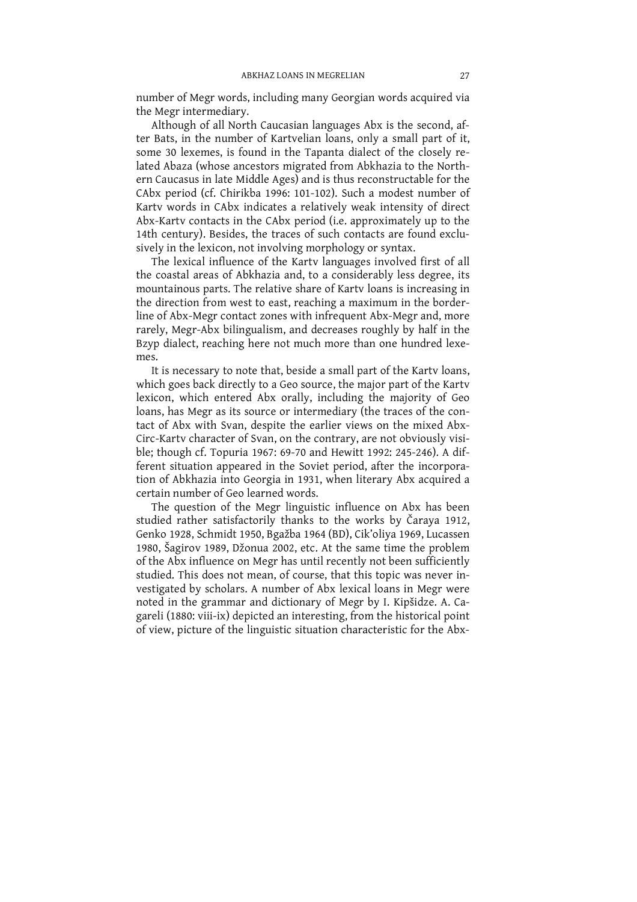number of Megr words, including many Georgian words acquired via the Megr intermediary.

Although of all North Caucasian languages Abx is the second, after Bats, in the number of Kartvelian loans, only a small part of it, some 30 lexemes, is found in the Tapanta dialect of the closely related Abaza (whose ancestors migrated from Abkhazia to the Northern Caucasus in late Middle Ages) and is thus reconstructable for the CAbx period (cf. Chirikba 1996: 101-102). Such a modest number of Kartv words in CAbx indicates a relatively weak intensity of direct Abx-Kartv contacts in the CAbx period (i.e. approximately up to the 14th century). Besides, the traces of such contacts are found exclusively in the lexicon, not involving morphology or syntax.

The lexical influence of the Karty languages involved first of all the coastal areas of Abkhazia and, to a considerably less degree, its mountainous parts. The relative share of Karty loans is increasing in the direction from west to east, reaching a maximum in the borderline of Abx-Megr contact zones with infrequent Abx-Megr and, more rarely, Megr-Abx bilingualism, and decreases roughly by half in the Bzyp dialect, reaching here not much more than one hundred lexemes.

It is necessary to note that, beside a small part of the Karty loans, which goes back directly to a Geo source, the major part of the Kartv lexicon, which entered Abx orally, including the majority of Geo loans, has Megr as its source or intermediary (the traces of the contact of Abx with Svan, despite the earlier views on the mixed Abx-Circ-Kartv character of Svan, on the contrary, are not obviously visible; though cf. Topuria 1967: 69-70 and Hewitt 1992: 245-246). A different situation appeared in the Soviet period, after the incorporation of Abkhazia into Georgia in 1931, when literary Abx acquired a certain number of Geo learned words.

The question of the Megr linguistic influence on Abx has been studied rather satisfactorily thanks to the works by Čaraya 1912, Genko 1928, Schmidt 1950, Bgažba 1964 (BD), Cik'oliya 1969, Lucassen 1980, Šagirov 1989, Džonua 2002, etc. At the same time the problem of the Abx influence on Megr has until recently not been sufficiently studied. This does not mean, of course, that this topic was never investigated by scholars. A number of Abx lexical loans in Megr were noted in the grammar and dictionary of Megr by I. Kipšidze. A. Cagareli (1880: viii-ix) depicted an interesting, from the historical point of view, picture of the linguistic situation characteristic for the Abx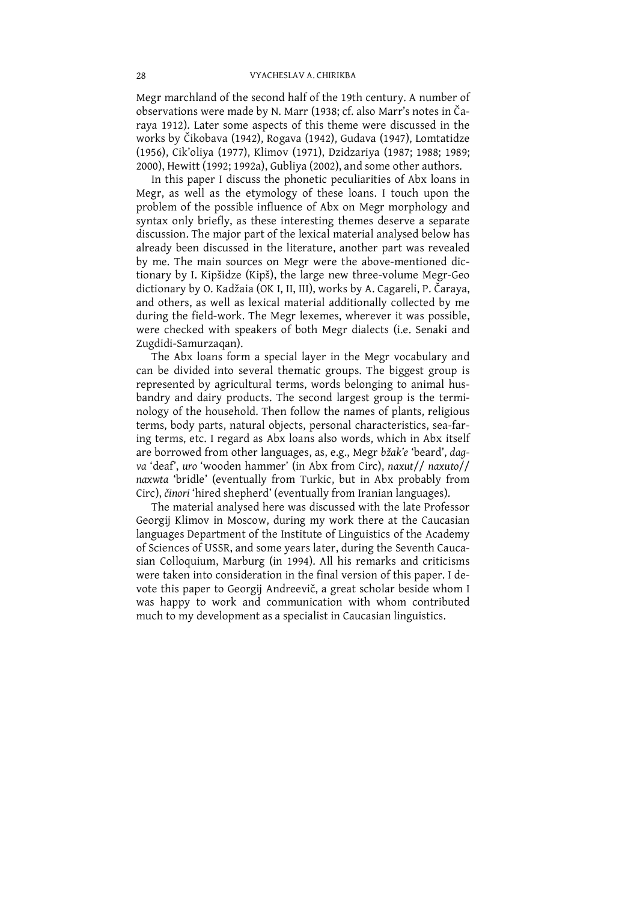Megr marchland of the second half of the 19th century. A number of observations were made by N. Marr (1938; cf. also Marr's notes in Čaraya 1912). Later some aspects of this theme were discussed in the works by Čikobava (1942), Rogava (1942), Gudava (1947), Lomtatidze<br>(1956), Cik'oliya (1977), Klimov (1971), Dzidzariya (1987; 1988; 1989; 2000), Hewitt (1992; 1992a), Gubliya (2002), and some other authors.<br>In this paper I discuss the phonetic peculiarities of Abx loans in

Megr, as well as the etymology of these loans. I touch upon the problem of the possible influence of Abx on Megr morphology and syntax only briefly, as these interesting themes deserve a separate discussion. The major part of the lexical material analysed below has already been discussed in the literature, another part was revealed by me. The main sources on Megr were the above-mentioned dictionary by I. Kipšidze (Kipš), the large new three-volume Megr-Geo dictionary by O. Kadžaia (OK I, II, III), works by A. Cagareli, P. Čaraya, and others, as well as lexical material additionally collected by me during the field-work. The Megr lexemes, wherever it was possible, were checked with speakers of both Megr dialects (i.e. Senaki and Zugdidi-Samurzaqan).

The Abx loans form a special layer in the Megr vocabulary and<br>can be divided into several thematic groups. The biggest group is<br>represented by agricultural terms, words belonging to animal hus-<br>bandry and dairy products. T terms, body parts, natural objects, personal characteristics, sea-far-<br>ing terms, etc. I regard as Abx loans also words, which in Abx itself are borrowed from other languages, as, e.g., Megr bžak'e 'beard', dagva 'deaf', uro 'wooden hammer' (in Abx from Circ), naxut// naxuto// naxwta 'bridle' (eventually from Turkic, but in Abx probably from Circ), činori 'hired shepherd' (eventually from Iranian languages).<br>The material analysed here was discussed with the late Professor

Georgij Klimov in Moscow, during my work there at the Caucasian languages Department of the Institute of Linguistics of the Academy of Sciences of USSR, and some years later, during the Seventh Caucasian Colloquium, Marburg (in 1994). All his remarks and criticisms were taken into consideration in the final version of this paper. I de-<br>vote this paper to Georgij Andreevič, a great scholar beside whom I<br>was happy to work and communication with whom contributed much to my development as a specialist in Caucasian linguistics.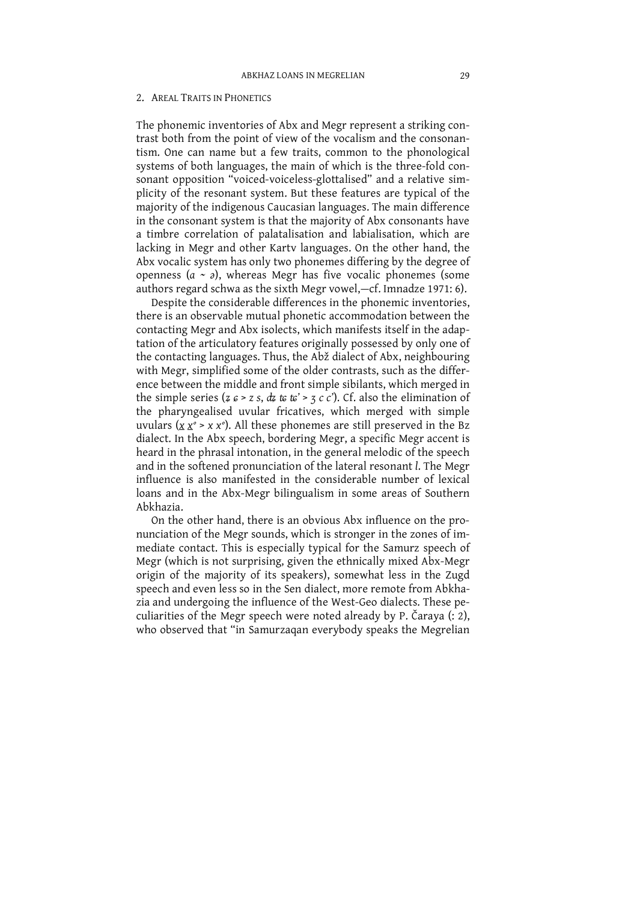#### 2. AREAL TRAITS IN PHONETICS

The phonemic inventories of Abx and Megr represent a striking contrast both from the point of view of the vocalism and the consonantism. One can name but a few traits, common to the phonological systems of both languages, the main of which is the three-fold consonant opposition "voiced-voiceless-glottalised" and a relative simplicity of the resonant system. But these features are typical of the majority of the indigenous Caucasian languages. The main difference in the consonant system is that the majority of Abx consonants have a timbre correlation of palatalisation and labialisation, which are lacking in Megr and other Kartv languages. On the other hand, the Abx vocalic system has only two phonemes differing by the degree of openness ( $a \sim a$ ), whereas Megr has five vocalic phonemes (some authors regard schwa as the sixth Megr vowel, -cf. Imnadze 1971: 6).

Despite the considerable differences in the phonemic inventories, there is an observable mutual phonetic accommodation between the contacting Megr and Abx isolects, which manifests itself in the adaptation of the articulatory features originally possessed by only one of the contacting languages. Thus, the Abž dialect of Abx, neighbouring with Megr, simplified some of the older contrasts, such as the difference between the middle and front simple sibilants, which merged in the simple series ( $z \varepsilon > z s$ ,  $dz \varepsilon \varepsilon' > z c'$ ). Cf. also the elimination of the pharyngealised uvular fricatives, which merged with simple uvulars ( $x x^{\circ} > x x^{\circ}$ ). All these phonemes are still preserved in the Bz dialect. In the Abx speech, bordering Megr, a specific Megr accent is heard in the phrasal intonation, in the general melodic of the speech and in the softened pronunciation of the lateral resonant *l*. The Megr influence is also manifested in the considerable number of lexical loans and in the Abx-Megr bilingualism in some areas of Southern Ahkhazia

On the other hand, there is an obvious Abx influence on the pronunciation of the Megr sounds, which is stronger in the zones of immediate contact. This is especially typical for the Samurz speech of Megr (which is not surprising, given the ethnically mixed Abx-Megr origin of the majority of its speakers), somewhat less in the Zugd speech and even less so in the Sen dialect, more remote from Abkhazia and undergoing the influence of the West-Geo dialects. These peculiarities of the Megr speech were noted already by P. Čaraya (: 2), who observed that "in Samurzagan everybody speaks the Megrelian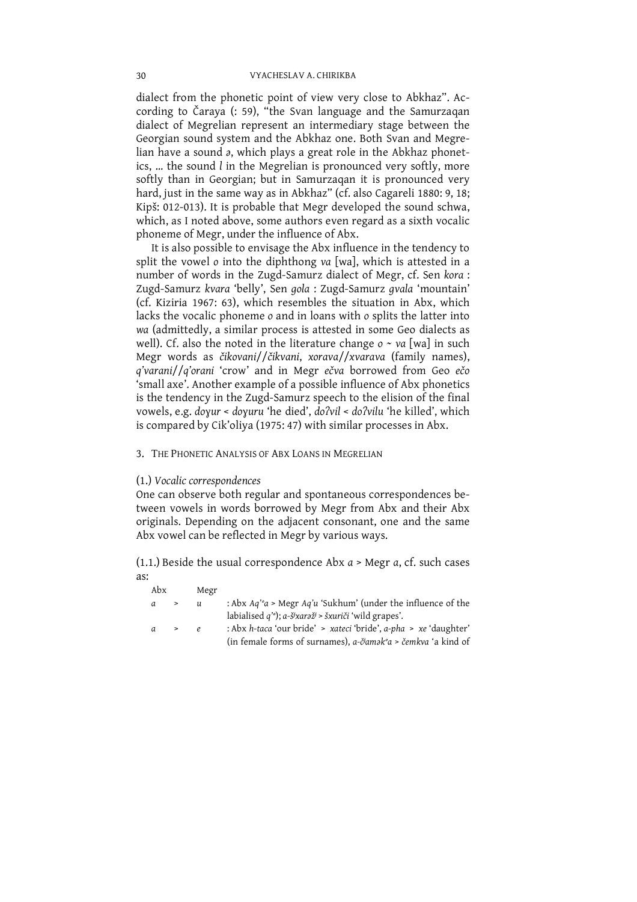dialect from the phonetic point of view very close to Abkhaz". According to Čaraya (: 59), "the Svan language and the Samurzaqan dialect of Megrelian represent an intermediary stage between the Georgian sound system and the Abkhaz one. Both Svan and Megrelian have a sound a, which plays a great role in the Abkhaz phonetics, ... the sound l in the Megrelian is pronounced very softly, more softly than in Georgian; but in Samurzaqan it is pronounced very hard, just in the same way as in Abkhaz" (cf. also Cagareli 1880: 9, 18; Kipš: 012-013). It is probable that Megr developed the sound schwa, which, as I noted above, some authors even regard as a sixth vocalic phoneme of Megr, under the influence of Abx.

It is also possible to envisage the Abx influence in the tendency to split the vowel o into the diphthong va [wa], which is attested in a number of words in the Zugd-Samurz dialect of Megr, cf. Sen kora : Zugd-Samurz kvara 'belly', Sen gola : Zugd-Samurz gvala 'mountain' (cf. Kiziria 1967: 63), which resembles the situation in Abx, which lacks the vocalic phoneme o and in loans with o splits the latter into wa (admittedly, a similar process is attested in some Geo dialects as well). Cf. also the noted in the literature change  $o \sim va$  [wa] in such Megr words as čikovani//čikvani, xorava//xvarava (family names), q'varani//q'orani 'crow' and in Megr ečva borrowed from Geo ečo 'small axe'. Another example of a possible influence of Abx phonetics<br>is the tendency in the Zugd-Samurz speech to the elision of the final vowels, e.g. doyur < doyuru 'he died', do?vil < do?vilu 'he killed', which is compared by Cik'oliya (1975: 47) with similar processes in Abx.

### 3. THE PHONETIC ANALYSIS OF ABX LOANS IN MEGRELIAN

## (1.) Vocalic correspondences

One can observe both regular and spontaneous correspondences between vowels in words borrowed by Megr from Abx and their Abx originals. Depending on the adjacent consonant, one and the same Abx yowel can be reflected in Megr by various ways.

(1.1.) Beside the usual correspondence Abx  $a > Megr$  a, cf. such cases as:

| Abx |        | Megr          |                                                                             |
|-----|--------|---------------|-----------------------------------------------------------------------------|
| a   | >      | $\mathfrak u$ | : Abx $Aq'^{\circ}a$ > Megr $Aq'u$ 'Sukhum' (under the influence of the     |
|     |        |               | labialised $q'$ ; a-š <sup>j</sup> xar <i>až</i> i > šxuriči 'wild grapes'. |
| a   | $\geq$ | e             | : Abx h-taca 'our bride' > xateci 'bride', a-pha > xe 'daughter'            |
|     |        |               | (in female forms of surnames), a-č <sup>j</sup> amak°a > čemkva 'a kind of  |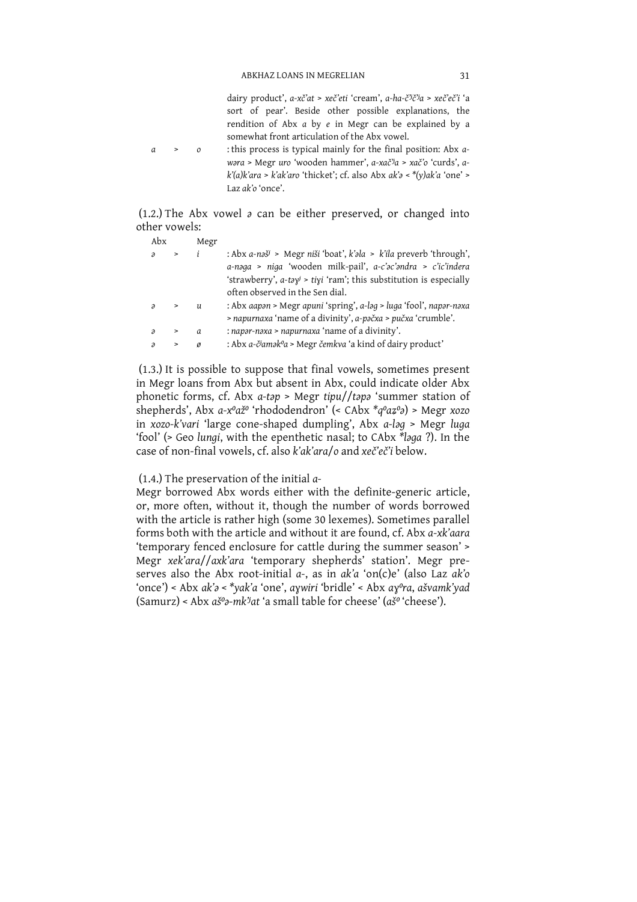dairy product', a-xč'at > xeč'eti 'cream', a-ha-č''č'a > xeč'eč'i 'a sort of pear'. Beside other possible explanations, the rendition of Abx  $a$  by  $e$  in Megr can be explained by a somewhat front articulation of the Abx yowel : this process is typical mainly for the final position: Abx a- $\overline{0}$ wara > Megr uro 'wooden hammer', a-xač'a > xač'o 'curds', a $k(a)k'$ ara >  $k'ak'$ aro 'thicket'; cf. also Abx ak'a < \*(y)ak'a 'one' >

Laz  $ak'$ o 'once'

 $\overline{a}$ 

 $(1.2.)$  The Abx vowel  $\delta$  can be either preserved, or changed into other vowels:

| Abx                      |           | Megr |                                                                                               |
|--------------------------|-----------|------|-----------------------------------------------------------------------------------------------|
| $\lambda$                | $\,>$     |      | : Abx a-nəš <sup><math>\ell</math></sup> > Megr niši 'boat', k'əla > k'ila preverb 'through', |
|                          |           |      | a-naga > niga 'wooden milk-pail', a-c'ac'andra > c'ic'indera                                  |
|                          |           |      | 'strawberry', $a$ -tə $y^j$ > tiyi 'ram'; this substitution is especially                     |
|                          |           |      | often observed in the Sen dial.                                                               |
| $\lambda$                | $\, > \,$ | u    | : Abx aapən > Megr apuni 'spring', a-ləg > luga 'fool', napər-nəxa                            |
|                          |           |      | > napurnaxa 'name of a divinity', a-pačxa > pučxa 'crumble'.                                  |
| $\overline{\mathcal{A}}$ | $\, > \,$ | a    | : napar-naxa > napurnaxa 'name of a divinity'.                                                |
|                          | >         |      | : Abx a-č <sup>j</sup> amək <sup>o</sup> a > Megr čemkva 'a kind of dairy product'            |

(1.3.) It is possible to suppose that final vowels, sometimes present in Megr loans from Abx but absent in Abx, could indicate older Abx phonetic forms, cf. Abx a-tap > Megr tipu//tapa 'summer station of shepherds', Abx  $a-x^0a\check{z}^0$  'rhododendron' (< CAbx  $*q^0a\check{z}^0a$ ) > Megr xozo in xozo-k'vari 'large cone-shaped dumpling', Abx a-loq > Megr luqa 'fool' (> Geo lungi, with the epenthetic nasal; to CAbx \*laga ?). In the case of non-final vowels, cf. also k'ak'ara/o and xeč'eč'i below.

(1.4.) The preservation of the initial  $a$ -

Megr borrowed Abx words either with the definite-generic article, or, more often, without it, though the number of words borrowed with the article is rather high (some 30 lexemes). Sometimes parallel forms both with the article and without it are found, cf. Abx a-xk'aara 'temporary fenced enclosure for cattle during the summer season' > Megr xek'ara//axk'ara 'temporary shepherds' station'. Megr preserves also the Abx root-initial a-, as in ak'a 'on(c)e' (also Laz ak'o 'once') < Abx ak's < \*vak'a 'one', aywiri 'bridle' < Abx ay°ra, ašvamk'yad  $(Samurz)$  < Abx  $a\ddot{s}$ % $\dot{s}$ -mk<sup>n</sup>at 'a small table for cheese' ( $a\ddot{s}$ ° 'cheese').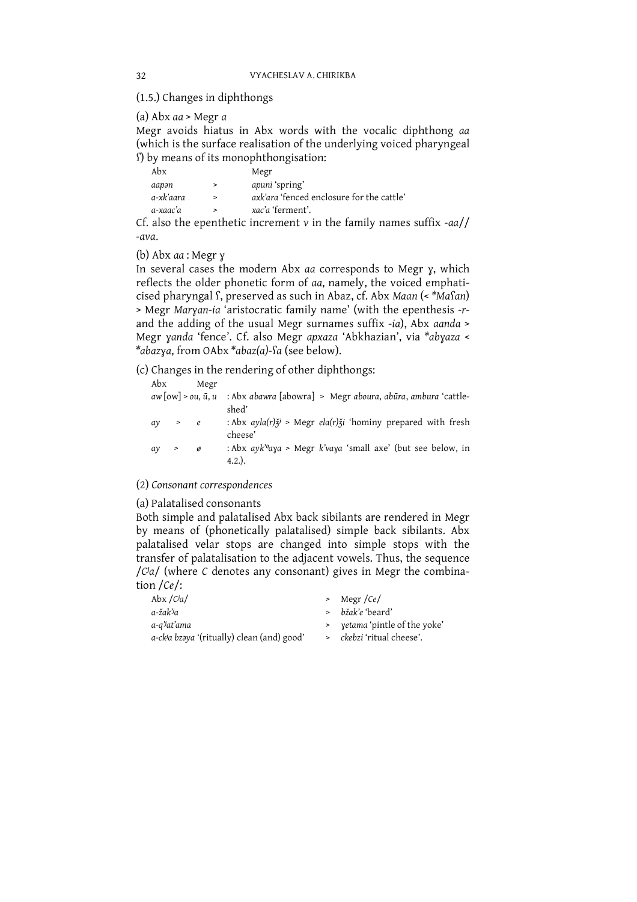(1.5.) Changes in diphthongs

(a) Abx  $aa$  > Megr  $a$ 

Megr avoids hiatus in Abx words with the vocalic diphthong aa (which is the surface realisation of the underlying voiced pharyngeal S by means of its monophthongisation:

| Abx       |   | Megr                                      |
|-----------|---|-------------------------------------------|
| aapən     | > | <i>apuni</i> 'spring'                     |
| a-xk'aara |   | axk'ara 'fenced enclosure for the cattle' |
| a-xaac'a  |   | xac'a 'ferment'.                          |
|           |   |                                           |

Cf. also the epenthetic increment  $v$  in the family names suffix - $a\alpha$ // -ava.

(b) Abx aa : Megr y

In several cases the modern Abx aa corresponds to Megr y, which reflects the older phonetic form of aa, namely, the voiced emphaticised pharyngal f, preserved as such in Abaz, cf. Abx Maan (<\*Mafan) > Megr Maryan-ia 'aristocratic family name' (with the epenthesis -rand the adding of the usual Megr surnames suffix -ia), Abx aanda > Megr yanda 'fence'. Cf. also Megr apxaza 'Abkhazian', via \*abyaza < \*abazya, from OAbx \*abaz(a)-fa (see below).

(c) Changes in the rendering of other diphthongs:

| Abx |       | Megr                                             |                                                                                            |
|-----|-------|--------------------------------------------------|--------------------------------------------------------------------------------------------|
|     |       | aw $\lceil \text{ow} \rceil$ > ou, $\bar{u}$ , u | : Abx abawra [abowra] > Megr aboura, abūra, ambura 'cattle-<br>shed'                       |
| aν  | $>$ e |                                                  | : Abx $ayla(r) \xi^{j}$ > Megr $ela(r) \xi^{j}$ 'hominy prepared with fresh<br>cheese'     |
| aγ  | >     | ø                                                | : Abx $ayk'$ <sup>o</sup> aya > Megr $k'$ vaya 'small axe' (but see below, in<br>$4.2.$ ). |

(2) Consonant correspondences

(a) Palatalised consonants

Both simple and palatalised Abx back sibilants are rendered in Megr by means of (phonetically palatalised) simple back sibilants. Abx palatalised velar stops are changed into simple stops with the transfer of palatalisation to the adjacent vowels. Thus, the sequence /Cia/ (where C denotes any consonant) gives in Megr the combination /Ce/:

| $>$ Megr/Ce/                     |
|----------------------------------|
| > bžak'e 'beard'                 |
| > yetama 'pintle of the yoke'    |
| > <i>ckebzi</i> 'ritual cheese'. |
|                                  |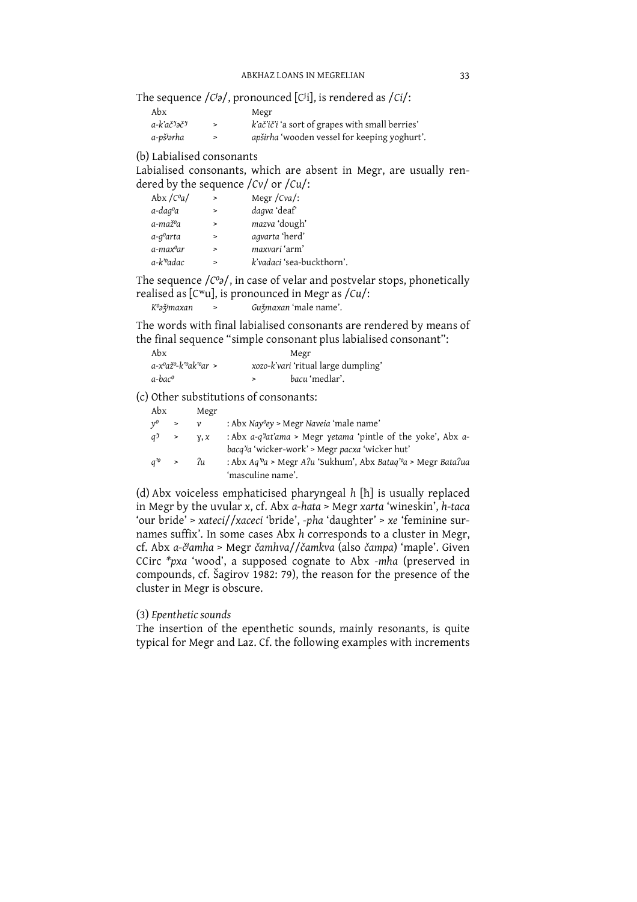The sequence  $\frac{1}{\text{C}}$  /  $\text{C}}$ , pronounced [Ci], is rendered as  $\frac{1}{\text{C}}$ .

| Abx                    | Megr                                                   |
|------------------------|--------------------------------------------------------|
| a-k'ač'jəč'i           | <i>k'ač'ič'i</i> 'a sort of grapes with small berries' |
| a-pš <sup>j</sup> ərha | apširha 'wooden vessel for keeping yoghurt'.           |

## (b) Labialised consonants

Labialised consonants, which are absent in Megr, are usually rendered by the sequence  $\frac{\gamma v}{\gamma}$  or  $\frac{\gamma v}{\gamma}$ :

| Abx $\sqrt{C^0a}$      | $\geq$ | Megr $/cva$ :             |
|------------------------|--------|---------------------------|
| a-daqºa                | $\geq$ | dagva 'deaf'              |
| a-maž%a                | $\geq$ | mazva 'dough'             |
| a-q <sup>o</sup> arta  | $\geq$ | agvarta 'herd'            |
| a-maxºar               | $\geq$ | maxvari 'arm'             |
| a-k' <sup>o</sup> adac | $\geq$ | k'vadaci 'sea-buckthorn'. |
|                        |        |                           |

The sequence  $\sqrt{C_0}$ , in case of velar and postvelar stops, phonetically realised as [C<sup>w</sup>u], is pronounced in Megr as /Cu/:

| K%žjmaxan | Gužmaxan 'male name'. |
|-----------|-----------------------|
|           |                       |

The words with final labialised consonants are rendered by means of the final sequence "simple consonant plus labialised consonant":

| Abx                 | Megr                                |
|---------------------|-------------------------------------|
| a-xºažº-k'ºak'ºar > | xozo-k'vari 'ritual large dumpling' |
| a-bac <sup>o</sup>  | bacu 'medlar'.                      |

(c) Other substitutions of consonants:

| Abx            |                 | Megr         |                                                                                                                                      |
|----------------|-----------------|--------------|--------------------------------------------------------------------------------------------------------------------------------------|
| $v^{\text{o}}$ | $\geq$          | $\mathcal V$ | : Abx Nay <sup>o</sup> ey > Megr Naveia 'male name'                                                                                  |
| $q^{y}$ >      |                 | Y, X         | : Abx a-q''at'ama > Megr yetama 'pintle of the yoke', Abx a-                                                                         |
|                |                 |              | bacq'ja 'wicker-work' > Megr pacxa 'wicker hut'                                                                                      |
|                | $q^{r_0} > r_u$ |              | : Abx $Aq^{\prime\circ}a$ > Megr $A\mathcal{U}$ 'Sukhum', Abx Batag' <sup>o</sup> a > Megr Bata $\mathcal{U}ua$<br>'masculine name'. |

(d) Abx voiceless emphaticised pharyngeal  $h$  [h] is usually replaced in Megr by the uvular  $x$ , cf. Abx  $a$ -hata > Megr xarta 'wineskin',  $h$ -taca 'our bride' > xateci//xaceci 'bride', -pha 'daughter' > xe 'feminine surnames suffix'. In some cases Abx h corresponds to a cluster in Megr, cf. Abx a-č<sup>j</sup>amha > Megr čamhva//čamkva (also čampa) 'maple'. Given CCirc \*pxa 'wood', a supposed cognate to Abx -mha (preserved in compounds, cf. Šagirov 1982: 79), the reason for the presence of the cluster in Megr is obscure.

## (3) Epenthetic sounds

The insertion of the epenthetic sounds, mainly resonants, is quite typical for Megr and Laz. Cf. the following examples with increments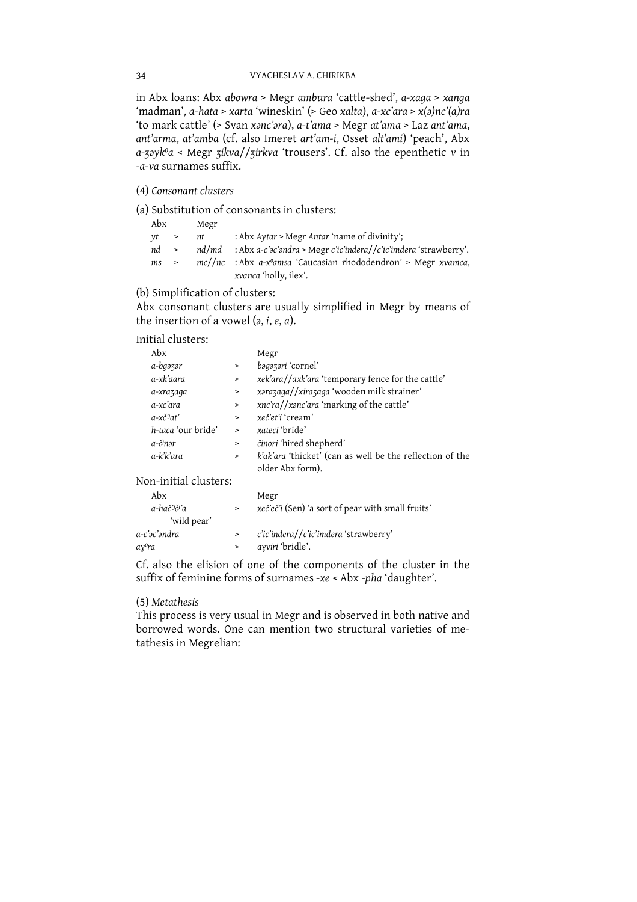in Abx loans: Abx abowra > Megr ambura 'cattle-shed', a-xaga > xanga 'madman', a-hata > xarta 'wineskin' (> Geo xalta), a-xc'ara > x(a)nc'(a)ra 'to mark cattle' (> Svan xanc'ara), a-t'ama > Megr at'ama > Laz ant'ama, ant'arma, at'amba (cf. also Imeret art'am-i, Osset alt'ami) 'peach', Abx a-zayk<sup>o</sup>a < Megr zikva//zirkva 'trousers'. Cf. also the epenthetic v in -a-va surnames suffix.

(4) Consonant clusters

(a) Substitution of consonants in clusters:

| Abx              |               | Megr |                                                                              |
|------------------|---------------|------|------------------------------------------------------------------------------|
| vt >             |               | nt   | : Abx Aytar > Megr Antar 'name of divinity';                                 |
| $nd \rightarrow$ |               |      | $nd/mol$ : Abx a-c'ac'andra > Megr c'ic'indera//c'ic'imdera 'strawberry'.    |
| ms               | $\rightarrow$ |      | $mc//nc$ : Abx a-x <sup>o</sup> amsa 'Caucasian rhododendron' > Megr xvamca, |
|                  |               |      | <i>xvanca</i> 'holly, ilex'.                                                 |

# (b) Simplification of clusters:

Abx consonant clusters are usually simplified in Megr by means of the insertion of a vowel  $(a, i, e, a)$ .

# Initial clusters:

| Abx                   |           | Megr                                                     |
|-----------------------|-----------|----------------------------------------------------------|
| a-bgəzər              | $\, > \,$ | bagazari 'cornel'                                        |
| a-xk'aara             | $\geq$    | xek'ara//axk'ara 'temporary fence for the cattle'        |
| a-xrazaga             | $\,>\,$   | xarazaga//xirazaga 'wooden milk strainer'                |
| a-xc'ara              | $\,$      | xnc'ra//xanc'ara 'marking of the cattle'                 |
| a-xč <sup>3</sup> at' | $\, > \,$ | xeč'et'i 'cream'                                         |
| h-taca 'our bride'    | $\geq$    | xateci 'bride'                                           |
| a-č <sup>j</sup> nər  | $\geq$    | činori 'hired shepherd'                                  |
| a-k'k'ara             | $\,>$     | k'ak'ara 'thicket' (can as well be the reflection of the |
|                       |           | older Abx form).                                         |

Non-initial clusters:

| Abx                     | Megr                                                     |
|-------------------------|----------------------------------------------------------|
| a-hač <sup>y</sup> či'a | <i>xeč'eč'i</i> (Sen) 'a sort of pear with small fruits' |
| 'wild pear'             |                                                          |
| a-c'əc'əndra            | c'ic'indera//c'ic'imdera 'strawberry'                    |
| ayºra                   | ayviri 'bridle'.                                         |
|                         |                                                          |

Cf. also the elision of one of the components of the cluster in the suffix of feminine forms of surnames -xe < Abx -pha 'daughter'.

## (5) Metathesis

This process is very usual in Megr and is observed in both native and borrowed words. One can mention two structural varieties of metathesis in Megrelian: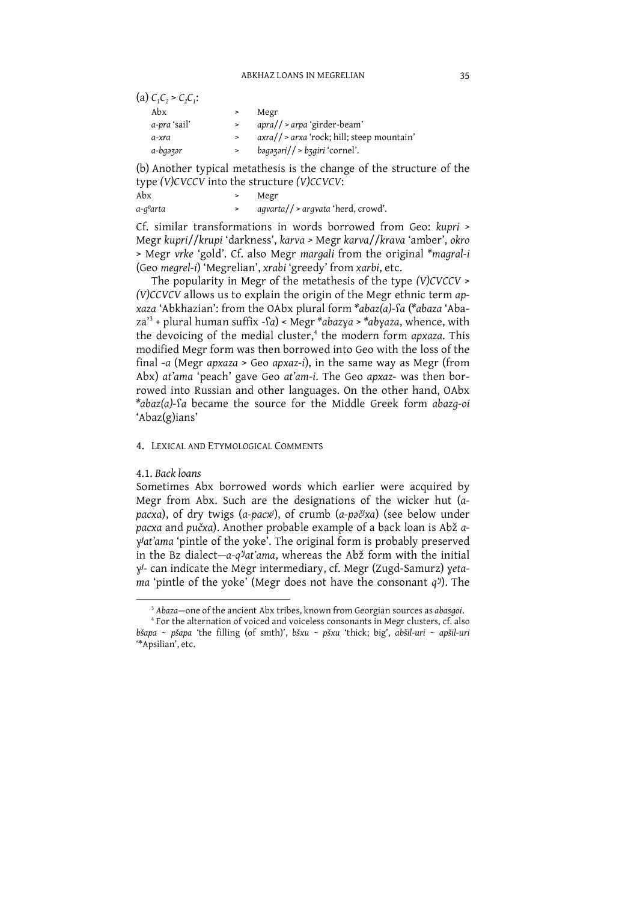| (a) $C_1C_2 > C_2C_1$ : |        |                                              |
|-------------------------|--------|----------------------------------------------|
| Abx                     |        | Megr                                         |
| a-pra 'sail'            | $\geq$ | $apra//\geq arpa'girder-beam'$               |
| a-xra                   |        | $axra//$ > arxa 'rock; hill; steep mountain' |
| a-bgəzər                | $\geq$ | bagəzəri// > bggiri 'cornel'.                |
|                         |        |                                              |

(b) Another typical metathesis is the change of the structure of the  $t$  wne (V) CVCCV into the structure (V) CCVCV.

|          | $\mathcal{L}_{\mathcal{I}}$ , $\mathcal{L}_{\mathcal{I}}$ , $\mathcal{L}_{\mathcal{I}}$ , $\mathcal{L}_{\mathcal{I}}$ , $\mathcal{L}_{\mathcal{I}}$ , $\mathcal{L}_{\mathcal{I}}$ , $\mathcal{L}_{\mathcal{I}}$ , $\mathcal{L}_{\mathcal{I}}$ , $\mathcal{L}_{\mathcal{I}}$ , $\mathcal{L}_{\mathcal{I}}$ , $\mathcal{L}_{\mathcal{I}}$ , $\mathcal{L}_{\mathcal{I}}$ , $\mathcal{L}_{\mathcal{I}}$ , |
|----------|-------------------------------------------------------------------------------------------------------------------------------------------------------------------------------------------------------------------------------------------------------------------------------------------------------------------------------------------------------------------------------------------------------|
| Abx      | Megr                                                                                                                                                                                                                                                                                                                                                                                                  |
| a-qºarta | $aqvarta$ / > argvata 'herd, crowd'.                                                                                                                                                                                                                                                                                                                                                                  |

Cf. similar transformations in words borrowed from Geo: kupri > Megr kupri//krupi 'darkness', karva > Megr karva//krava 'amber', okro > Megr vrke 'gold'. Cf. also Megr margali from the original \*magral-i (Geo megrel-i) 'Megrelian', xrabi 'greedy' from xarbi, etc.

The popularity in Megr of the metathesis of the type (V)CVCCV > (V)CCVCV allows us to explain the origin of the Megr ethnic term apxaza 'Abkhazian': from the OAbx plural form \*abaz(a)-fa (\*abaza 'Aba $za<sup>3</sup>$  + plural human suffix -fa) < Megr \*abazya > \*abyaza, whence, with the devoicing of the medial cluster,<sup>4</sup> the modern form apxaza. This modified Megr form was then borrowed into Geo with the loss of the final -a (Megr  $apxaza > Geo$  apxaz-i), in the same way as Megr (from Abx) at'ama 'peach' gave Geo at'am-i. The Geo apxaz- was then borrowed into Russian and other languages. On the other hand, OAbx \*abaz(a)-fa became the source for the Middle Greek form abazg-oi 'Abaz(g)ians'

### 4. LEXICAL AND ETYMOLOGICAL COMMENTS

### 4.1. Back loans

Sometimes Abx borrowed words which earlier were acquired by Megr from Abx. Such are the designations of the wicker hut (apacxa), of dry twigs (a-pacx<sup>j</sup>), of crumb (a-pač<sup>j</sup>xa) (see below under pacxa and pučxa). Another probable example of a back loan is Abž a-.<br>y<sup>j</sup>at'ama 'pintle of the yoke'. The original form is probably preserved in the Bz dialect- $a-q^i$  at'ama, whereas the Abž form with the initial y<sup>j</sup>- can indicate the Megr intermediary, cf. Megr (Zugd-Samurz) yetama 'pintle of the yoke' (Megr does not have the consonant  $q^{j}$ ). The

<sup>&</sup>lt;sup>3</sup> Abaza-one of the ancient Abx tribes, known from Georgian sources as abasgoi.

<sup>&</sup>lt;sup>4</sup> For the alternation of voiced and voiceless consonants in Megr clusters, cf. also bšapa ~ pšapa 'the filling (of smth)', bšxu ~ pšxu 'thick; big', abšil-uri ~ apšil-uri "Apsilian', etc.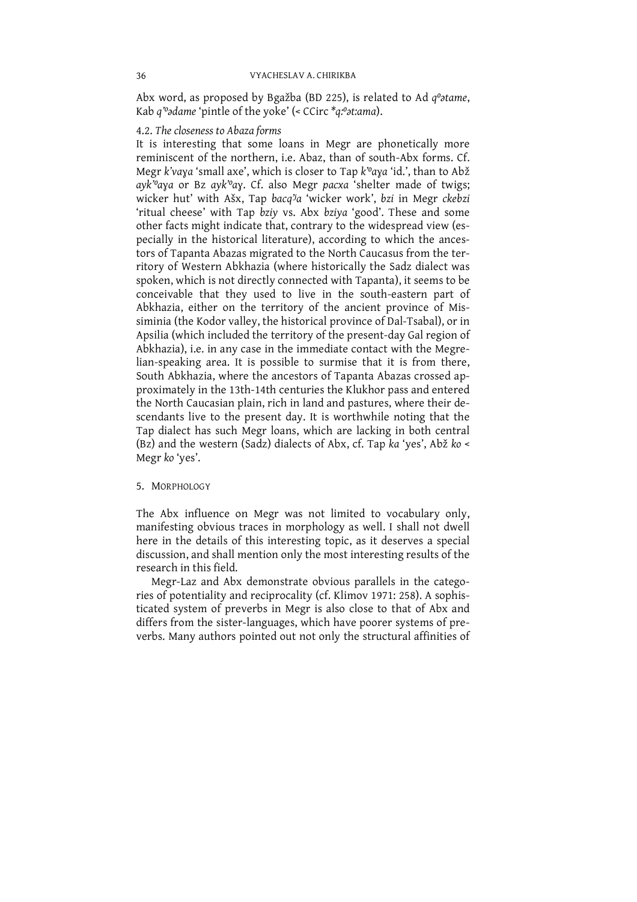Abx word, as proposed by Bgažba (BD 225), is related to Ad  $q^o$ otame, Kab  $q^o$ odame 'pintle of the yoke' (< CCirc  $*q$ : $o$ at:ama).

## 4.2. The closeness to Abaza forms

It is interesting that some loans in Megr are phonetically more<br>reminiscent of the northern, i.e. Abaz, than of south-Abx forms. Cf. Megr *k'vaya* 'small axe', which is closer to Tap *k*<sup>*vo<sub>4</sub>xa</sup> id.'*, than to Abž *ayk<sup><i>vo<sub>4</sub>xa</sub>* or Bz *ayk<sup>7</sup>o<sub>4</sub>x* . Cf. also Megr *pacxa* 'shelter made of twigs; wicker hut' with Ašx, Tap *bacq<sup>7</sup>a* 'wicker work', *b</sup>*</sup> Megr k'vaya 'small axe', which is closer to Tap k<sup>'o</sup>aya 'id.', than to Abž the North Caucasian plain, rich in land and pastures, where their descendants live to the present day. It is worthwhile noting that the Tap dialect has such Megr loans, which are lacking in both central (Bz) and the western (Sadz) dialects of Abx, cf. Tap ka 'yes', Abž ko < Megr ko 'yes'.

## 5. MORPHOLOGY

The Abx influence on Megr was not limited to vocabulary only, manifesting obvious traces in morphology as well. I shall not dwell here in the details of this interesting topic, as it deserves a special discussion, and shal research in this field.

Megr-Laz and Abx demonstrate obvious parallels in the categories of potentiality and reciprocality (cf. Klimov 1971: 258). A sophisticated system of preverbs in Megr is also close to that of Abx and differs from the sister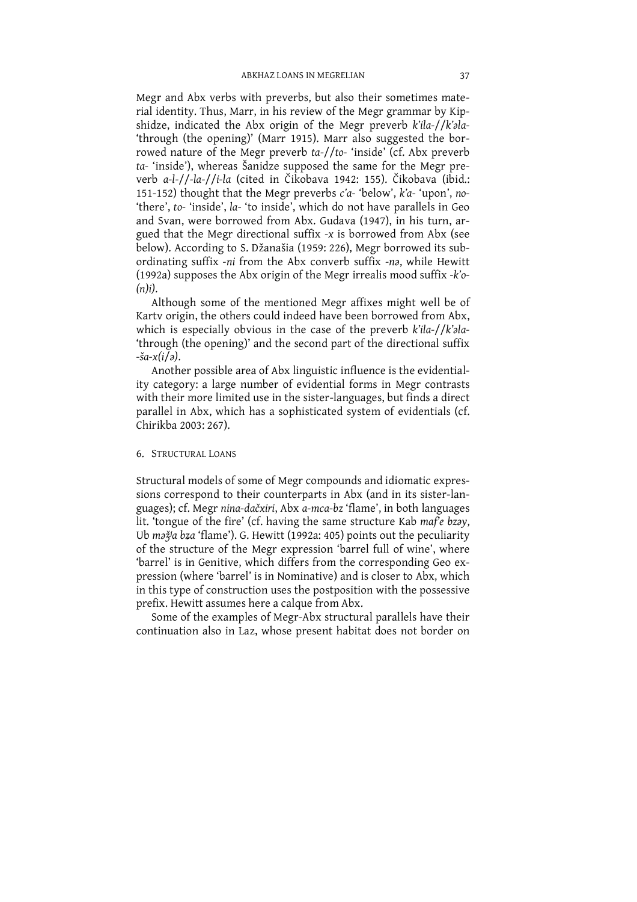Megr and Abx verbs with preverbs, but also their sometimes material identity. Thus, Marr, in his review of the Megr grammar by Kipshidze, indicated the Abx origin of the Megr preverb k'ila-//k'ala-'through (the opening)' (Marr 1915). Marr also suggested the borrowed nature of the Megr preverb ta-//to- 'inside' (cf. Abx preverb ta- 'inside'), whereas Šanidze supposed the same for the Megr preverb a-l-//-la-//i-la (cited in Čikobava 1942: 155). Čikobava (ibid.: 151-152) thought that the Megr preverbs c'a-'below', k'a-'upon', no-'there', to-'inside', la-'to inside', which do not have parallels in Geo and Svan, were borrowed from Abx. Gudava (1947), in his turn, argued that the Megr directional suffix -x is borrowed from Abx (see below). According to S. Džanašia (1959: 226), Megr borrowed its subordinating suffix -ni from the Abx converb suffix -na, while Hewitt (1992a) supposes the Abx origin of the Megr irrealis mood suffix -k'o- $(n)i$ .

Although some of the mentioned Megr affixes might well be of Karty origin, the others could indeed have been borrowed from Abx, which is especially obvious in the case of the preverb k'ila-//k'ala-'through (the opening)' and the second part of the directional suffix  $-\xi a - x(i\bar{\lambda}a)$ .

Another possible area of Abx linguistic influence is the evidentiality category: a large number of evidential forms in Megr contrasts with their more limited use in the sister-languages, but finds a direct parallel in Abx, which has a sophisticated system of evidentials (cf. Chirikha 2003: 267).

#### 6. STRUCTURAL LOANS

Structural models of some of Megr compounds and idiomatic expressions correspond to their counterparts in Abx (and in its sister-languages); cf. Megr nina-dačxiri, Abx a-mca-bz 'flame', in both languages lit. 'tongue of the fire' (cf. having the same structure Kab mafe bzay, Ub mažia bza 'flame'). G. Hewitt (1992a: 405) points out the peculiarity of the structure of the Megr expression 'barrel full of wine', where 'barrel' is in Genitive, which differs from the corresponding Geo expression (where 'barrel' is in Nominative) and is closer to Abx, which in this type of construction uses the postposition with the possessive prefix. Hewitt assumes here a calque from Abx.

Some of the examples of Megr-Abx structural parallels have their continuation also in Laz, whose present habitat does not border on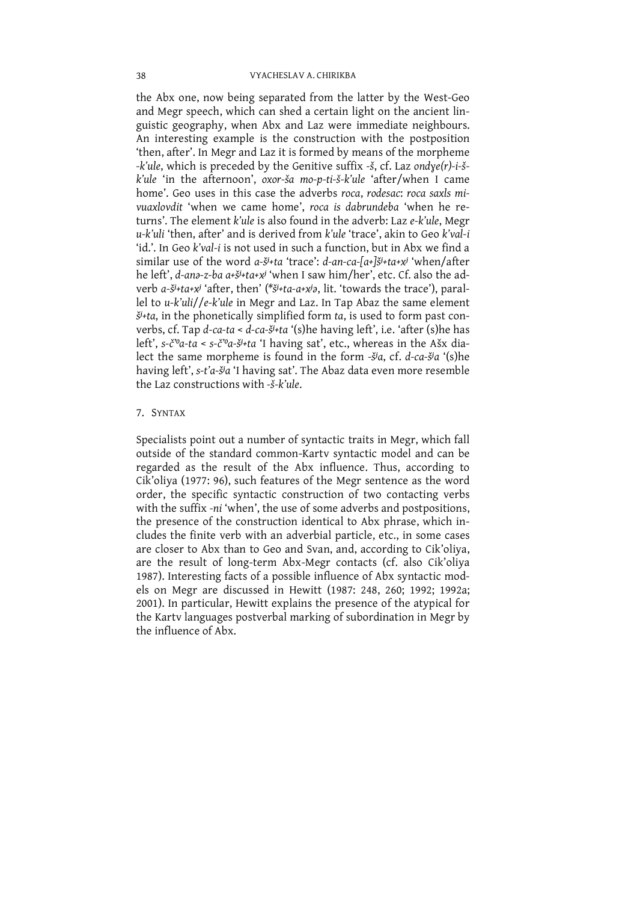the Abx one, now being separated from the latter by the West-Geo and Megr speech, which can shed a certain light on the ancient linguistic geography, when Abx and Laz were immediate neighbours. An interesting example is the construction with the postposition 'then, after'. In Megr and Laz it is formed by means of the morpheme -*k'ule*, which is preceded by the Genitive suffix -*š*, cf. Laz ondye(r)-*i-š*-<br>*k'ule* 'in the afternoon', oxor-*ša mo-p-ti-š-k'ule* 'after/when I came home'. Geo uses in this case the adverbs roca, rodesac: roca saxls mivuaxlovdit 'when we came home', roca is dabrundeba 'when he returns'. The element k'ule is also found in the adverb: Laz e-k'ule, Megr u-k'uli 'then, after' and is derived from k'ule 'trace', akin to Geo k'val-i 'id.'. In Geo k'val-i is not used in such a function, but in Abx we find a similar use of the word a-š<sup>j</sup>+ta 'trace': d-an-ca-[a+]š<sup>j</sup>+ta+x<sup>j</sup> 'when/after he left', d-ana-z-ba a+š<sup>j</sup>+ta+x<sup>j</sup> 'when I saw him/her', etc. Cf. also the adverb a-š<sup>j</sup>+ta+x<sup>j</sup> 'after, then' (\*š<sup>j</sup>+ta-a+x<sup>j</sup>a, lit. 'towards the trace'), parallel to  $u$ -k'uli//e-k'ule in Megr and Laz. In Tap Abaz the same element  $\check{S}$ <sup>1</sup>+ta, in the phonetically simplified form ta, is used to form past converbs, cf. Tap d-ca-ta <  $d$ -ca- $\frac{1}{2}$ +ta '(s) he having left', i.e. 'after (s) he has left', s-č'<sup>o</sup>a-ta < s-č'<sup>o</sup>a-š<sup>j</sup>+ta 'I having sat', etc., whereas in the Ašx dialect the same morpheme is found in the form - $\ddot{\theta}$ a, cf. d-ca- $\ddot{\theta}$ a '(s)he having left', s-t'a-<sub>3</sub>'a 'I having sat'. The Abaz data even more resemble the Laz constructions with  $\xi$ - $k'$ ule

#### 7. SYNTAX

Specialists point out a number of syntactic traits in Megr, which fall outside of the standard common-Karty syntactic model and can be regarded as the result of the Abx influence. Thus, according to Cik'oliya (1977: 96), such features of the Megr sentence as the word order, the specific syntactic construction of two contacting verbs with the suffix -ni 'when', the use of some adverbs and postpositions,<br>the presence of the construction identical to Abx phrase, which includes the finite verb with an adverbial particle, etc., in some cases are closer to Abx than to Geo and Svan, and, according to Cik'oliya, are the result of long-term Abx-Megr contacts (cf. also Cik'oliya 1987). Interesting facts of a possible influence of Abx syntactic models on Megr are discussed in Hewitt (1987: 248, 260; 1992; 1992a; 2001). In particular, Hewitt explains the presence of the atypical for the Karty languages postverbal marking of subordination in Megr by the influence of Abx.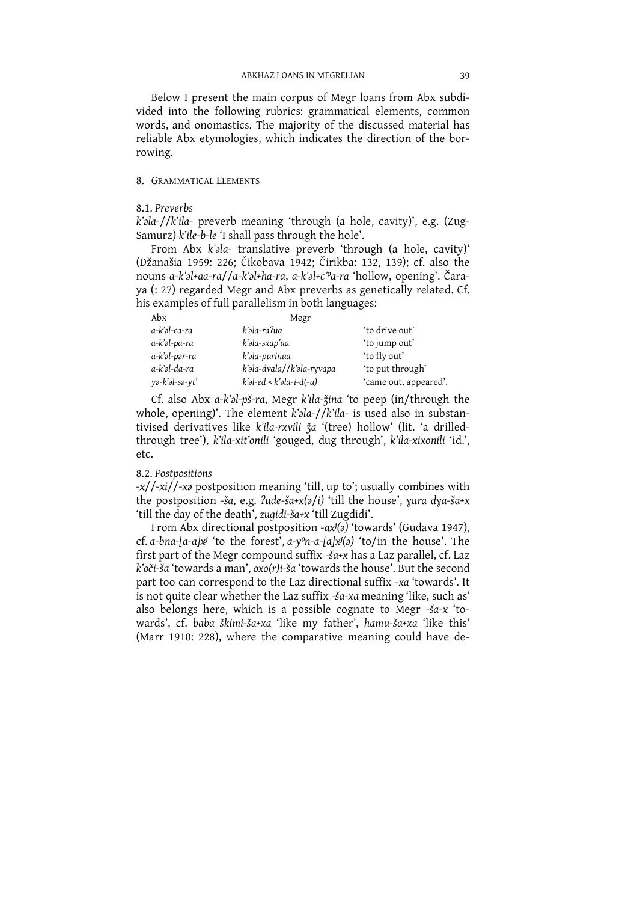Below I present the main corpus of Megr loans from Abx subdivided into the following rubrics: grammatical elements, common words, and onomastics. The majority of the discussed material has reliable Abx etymologies, which indicates the direction of the borrowing.

#### 8. GRAMMATICAL ELEMENTS

#### 8.1. Preverbs

k'ala-//k'ila- preverb meaning 'through (a hole, cavity)', e.g. (Zug-Samurz) k'ile-b-le 'I shall pass through the hole'.

From Abx k'ala- translative preverb 'through (a hole, cavity)' (Džanašia 1959: 226; Čikobava 1942; Čirikba: 132, 139); cf. also the nouns a-k'al+aa-ra//a-k'al+ha-ra, a-k'al+c'<sup>o</sup>a-ra 'hollow, opening'. Čaraya (: 27) regarded Megr and Abx preverbs as genetically related. Cf. his examples of full parallelism in both languages:

| Abx            | Megr                          |                       |
|----------------|-------------------------------|-----------------------|
| a-k'əl-ca-ra   | k'əla-ra?ua                   | 'to drive out'        |
| a-k'əl-pa-ra   | k'əla-sxap'ua                 | 'to jump out'         |
| a-k'əl-pər-ra  | k'əla-purinua                 | 'to fly out'          |
| a-k'əl-da-ra   | k'əla-dvala//k'əla-ryvapa     | 'to put through'      |
| yə-k'əl-sə-yt' | $k'$ əl-ed < $k'$ əla-i-d(-u) | 'came out, appeared'. |

Cf. also Abx  $a$ -k' $a$ l-pš-ra, Megr k'ila-žina 'to peep (in/through the whole, opening)'. The element  $k$ ' $a$ la-// $k$ 'ila- is used also in substantivised derivatives like  $k$ 'ila-rxvili  $\check{a}$ a '(tree) hollow' (lit. 'a d through tree'), k'ila-xit'onili 'gouged, dug through', k'ila-xixonili 'id.',  $etc.$ 

## 8.2. Postpositions

-x//-xi//-xa postposition meaning 'till, up to'; usually combines with the postposition -ša, e.g. ?ude-ša+x(a/i) 'till the house', yura dya-ša+x 'till the day of the death', zugidi-ša+x 'till Zugdidi'.

From Abx directional postposition - $ax^{j}(a)$  'towards' (Gudava 1947), cf. a-bna-[a-a]x<sup>j</sup> 'to the forest', a-y<sup>o</sup>n-a-[a]x $i$ (a) 'to/in the house'. The first part of the Megr compound suffix - sa+x has a Laz parallel, cf. Laz  $k'$ oči-ša 'towards a man', oxo(r)i-ša 'towards the house'. But the second part too can correspond to the Laz directional suffix -xa 'towards'. It is not quite clear whether the Laz suffix -sa-xa meaning 'like, such as' also belongs here, which is a possible cognate to Megr -sa-x 'towards', cf. baba škimi-ša+xa 'like my father', hamu-ša+xa 'like this' (Marr 1910: 228), where the comparative meaning could have de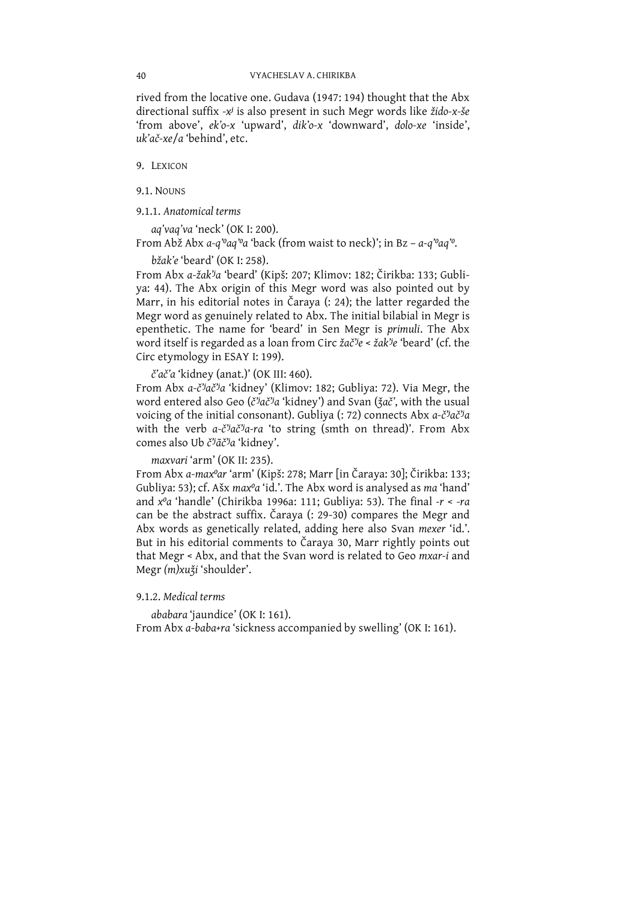rived from the locative one. Gudava (1947: 194) thought that the Abx directional suffix -x<sup>j</sup> is also present in such Megr words like žido-x-še 'from above', ek'o-x 'upward', dik'o-x 'downward', dolo-xe 'inside', uk'ač-xe/a 'behind', etc.

9. LEXICON

9.1. NOUNS

9.1.1. Anatomical terms

aq'vaq'va 'neck' (OK I: 200).

From Abž Abx a-q'oaq'oa 'back (from waist to neck)'; in Bz - a-q'oaq'o.

bžak'e 'beard' (OK I: 258).

From Abx a-žak'ja 'beard' (Kipš: 207; Klimov: 182; Čirikba: 133; Gubliya: 44). The Abx origin of this Megr word was also pointed out by Marr, in his editorial notes in Čaraya (: 24); the latter regarded the Megr word as genuinely related to Abx. The initial bilabial in Megr is epenthetic. The name for 'beard' in Sen Megr is primuli. The Abx word itself is regarded as a loan from Circ žač'je < žak'je 'beard' (cf. the Circ etymology in ESAY I: 199).

č'ač'a 'kidney (anat.)' (OK III: 460).

From Abx a-č'jač'ja 'kidney' (Klimov: 182; Gubliya: 72). Via Megr, the word entered also Geo (č<sup>3</sup>jač<sup>3</sup>a 'kidney') and Svan (žač', with the usual voicing of the initial consonant). Gubliya (: 72) connects Abx a-č<sup>3</sup>ač<sup>3</sup>a with the verb  $a-\xi^j a \xi^j a -ra$  'to string (smth on thread)'. From Abx comes also Ub č'jāč'ja 'kidney'.

```
maxvari 'arm' (OK II: 235).
```
From Abx a-maxºar 'arm' (Kipš: 278; Marr [in Čaraya: 30]; Čirikba: 133; Gubliya: 53); cf. Ašx max<sup>o</sup>a 'id.'. The Abx word is analysed as ma 'hand' and  $x^0a$  'handle' (Chirikba 1996a: 111; Gubliya: 53). The final  $-r < -ra$ can be the abstract suffix. Čaraya (: 29-30) compares the Megr and Abx words as genetically related, adding here also Svan mexer 'id.'. But in his editorial comments to Čaraya 30, Marr rightly points out that Megr < Abx, and that the Svan word is related to Geo mxar-i and Megr (m)xuži 'shoulder'.

# 9.1.2. Medical terms

ababara 'jaundice' (OK I: 161). From Abx a-baba+ra 'sickness accompanied by swelling' (OK I: 161).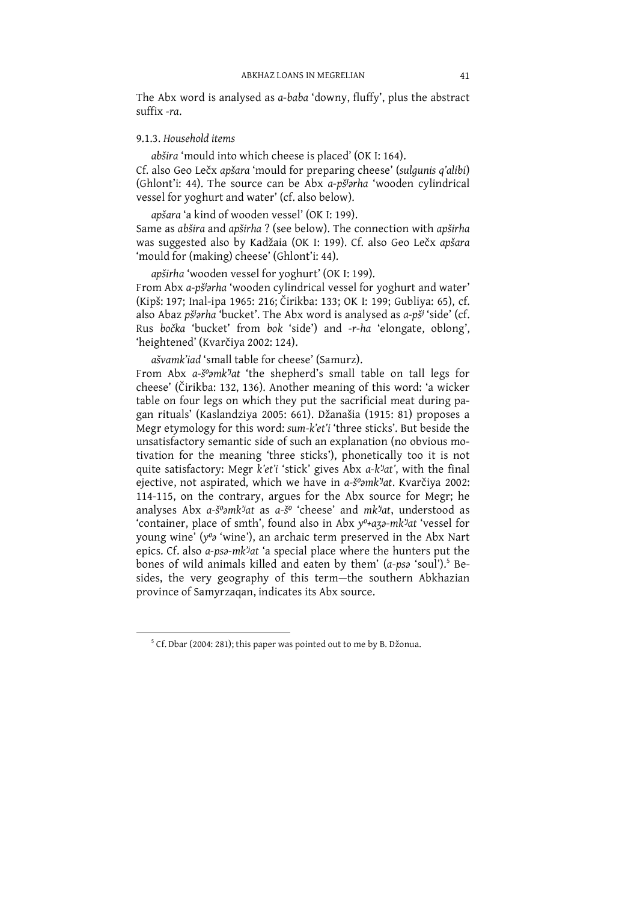The Abx word is analysed as a-baba 'downy, fluffy', plus the abstract suffix -ra.

## 9.1.3. Household items

abšira 'mould into which cheese is placed' (OK I: 164). Cf. also Geo Lečx apšara 'mould for preparing cheese' (sulgunis q'alibi) (Ghlont'i: 44). The source can be Abx a-pš<sup>j</sup>arha 'wooden cylindrical vessel for yoghurt and water' (cf. also below).

apšara 'a kind of wooden vessel' (OK I: 199). Same as abšira and apširha ? (see below). The connection with apširha was suggested also by Kadžaia (OK I: 199). Cf. also Geo Lečx apšara 'mould for (making) cheese' (Ghlont'i: 44).

apširha 'wooden vessel for yoghurt' (OK I: 199). From Abx a-pš<sup>j</sup>arha 'wooden cylindrical vessel for yoghurt and water' (Kipš: 197; Inal-ipa 1965: 216; Čirikba: 133; OK I: 199; Gubliya: 65), cf. also Abaz pš<sup>j</sup>arha 'bucket'. The Abx word is analysed as a-pš<sup>j</sup> 'side' (cf. Rus bočka 'bucket' from bok 'side') and -r-ha 'elongate, oblong', 'heightened' (Kvarčiya 2002: 124).

ašvamk'iad 'small table for cheese' (Samurz).

From Abx a-s<sup>o</sup>amk<sup>j</sup>at 'the shepherd's small table on tall legs for cheese' (Čirikba: 132, 136). Another meaning of this word: 'a wicker table on four legs on which they put the sacrificial meat during pagan rituals' (Kaslandziya 2005: 661). Džanašia (1915: 81) proposes a Megr etymology for this word: sum-k'et'i 'three sticks'. But beside the unsatisfactory semantic side of such an explanation (no obvious motivation for the meaning 'three sticks'), phonetically too it is not quite satisfactory: Megr k'et'i 'stick' gives Abx a-k'jat', with the final ejective, not aspirated, which we have in a-s<sup>o</sup>amk<sup>y</sup>at. Kvarčiya 2002: 114-115, on the contrary, argues for the Abx source for Megr; he analyses Abx a-š°amk'iat as a-š° 'cheese' and mk'iat, understood as 'container, place of smth', found also in Abx y<sup>0</sup>+a30-mk'<sup>j</sup>at 'vessel for young wine' (y'a 'wine'), an archaic term preserved in the Abx Nart epics. Cf. also a-psa-mk'<sup>j</sup>at 'a special place where the hunters put the bones of wild animals killed and eaten by them' (a-psa 'soul').<sup>5</sup> Besides, the very geography of this term-the southern Abkhazian province of Samyrzagan, indicates its Abx source.

<sup>&</sup>lt;sup>5</sup> Cf. Dbar (2004: 281); this paper was pointed out to me by B. Džonua.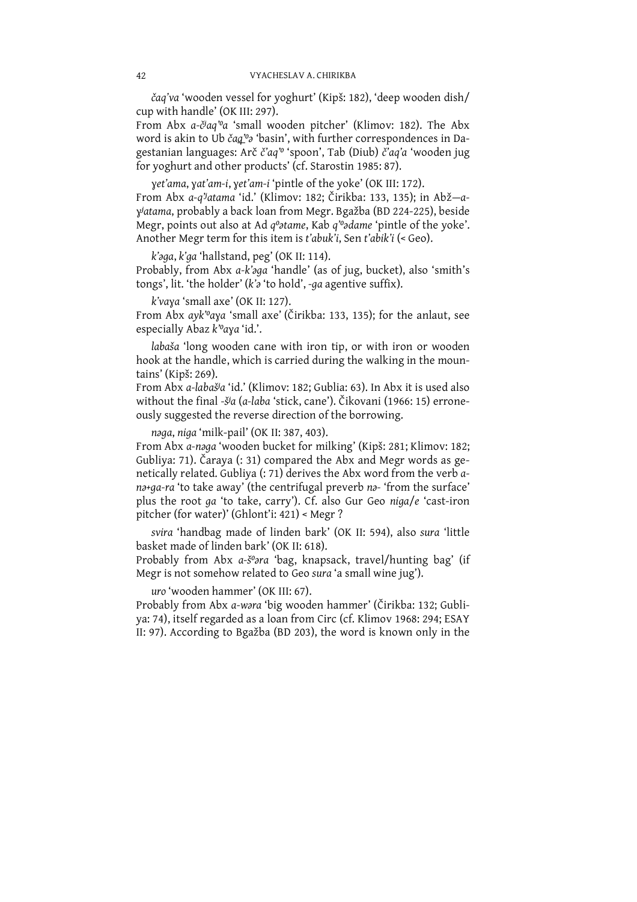čag'va 'wooden vessel for yoghurt' (Kipš: 182), 'deep wooden dish/ cup with handle' (OK III: 297).

From Abx a-čiaq"a 'small wooden pitcher' (Klimov: 182). The Abx word is akin to Ub čag<sup>'o</sup> 'basin', with further correspondences in Dagestanian languages: Arč č'aq" 'spoon', Tab (Diub) č'aq'a 'wooden jug for yoghurt and other products' (cf. Starostin 1985: 87).

yet'ama, yat'am-i, yet'am-i 'pintle of the yoke' (OK III: 172).

From Abx a-q''atama 'id.' (Klimov: 182; Čirikba: 133, 135); in Abž-ayjatama, probably a back loan from Megr. Bgažba (BD 224-225), beside Megr, points out also at Ad q<sup>o</sup>atame, Kab q'<sup>o</sup>adame 'pintle of the yoke'. Another Megr term for this item is t'abuk'i, Sen t'abik'i (< Geo).

k'aga, k'ga 'hallstand, peg' (OK II: 114). Probably, from Abx a-k'aga 'handle' (as of jug, bucket), also 'smith's tongs', lit. 'the holder' (k'a 'to hold', -ga agentive suffix).

k'vaya 'small axe' (OK II: 127). From Abx ayk'<sup>o</sup>aya 'small axe' (Čirikba: 133, 135); for the anlaut, see especially Abaz k'oaya 'id.'.

labaša 'long wooden cane with iron tip, or with iron or wooden hook at the handle, which is carried during the walking in the mountains' (Kipš: 269).

From Abx a-labašia 'id.' (Klimov: 182; Gublia: 63). In Abx it is used also without the final -šja (a-laba 'stick, cane'). Čikovani (1966: 15) erroneously suggested the reverse direction of the borrowing.

naga, niga 'milk-pail' (OK II: 387, 403).

From Abx a-naga 'wooden bucket for milking' (Kipš: 281; Klimov: 182; Gubliya: 71). Čaraya (: 31) compared the Abx and Megr words as genetically related. Gubliya (: 71) derives the Abx word from the verb ana+ga-ra 'to take away' (the centrifugal preverb na- 'from the surface' plus the root ga 'to take, carry'). Cf. also Gur Geo niga/e 'cast-iron pitcher (for water)' (Ghlont'i: 421) < Megr ?

svira 'handbag made of linden bark' (OK II: 594), also sura 'little basket made of linden bark' (OK II: 618).

Probably from Abx a-š<sup>o</sup>ara 'bag, knapsack, travel/hunting bag' (if Megr is not somehow related to Geo sura 'a small wine jug').

uro 'wooden hammer' (OK III: 67).

Probably from Abx a-wara 'big wooden hammer' (Čirikba: 132; Gubliya: 74), itself regarded as a loan from Circ (cf. Klimov 1968: 294; ESAY II: 97). According to Bgažba (BD 203), the word is known only in the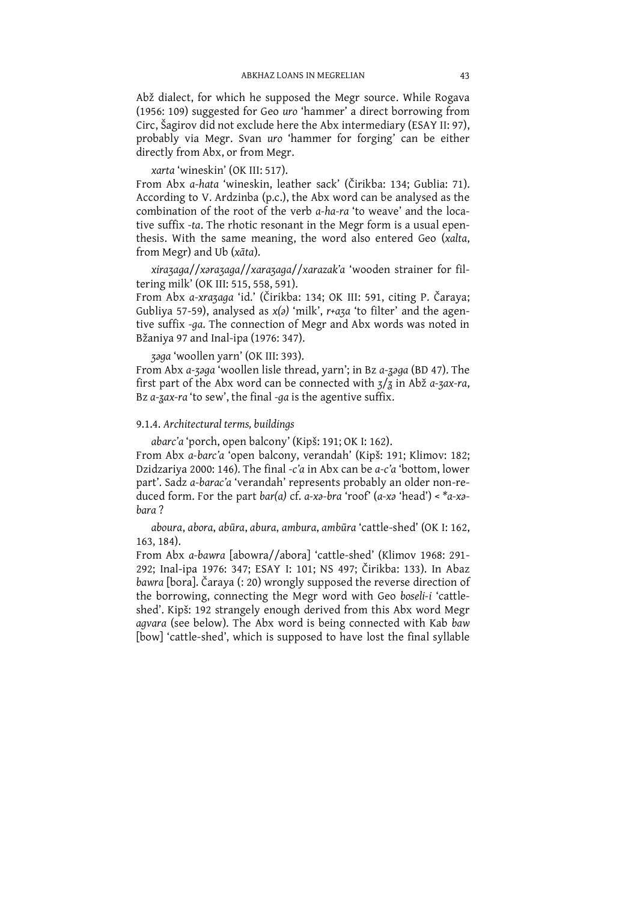Abž dialect, for which he supposed the Megr source. While Rogava (1956: 109) suggested for Geo uro 'hammer' a direct borrowing from Circ, Šagirov did not exclude here the Abx intermediary (ESAY II: 97), probably via Megr. Svan uro 'hammer for forging' can be either directly from Abx, or from Megr.

xarta 'wineskin' (OK III: 517).

From Abx a-hata 'wineskin, leather sack' (Čirikba: 134; Gublia: 71). According to V. Ardzinba (p.c.), the Abx word can be analysed as the combination of the root of the verb a-ha-ra 'to weave' and the locative suffix -ta. The rhotic resonant in the Megr form is a usual epenthesis. With the same meaning, the word also entered Geo (xalta, from Megr) and Ub (xāta).

xirazaga//xarazaga//xarazaga//xarazak'a 'wooden strainer for filtering milk' (OK III: 515, 558, 591).

From Abx a-xrazaga 'id.' (Čirikba: 134; OK III: 591, citing P. Čaraya; Gubliya 57-59), analysed as  $x(a)$  'milk',  $r+aza$  'to filter' and the agentive suffix -ga. The connection of Megr and Abx words was noted in Bžaniya 97 and Inal-ipa (1976: 347).

zaga 'woollen yarn' (OK III: 393).

From Abx a-32ga 'woollen lisle thread, yarn'; in Bz a-32ga (BD 47). The first part of the Abx word can be connected with  $\frac{7}{3}$  in Abž a-zax-ra, Bz  $a$ -zax-ra 'to sew', the final -ga is the agentive suffix.

## 9.1.4. Architectural terms, buildings

abarc'a 'porch, open balcony' (Kipš: 191; OK I: 162).

From Abx a-barc'a 'open balcony, verandah' (Kipš: 191; Klimov: 182; Dzidzariya 2000: 146). The final -c'a in Abx can be  $a$ -c'a 'bottom, lower part'. Sadz a-barac'a 'verandah' represents probably an older non-reduced form. For the part bar(a) cf. a-xa-bra 'roof' (a-xa 'head') <  $*a$ -xabara?

aboura, abora, abūra, abura, ambura, ambūra 'cattle-shed' (OK I: 162,  $163, 184$ ).

From Abx a-bawra [abowra//abora] 'cattle-shed' (Klimov 1968: 291-292; Inal-ipa 1976: 347; ESAY I: 101; NS 497; Čirikba: 133). In Abaz bawra [bora]. Čaraya (: 20) wrongly supposed the reverse direction of the borrowing, connecting the Megr word with Geo boseli-i 'cattleshed'. Kipš: 192 strangely enough derived from this Abx word Megr agvara (see below). The Abx word is being connected with Kab baw [bow] 'cattle-shed', which is supposed to have lost the final syllable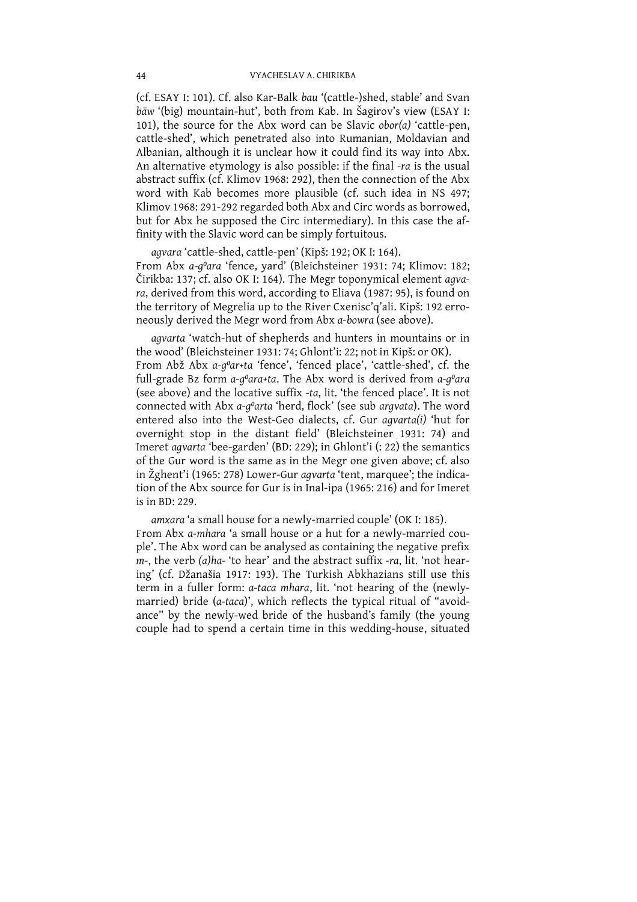(cf. ESAY I: 101). Cf. also Kar-Balk bau '(cattle-)shed, stable' and Svan bāw '(big) mountain-hut', both from Kab. In Šagirov's view (ESAY I: 101), the source for the Abx word can be Slavic obor(a) 'cattle-pen, cattle-shed', which penetrated also into Rumanian, Moldavian and Albanian, although it is unclear how it could find its way into Abx. An alternative etymology is also possible: if the final -ra is the usual abstract suffix (cf. Klimov 1968: 292), then the connection of the Abx word with Kab becomes more plausible (cf. such idea in NS 497; Klimov 1968: 291-292 regarded both Abx and Circ words as borrowed, but for Abx he supposed the Circ intermediary). In this case the affinity with the Slavic word can be simply fortuitous.

agvara 'cattle-shed, cattle-pen' (Kipš: 192; OK I: 164). From Abx a-g<sup>o</sup>ara 'fence, yard' (Bleichsteiner 1931: 74; Klimov: 182; Čirikba: 137; cf. also OK I: 164). The Megr toponymical element agvara, derived from this word, according to Eliava (1987: 95), is found on the territory of Megrelia up to the River Cxenisc'q'ali. Kipš: 192 erroneously derived the Megr word from Abx a-bowra (see above).

agvarta 'watch-hut of shepherds and hunters in mountains or in the wood' (Bleichsteiner 1931: 74; Ghlont'i: 22; not in Kipš: or OK). From Abž Abx a-g<sup>o</sup>ar+ta 'fence', 'fenced place', 'cattle-shed', cf. the full-grade Bz form a-q<sup>o</sup>ara+ta. The Abx word is derived from a-q<sup>o</sup>ara (see above) and the locative suffix -ta, lit. 'the fenced place'. It is not connected with Abx a-goarta 'herd, flock' (see sub argvata). The word entered also into the West-Geo dialects, cf. Gur agvarta(i) 'hut for overnight stop in the distant field' (Bleichsteiner 1931: 74) and Imeret agvarta 'bee-garden' (BD: 229); in Ghlont'i (: 22) the semantics of the Gur word is the same as in the Megr one given above; cf. also in Žghent'i (1965: 278) Lower-Gur agvarta 'tent, marquee'; the indication of the Abx source for Gur is in Inal-ipa (1965: 216) and for Imeret is in BD: 229.

amxara 'a small house for a newly-married couple' (OK I: 185). From Abx a-mhara 'a small house or a hut for a newly-married couple'. The Abx word can be analysed as containing the negative prefix m-, the verb (a)ha-'to hear' and the abstract suffix -ra, lit. 'not hearing' (cf. Džanašia 1917: 193). The Turkish Abkhazians still use this term in a fuller form: a-taca mhara, lit. 'not hearing of the (newlymarried) bride (a-taca)', which reflects the typical ritual of "avoidance" by the newly-wed bride of the husband's family (the young couple had to spend a certain time in this wedding-house, situated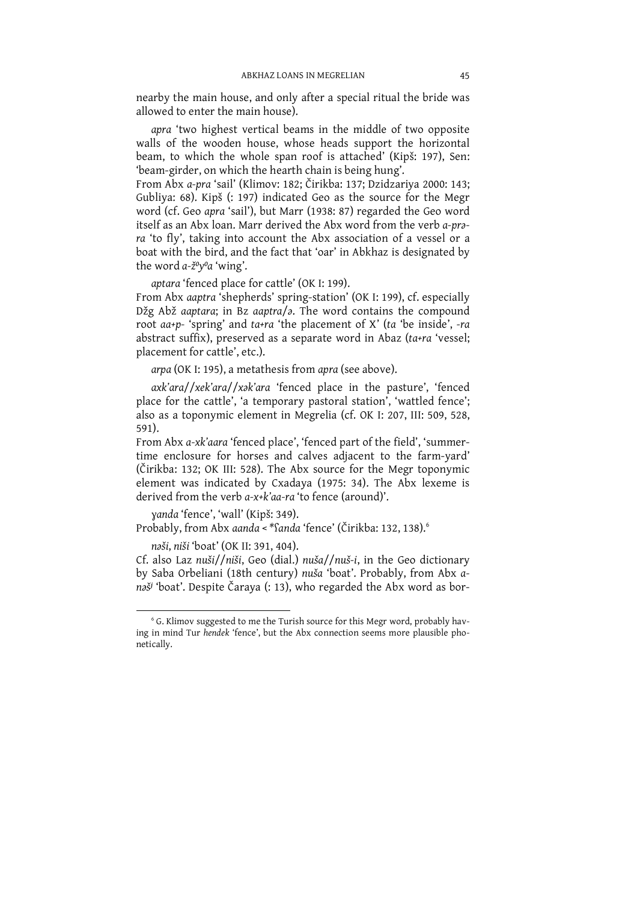nearby the main house, and only after a special ritual the bride was allowed to enter the main house).

apra 'two highest vertical beams in the middle of two opposite walls of the wooden house, whose heads support the horizontal beam, to which the whole span roof is attached' (Kipš: 197), Sen: 'beam-girder, on which the hearth chain is being hung'.

From Abx a-pra 'sail' (Klimov: 182; Čirikba: 137; Dzidzariya 2000: 143; Gubliya: 68). Kipš (: 197) indicated Geo as the source for the Megr word (cf. Geo apra 'sail'), but Marr (1938: 87) regarded the Geo word itself as an Abx loan. Marr derived the Abx word from the verb a-prara 'to fly', taking into account the Abx association of a vessel or a boat with the bird, and the fact that 'oar' in Abkhaz is designated by the word  $a$ - $\check{z}$ <sup>0</sup> $y$ <sup>0</sup> $a$  'wing'.

aptara 'fenced place for cattle' (OK I: 199).

From Abx aaptra 'shepherds' spring-station' (OK I: 199), cf. especially Džg Abž aaptara; in Bz aaptra/ $\partial$ . The word contains the compound root aa+p- 'spring' and ta+ra 'the placement of X' (ta 'be inside', -ra abstract suffix), preserved as a separate word in Abaz (ta+ra 'vessel; placement for cattle', etc.).

arpa (OK I: 195), a metathesis from apra (see above).

axk'ara//xek'ara//xak'ara 'fenced place in the pasture', 'fenced place for the cattle', 'a temporary pastoral station', 'wattled fence'; also as a toponymic element in Megrelia (cf. OK I: 207, III: 509, 528,  $591)$ .

From Abx a-xk'aara 'fenced place', 'fenced part of the field', 'summertime enclosure for horses and calves adjacent to the farm-yard' (Čirikba: 132; OK III: 528). The Abx source for the Megr toponymic element was indicated by Cxadava (1975; 34). The Abx lexeme is derived from the verb  $a-x+k'aa-ra'$  to fence (around)'.

yanda 'fence', 'wall' (Kipš: 349). Probably, from Abx aanda < \* Sanda 'fence' (Čirikba: 132, 138).

naši, niši 'boat' (OK II: 391, 404).

Cf. also Laz nuši//niši, Geo (dial.) nuša//nuš-i, in the Geo dictionary by Saba Orbeliani (18th century) nuša 'boat'. Probably, from Abx anaš<sup>j</sup> 'boat'. Despite Čaraya (: 13), who regarded the Abx word as bor-

<sup>&</sup>lt;sup>6</sup> G. Klimov suggested to me the Turish source for this Megr word, probably having in mind Tur hendek 'fence', but the Abx connection seems more plausible phonetically.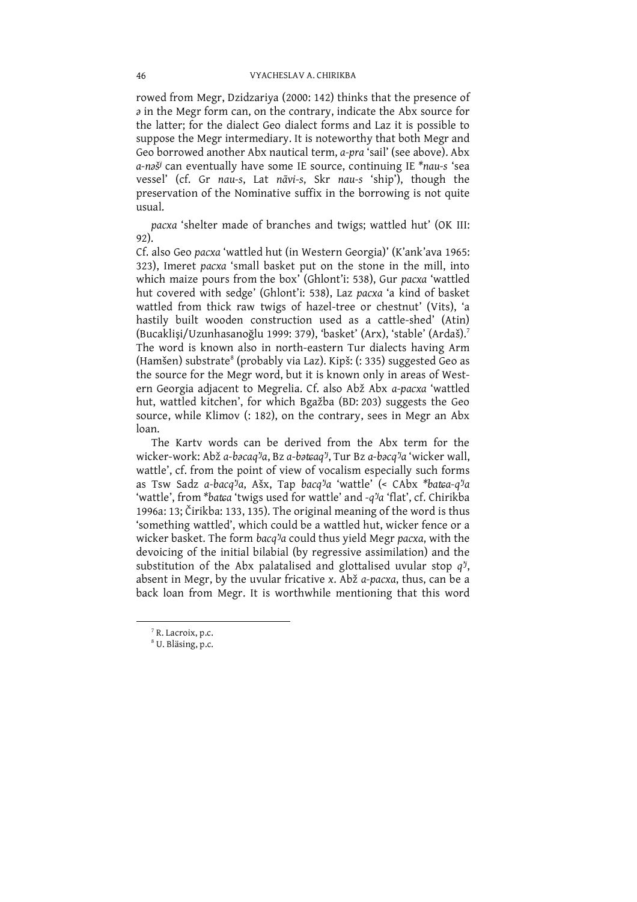rowed from Megr, Dzidzariya (2000: 142) thinks that the presence of  $\partial$  in the Megr form can, on the contrary, indicate the Abx source for the latter; for the dialect Geo dialect forms and Laz it is possible to suppose the Megr intermediary. It is noteworthy that both Megr and Geo borrowed another Abx nautical term, a-pra 'sail' (see above). Abx a-naš<sup>j</sup> can eventually have some IE source, continuing IE \*nau-s 'sea vessel' (cf. Gr nau-s, Lat nāvi-s, Skr nau-s 'ship'), though the preservation of the Nominative suffix in the borrowing is not quite usual.

pacxa 'shelter made of branches and twigs; wattled hut' (OK III: 92).

Cf. also Geo pacxa 'wattled hut (in Western Georgia)' (K'ank'ava 1965: 323), Imeret pacxa 'small basket put on the stone in the mill, into which maize pours from the box' (Ghlont'i: 538), Gur pacxa 'wattled hut covered with sedge' (Ghlont'i: 538), Laz pacxa 'a kind of basket wattled from thick raw twigs of hazel-tree or chestnut' (Vits), 'a hastily built wooden construction used as a cattle-shed' (Atin) (Bucaklişi/Uzunhasanoğlu 1999: 379), 'basket' (Arx), 'stable' (Ardaš).<sup>7</sup> The word is known also in north-eastern Tur dialects having Arm (Hamšen) substrate<sup>8</sup> (probably via Laz). Kipš: (: 335) suggested Geo as the source for the Megr word, but it is known only in areas of Western Georgia adjacent to Megrelia. Cf. also Abž Abx a-pacxa 'wattled hut, wattled kitchen', for which Bgažba (BD: 203) suggests the Geo source, while Klimov (: 182), on the contrary, sees in Megr an Abx loan

The Karty words can be derived from the Abx term for the wicker-work: Abž a-bacaq'ja, Bz a-bataq'j, Tur Bz a-bacq'ja 'wicker wall, wattle', cf. from the point of view of vocalism especially such forms as Tsw Sadz a-bacq<sup>j</sup>a, Ašx, Tap bacq<sup>j</sup>a 'wattle' (< CAbx \*batca-q<sup>j</sup>a 'wattle', from \*batca 'twigs used for wattle' and -q<sup>j</sup>a 'flat', cf. Chirikba 1996a: 13; Čirikba: 133, 135). The original meaning of the word is thus 'something wattled', which could be a wattled hut, wicker fence or a wicker basket. The form bacq'/a could thus yield Megr pacxa, with the devoicing of the initial bilabial (by regressive assimilation) and the substitution of the Abx palatalised and glottalised uvular stop  $q^{y}$ , absent in Megr, by the uvular fricative x. Abž a-pacxa, thus, can be a back loan from Megr. It is worthwhile mentioning that this word

<sup>7</sup> R. Lacroix, p.c.

<sup>&</sup>lt;sup>8</sup> U. Bläsing, p.c.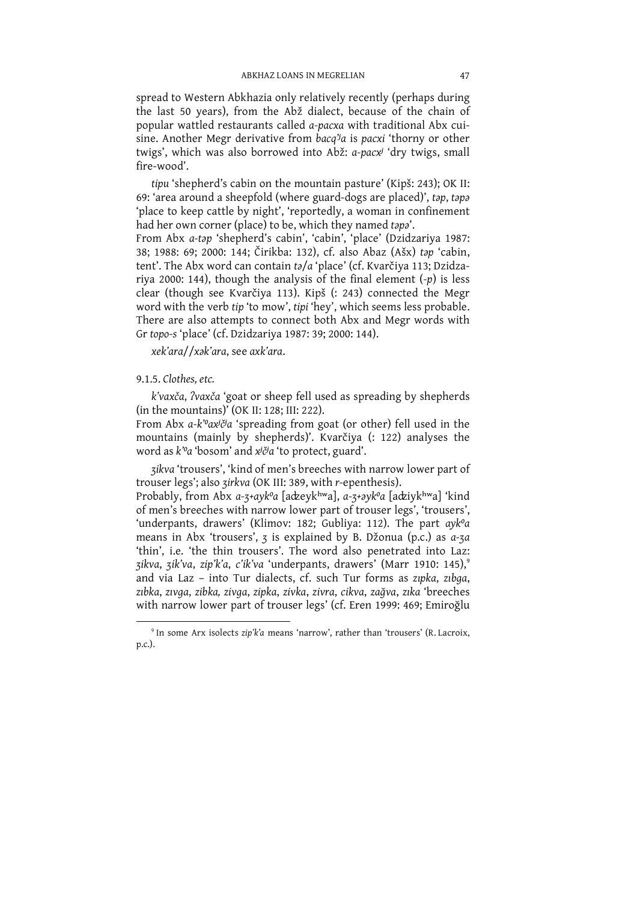spread to Western Abkhazia only relatively recently (perhaps during<br>the last 50 years), from the Abž dialect, because of the chain of popular wattled restaurants called a-pacxa with traditional Abx cuisine. Another Megr derivative from bacq<sup>7</sup>a is pacxi 'thorny or other twigs', which was also borrowed into Abž: a-pacx<sup>j</sup> 'dry twigs, small fire-wood'.

tire-wood.<br>
tipu 'shepherd's cabin on the mountain pasture' (Kipš: 243); OK II:<br>
69: 'area around a sheepfold (where guard-dogs are placed)', *tap*, *tapa*<br>
'place to keep cattle by night', 'reportedly, a woman in confine

xek'ara//xək'ara, see axk'ara.

## 9.1.5. Clothes, etc.

k'vaxča, ?vaxča 'goat or sheep fell used as spreading by shepherds (in the mountains)' (OK II: 128; III: 222).

From Abx a-k'oaxiča 'spreading from goat (or other) fell used in the mountains (mainly by shepherds)'. Kvarčiya (: 122) analyses the word as k'o 'bosom' and xiča 'to protect, guard'.

zikva 'trousers', 'kind of men's breeches with narrow lower part of trouser legs'; also zirkva (OK III: 389, with r-epenthesis).

Probably, from Abx a-3+ayk<sup>o</sup>a [adzeyk<sup>hw</sup>a], a-3+*ayk<sup>o</sup>a* [adziykhwa] 'kind of men's breeches with narrow lower part of trouser legs', 'trousers', 'underpants, drawers' (Klimov: 182; Gubliya: 112). The part  $ayk^0a$  means in Abx 'trousers', 3 is explained by B. Džonua (p.c.) as  $a$ -za 'thin', i.e. 'the thin trousers'. The word also penetrated into Laz: zikva, zik'va, zip'k'a, c'ik'va 'underpants, drawers' (Marr 1910: 145),<sup>9</sup><br>and via Laz - into Tur dialects, cf. such Tur forms as zipka, zibga, zıbka, zıvga, zibka, zivga, zipka, zivka, zivra, cikva, zağva, zıka 'breeches with narrow lower part of trouser legs' (cf. Eren 1999: 469; Emiroğlu

<sup>&</sup>lt;sup>9</sup> In some Arx isolects zip'k'a means 'narrow', rather than 'trousers' (R. Lacroix, p.c.).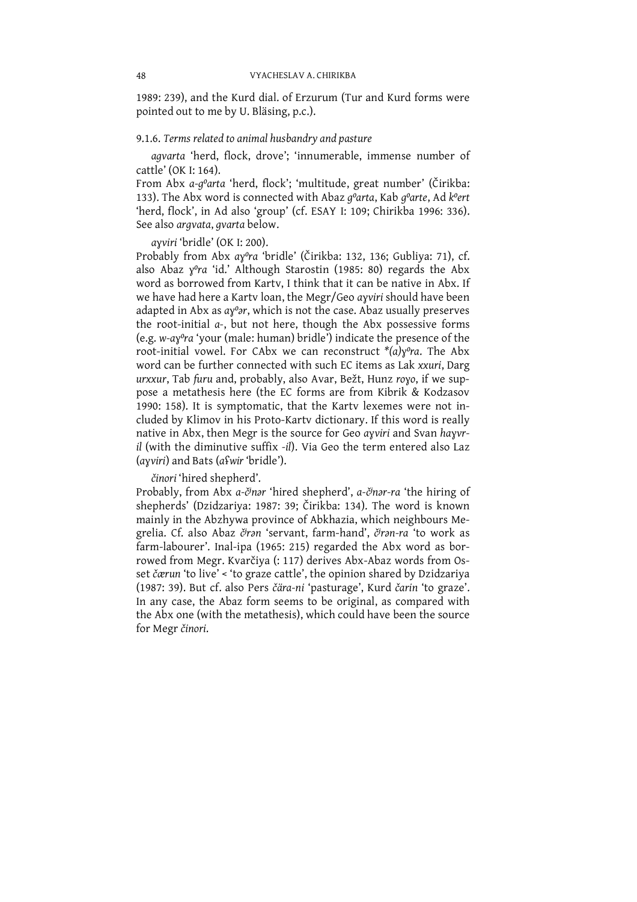1989: 239), and the Kurd dial. of Erzurum (Tur and Kurd forms were pointed out to me by U. Bläsing, p.c.).

## 9.1.6. Terms related to animal husbandry and pasture

agvarta 'herd, flock, drove'; 'innumerable, immense number of cattle' (OK I: 164).

From Abx a-g<sup>o</sup>arta 'herd, flock'; 'multitude, great number' (Čirikba: 133). The Abx word is connected with Abaz goarta, Kab goarte, Ad koert 'herd, flock', in Ad also 'group' (cf. ESAY I: 109; Chirikba 1996: 336). See also argvata, gvarta below.

ayviri 'bridle' (OK I: 200).

Probably from Abx ay<sup>o</sup>ra 'bridle' (Čirikba: 132, 136; Gubliya: 71), cf. also Abaz y<sup>o</sup>ra 'id.' Although Starostin (1985: 80) regards the Abx word as borrowed from Karty. I think that it can be native in Abx. If we have had here a Karty loan, the Megr/Geo ayviri should have been adapted in Abx as  $a\chi^0$ ar, which is not the case. Abaz usually preserves the root-initial a-, but not here, though the Abx possessive forms (e.g. w-ay<sup>o</sup>ra 'your (male: human) bridle') indicate the presence of the root-initial vowel. For CAbx we can reconstruct  $*(a)y^{\circ}ra$ . The Abx word can be further connected with such EC items as Lak xxuri, Darg urxxur, Tab furu and, probably, also Avar, Bežt, Hunz royo, if we suppose a metathesis here (the EC forms are from Kibrik & Kodzasov 1990: 158). It is symptomatic, that the Karty lexemes were not included by Klimov in his Proto-Karty dictionary. If this word is really native in Abx, then Megr is the source for Geo ayviri and Svan hayvril (with the diminutive suffix -il). Via Geo the term entered also Laz (ayviri) and Bats (afwir 'bridle').

činori 'hired shepherd'.

Probably, from Abx a-činar 'hired shepherd', a-činar-ra 'the hiring of shepherds' (Dzidzariya: 1987: 39; Čirikba: 134). The word is known mainly in the Abzhywa province of Abkhazia, which neighbours Megrelia. Cf. also Abaz čran 'servant, farm-hand', čran-ra 'to work as farm-labourer'. Inal-ipa (1965: 215) regarded the Abx word as borrowed from Megr. Kvarčiya (: 117) derives Abx-Abaz words from Osset čærun 'to live' < 'to graze cattle', the opinion shared by Dzidzariya (1987: 39). But cf. also Pers čära-ni 'pasturage', Kurd čarin 'to graze'. In any case, the Abaz form seems to be original, as compared with the Abx one (with the metathesis), which could have been the source for Megr činori.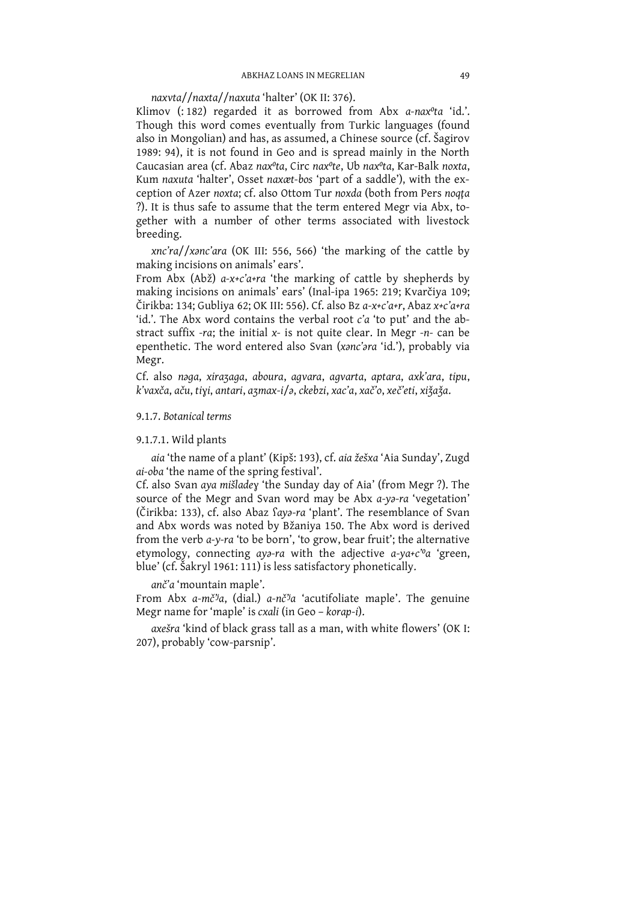naxvta//naxta//naxuta 'halter' (OK II: 376).

Klimov (: 182) regarded it as borrowed from Abx a-nax<sup>o</sup>ta 'id.'. Though this word comes eventually from Turkic languages (found also in Mongolian) and has, as assumed, a Chinese source (cf. Šagirov 1989: 94), it is not found in Geo and is spread mainly in the North Caucasian area (cf. Abaz nax<sup>o</sup>ta, Circ nax<sup>o</sup>te, Ub nax<sup>o</sup>ta, Kar-Balk noxta, Kum naxuta 'halter', Osset naxæt-bos 'part of a saddle'), with the exception of Azer noxta; cf. also Ottom Tur noxda (both from Pers noqta ?). It is thus safe to assume that the term entered Megr via Abx, together with a number of other terms associated with livestock breeding.

xnc'ra//xanc'ara (OK III: 556, 566) 'the marking of the cattle by making incisions on animals' ears'.

From Abx (Abž)  $a-x+c' a+ra$  'the marking of cattle by shepherds by making incisions on animals' ears' (Inal-ipa 1965: 219; Kvarčiya 109; Čirikba: 134; Gubliya 62; OK III: 556). Cf. also Bz a-x+c'a+r, Abaz x+c'a+ra 'id.'. The Abx word contains the verbal root c'a 'to put' and the abstract suffix -ra; the initial  $x$ - is not quite clear. In Megr -n- can be epenthetic. The word entered also Svan (xanc'ara 'id.'), probably via Megr.

Cf. also naga, xirazaga, aboura, agvara, agvarta, aptara, axk'ara, tipu, k'vaxča, aču, tiyi, antari, azmax-i/ə, ckebzi, xac'a, xač'o, xeč'eti, xižaža.

9.1.7. Botanical terms

### 9.1.7.1. Wild plants

aia 'the name of a plant' (Kipš: 193), cf. aia žešxa 'Aia Sunday', Zugd ai-oba 'the name of the spring festival'.

Cf. also Svan aya mišladey 'the Sunday day of Aia' (from Megr ?). The source of the Megr and Svan word may be Abx a-ya-ra 'vegetation' (Čirikba: 133), cf. also Abaz faya-ra 'plant'. The resemblance of Svan and Abx words was noted by Bžaniya 150. The Abx word is derived from the verb a-y-ra 'to be born', 'to grow, bear fruit'; the alternative etymology, connecting aya-ra with the adjective a-ya+c'<sup>o</sup>a 'green, blue' (cf. Šakryl 1961: 111) is less satisfactory phonetically.

anč'a 'mountain maple'.

From Abx a-mč<sup>y</sup>a, (dial.) a-nč<sup>y</sup>a 'acutifoliate maple'. The genuine Megr name for 'maple' is cxali (in Geo - korap-i).

axešra 'kind of black grass tall as a man, with white flowers' (OK I: 207), probably 'cow-parsnip'.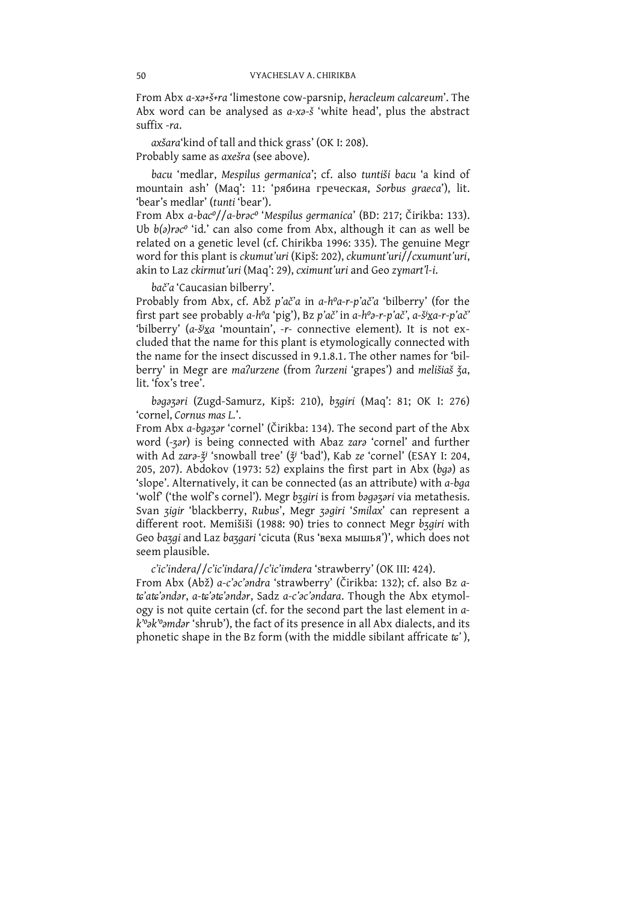From Abx a-xa+š+ra 'limestone cow-parsnip, heracleum calcareum'. The Abx word can be analysed as a-xa-s 'white head', plus the abstract suffix -ra.

axšara'kind of tall and thick grass' (OK I: 208). Probably same as axešra (see above).

bacu 'medlar, Mespilus germanica'; cf. also tuntiši bacu 'a kind of mountain ash' (Maq': 11: 'рябина греческая, Sorbus graeca'), lit. 'bear's medlar' (tunti 'bear').

From Abx a-bac<sup>o</sup>//a-brac<sup>o</sup> 'Mespilus germanica' (BD: 217; Čirikba: 133). Ub b(a)rac<sup>o</sup> 'id.' can also come from Abx, although it can as well be related on a genetic level (cf. Chirikba 1996: 335). The genuine Megr word for this plant is ckumut'uri (Kipš: 202), ckumunt'uri//cxumunt'uri, akin to Laz ckirmut'uri (Maq': 29), cximunt'uri and Geo zymart'l-i.

bač'a 'Caucasian bilberry'.

Probably from Abx, cf. Abž p'ač'a in a-hºa-r-p'ač'a 'bilberry' (for the first part see probably a-h<sup>o</sup>a 'pig'), Bz p'ač' in a-h<sup>o</sup>a-r-p'ač', a-šixa-r-p'ač' 'bilberry' (a- $\frac{3}{2}$ xa 'mountain', -r- connective element). It is not excluded that the name for this plant is etymologically connected with the name for the insect discussed in 9.1.8.1. The other names for 'bilberry' in Megr are malurzene (from lurzeni 'grapes') and melišiaš ža, lit. 'fox's tree'.

bagazari (Zugd-Samurz, Kipš: 210), bzgiri (Maq': 81; OK I: 276) 'cornel, Cornus mas L.'.

From Abx a-bqazar 'cornel' (Čirikba: 134). The second part of the Abx word (-zar) is being connected with Abaz zara 'cornel' and further with Ad zara-ž<sup>j</sup> 'snowball tree' (ž<sup>j</sup> 'bad'), Kab ze 'cornel' (ESAY I: 204, 205, 207). Abdokov (1973: 52) explains the first part in Abx ( $bqq$ ) as 'slope'. Alternatively, it can be connected (as an attribute) with a-bga 'wolf ('the wolf's cornel'). Megr bzgiri is from bagazari via metathesis. Svan zigir 'blackberry, Rubus', Megr zagiri 'Smilax' can represent a different root. Memišiši (1988: 90) tries to connect Megr bzgiri with Geo bazgi and Laz bazgari 'cicuta (Rus 'веха мышья')', which does not seem plausible.

c'ic'indera//c'ic'indara//c'ic'imdera 'strawberry' (OK III: 424). From Abx (Abž) a-c'oc'ondra 'strawberry' (Čirikba: 132); cf. also Bz ats'ats'andar, a-ts'ats'andar, Sadz a-c'ac'andara. Though the Abx etymology is not quite certain (cf. for the second part the last element in ak"ok" omdar 'shrub'), the fact of its presence in all Abx dialects, and its phonetic shape in the Bz form (with the middle sibilant affricate  $t\epsilon'$ ),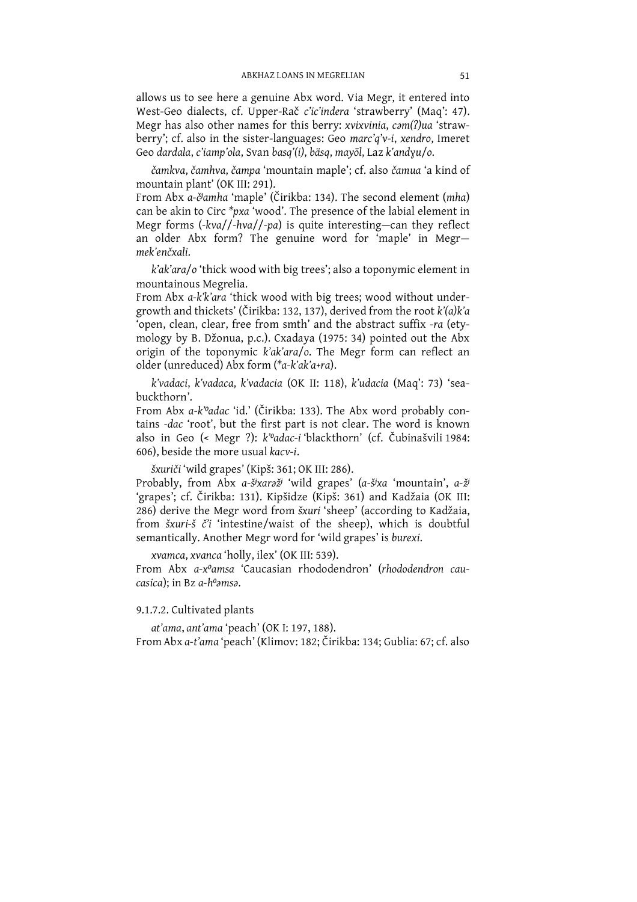allows us to see here a genuine Abx word. Via Megr, it entered into West-Geo dialects, cf. Upper-Rač c'ic'indera 'strawberry' (Maq': 47). Megr has also other names for this berry: xvixvinia, cam(?)ua 'strawberry'; cf. also in the sister-languages: Geo marc'q'v-i, xendro, Imeret Geo dardala, c'iamp'ola, Svan basq'(i), bäsq, mayōl, Laz k'andyu/o.

čamkva, čamhva, čampa 'mountain maple'; cf. also čamua 'a kind of mountain plant' (OK III: 291).

From Abx a-č<sup>j</sup>amha 'maple' (Čirikba: 134). The second element (mha) can be akin to Circ \*pxa 'wood'. The presence of the labial element in Megr forms  $(-kva)/-hva/(-pa)$  is quite interesting-can they reflect an older Abx form? The genuine word for 'maple' in Megrmek'enčxali.

k'ak'ara/o 'thick wood with big trees'; also a toponymic element in mountainous Megrelia.

From Abx a-k'k'ara 'thick wood with big trees; wood without undergrowth and thickets' (Čirikba: 132, 137), derived from the root k'(a)k'a 'open, clean, clear, free from smth' and the abstract suffix -ra (etymology by B. Džonua, p.c.). Cxadaya (1975: 34) pointed out the Abx origin of the toponymic k'ak'ara/o. The Megr form can reflect an older (unreduced) Abx form (\*a-k'ak'a+ra).

k'vadaci, k'vadaca, k'vadacia (OK II: 118), k'udacia (Maq': 73) 'seabuckthorn'.

From Abx a-k'oadac 'id.' (Čirikba: 133). The Abx word probably contains -dac 'root', but the first part is not clear. The word is known also in Geo (< Megr ?): k'oadac-i 'blackthorn' (cf. Čubinašvili 1984: 606), beside the more usual kacv-i.

šxuriči 'wild grapes' (Kipš: 361; OK III: 286).

Probably, from Abx a-š<sup>j</sup>xaraž<sup>j</sup> 'wild grapes' (a-š<sup>j</sup>xa 'mountain', a-ž<sup>j</sup> 'grapes'; cf. Čirikba: 131). Kipšidze (Kipš: 361) and Kadžaia (OK III: 286) derive the Megr word from šxuri 'sheep' (according to Kadžaia, from šxuri-š č'i 'intestine/waist of the sheep), which is doubtful semantically. Another Megr word for 'wild grapes' is burexi.

xvamca, xvanca 'holly, ilex' (OK III: 539).

From Abx a-x<sup>o</sup>amsa 'Caucasian rhododendron' (rhododendron cau $casica$ : in Bz  $a-h^{\circ} \text{ansa}$ .

# 9.1.7.2. Cultivated plants

at'ama, ant'ama 'peach' (OK I: 197, 188). From Abx a-t'ama 'peach' (Klimov: 182; Čirikba: 134; Gublia: 67; cf. also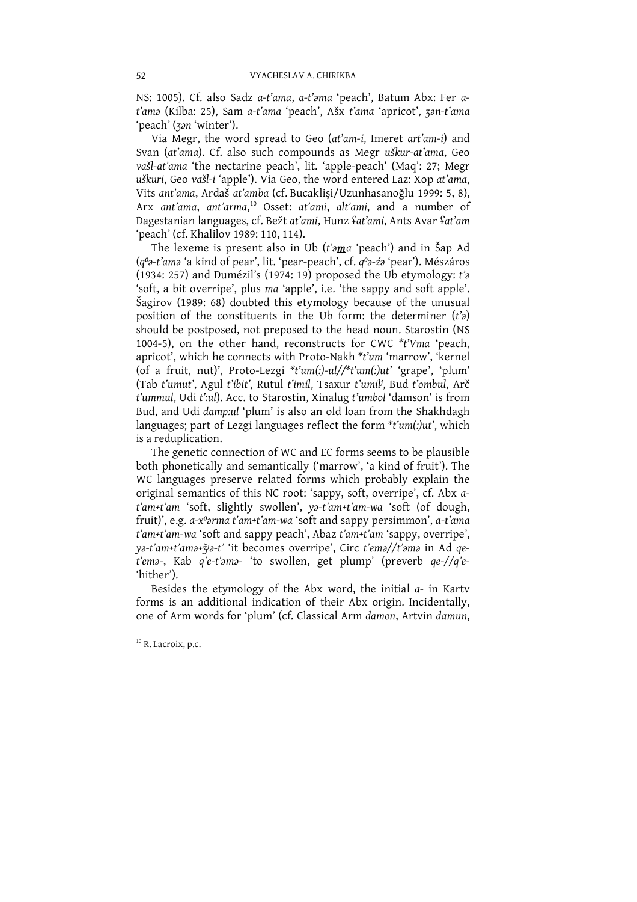NS: 1005). Cf. also Sadz a-t'ama, a-t'ama 'peach', Batum Abx: Fer at'ama (Kilba: 25), Sam a-t'ama 'peach', Ašx t'ama 'apricot', zan-t'ama 'peach' (zan 'winter').

Via Megr, the word spread to Geo (at'am-i, Imeret art'am-i) and Svan (at'ama). Cf. also such compounds as Megr uškur-at'ama, Geo vašl-at'ama 'the nectarine peach', lit. 'apple-peach' (Maq': 27; Megr uškuri, Geo vašl-i 'apple'). Via Geo, the word entered Laz: Xop at'ama, Vits ant'ama, Ardaš at'amba (cf. Bucaklisi/Uzunhasanoğlu 1999: 5, 8), Arx ant'ama, ant'arma,<sup>10</sup> Osset: at'ami, alt'ami, and a number of Dagestanian languages, cf. Bežt at'ami, Hunz fat'ami, Ants Avar fat'am 'peach' (cf. Khalilov 1989: 110, 114).

The lexeme is present also in Ub (t'ama 'peach') and in Šap Ad (q<sup>o</sup>a-t'ama 'a kind of pear', lit. 'pear-peach', cf. q<sup>o</sup>a-źa 'pear'). Mészáros (q *a*-t allow a kind of pear , iii. pear-peach, cr. q *a*-z*o* pear ). Meszaros<br>(1934: 257) and Dumézil's (1974: 19) proposed the Ub etymology: t'*a*<br>'soft, a bit overripe', plus ma 'apple', i.e. 'the sappy and soft appl should be postposed, not preposed to the head noun. Starostin (NS 1004-5), on the other hand, reconstructs for CWC \*t'Vma 'peach, apricot', which he connects with Proto-Nakh \*t'um 'marrow', 'kernel (of a fruit, nut)', Proto-Lezgi  $*t'um(:)-ul//*t'um(:)ut'$  'grape', 'plum' (Tab t'umut', Agul t'ibit', Rutul t'imil, Tsaxur t'umil', Bud t'ombul, Arč t'ummul, Udi t':ul). Acc. to Starostin, Xinalug t'umbol 'damson' is from Bud, and Udi damp:ul 'plum' is also an old loan from the Shakhdagh languages; part of Lezgi languages reflect the form \*t'um(:)ut', which is a reduplication.

The genetic connection of WC and EC forms seems to be plausible both phonetically and semantically ('marrow', 'a kind of fruit'). The WC languages preserve related forms which probably explain the original semantics of this NC root: 'sappy, soft, overripe', cf. Abx at'am+t'am 'soft, slightly swollen', ya-t'am+t'am-wa 'soft (of dough,<br>fruit)', e.g. a-x°arma t'am+t'am-wa 'soft and sappy persimmon', a-t'ama t'am+t'am-wa 'soft and sappy peach', Abaz t'am+t'am 'sappy, overripe', ya-t'am+t'ama+ž<sup>j</sup>a-t' 'it becomes overripe', Circ t'ema//t'ama in Ad qe-t'ema-, Kab q'e-t'ama- 'to swollen, get plump' (preverb qe-//q'e-'hither').

Besides the etymology of the Abx word, the initial  $a$ - in Kartv forms is an additional indication of their Abx origin. Incidentally, one of Arm words for 'plum' (cf. Classical Arm damon, Artvin damun,

<sup>&</sup>lt;sup>10</sup> R. Lacroix, p.c.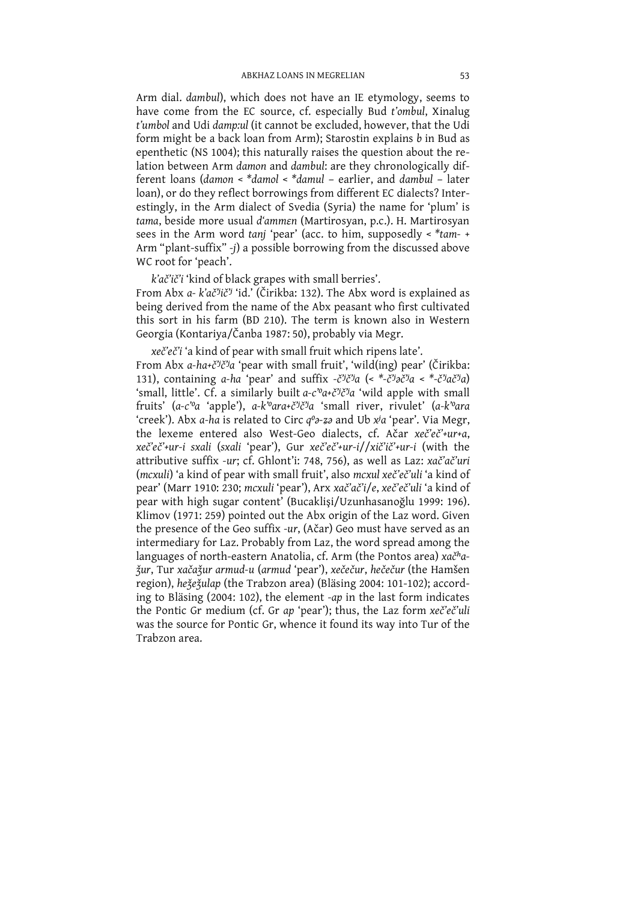Arm dial. dambul), which does not have an IE etymology, seems to have come from the EC source, cf. especially Bud t'ombul, Xinalug t'umbol and Udi damp:ul (it cannot be excluded, however, that the Udi form might be a back loan from Arm); Starostin explains b in Bud as epenthetic (NS 1004); this naturally raises the question about the relation between Arm damon and dambul: are they chronologically different loans (damon < \*damol < \*damul - earlier, and dambul - later loan), or do they reflect borrowings from different EC dialects? Interestingly, in the Arm dialect of Svedia (Syria) the name for 'plum' is tama, beside more usual d'ammen (Martirosyan, p.c.). H. Martirosyan sees in the Arm word tanj 'pear' (acc. to him, supposedly  $\lt^*$  tam-Arm "plant-suffix" -j) a possible borrowing from the discussed above WC root for 'peach'.

k'ač'ič'i 'kind of black grapes with small berries'.

From Abx a- k'ač'jič' 'id.' (Čirikba: 132). The Abx word is explained as being derived from the name of the Abx peasant who first cultivated this sort in his farm (BD 210). The term is known also in Western Georgia (Kontariya/Čanba 1987: 50), probably via Megr.

xeč'eč'i 'a kind of pear with small fruit which ripens late'. From Abx a-ha+č<sup>y</sup>č'ja 'pear with small fruit', 'wild(ing) pear' (Čirikba: 131), containing a-ha 'pear' and suffix  $-\xi^{ij}\xi^{ij}a$  (<  $*-\xi^{ij}a\xi^{ij}a$  <  $*-\xi^{ij}a\xi^{ij}a$ ) 'small, little'. Cf. a similarly built  $a-c^{\nu}a+c^{\nu}c^{\nu}a$  'wild apple with small fruits'  $(a-c^{\nu}a$  'apple'),  $a-k^{\nu}ara+c^{\nu}c^{\nu}a$  'small river, rivulet'  $(a-k^{\nu}ara)$ 'creek'). Abx a-ha is related to Circ  $q^o$ -za and Ub x<sup>j</sup>a 'pear'. Via Megr, the lexeme entered also West-Geo dialects, cf. Ačar xeč'eč'+ur+a, xeč'eč'+ur-i sxali (sxali 'pear'), Gur xeč'eč'+ur-i//xič'ič'+ur-i (with the attributive suffix -ur; cf. Ghlont'i: 748, 756), as well as Laz: xač'ač'uri (mcxuli) 'a kind of pear with small fruit', also mcxul xeč'eč'uli 'a kind of pear' (Marr 1910: 230; mcxuli 'pear'), Arx xač'ač'i/e, xeč'eč'uli 'a kind of pear with high sugar content' (Bucaklisi/Uzunhasanoğlu 1999: 196). Klimov (1971: 259) pointed out the Abx origin of the Laz word. Given the presence of the Geo suffix -ur, (Ačar) Geo must have served as an intermediary for Laz. Probably from Laz, the word spread among the languages of north-eastern Anatolia, cf. Arm (the Pontos area)  $x a \tilde{c}^h a$ žur, Tur xačažur armud-u (armud 'pear'), xečečur, hečečur (the Hamšen region), hežežulap (the Trabzon area) (Bläsing 2004: 101-102); according to Bläsing (2004: 102), the element -ap in the last form indicates the Pontic Gr medium (cf. Gr ap 'pear'); thus, the Laz form xeč'eč'uli was the source for Pontic Gr, whence it found its way into Tur of the Trabzon area.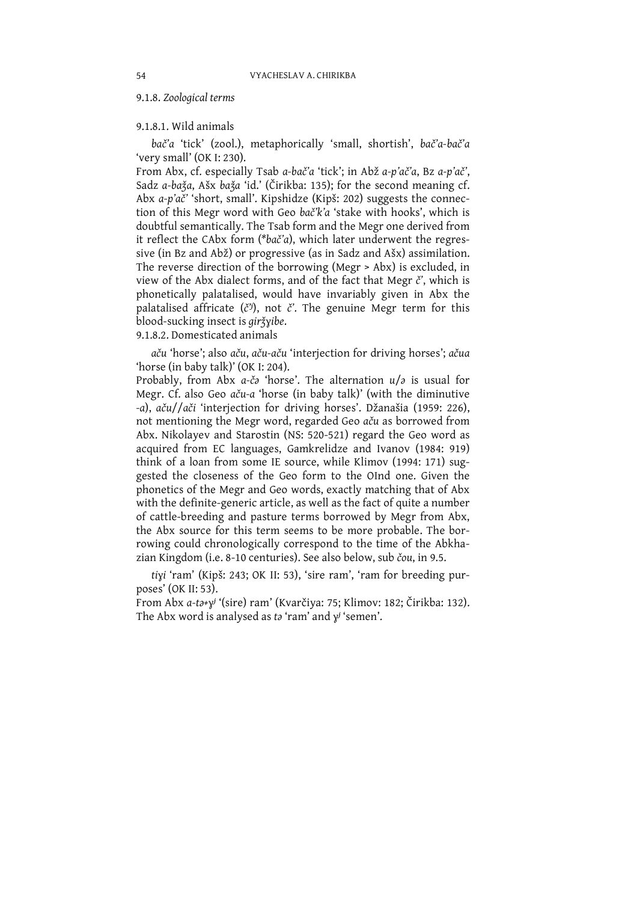### 9.1.8. Zoological terms

## 9.1.8.1. Wild animals

bač'a 'tick' (zool.), metaphorically 'small, shortish', bač'a-bač'a 'very small' (OK I: 230).

From Abx, cf. especially Tsab a-bač'a 'tick'; in Abž a-p'ač'a, Bz a-p'ač', Sadz a-baža, Ašx baža 'id.' (Čirikba: 135); for the second meaning cf. Abx a-p'ač' 'short, small'. Kipshidze (Kipš: 202) suggests the connection of this Megr word with Geo bač'k'a 'stake with hooks', which is doubtful semantically. The Tsab form and the Megr one derived from it reflect the CAbx form (\*bač'a), which later underwent the regressive (in Bz and Abž) or progressive (as in Sadz and Ašx) assimilation. The reverse direction of the borrowing (Megr > Abx) is excluded, in view of the Abx dialect forms, and of the fact that Megr č', which is phonetically palatalised, would have invariably given in Abx the palatalised affricate  $(\check{c}^y)$ , not  $\check{c}'$ . The genuine Megr term for this blood-sucking insect is giržyibe.

9.1.8.2. Domesticated animals

aču 'horse'; also aču, aču-aču 'interjection for driving horses'; ačua 'horse (in baby talk)' (OK I: 204).

Probably, from Abx a-ča 'horse'. The alternation  $u/s$  is usual for Megr. Cf. also Geo aču-a 'horse (in baby talk)' (with the diminutive -a), aču//ači 'interjection for driving horses'. Džanašia (1959: 226), not mentioning the Megr word, regarded Geo aču as borrowed from Abx. Nikolayev and Starostin (NS: 520-521) regard the Geo word as acquired from EC languages, Gamkrelidze and Ivanov (1984: 919) think of a loan from some IE source, while Klimov (1994: 171) suggested the closeness of the Geo form to the OInd one. Given the phonetics of the Megr and Geo words, exactly matching that of Abx with the definite-generic article, as well as the fact of quite a number of cattle-breeding and pasture terms borrowed by Megr from Abx, the Abx source for this term seems to be more probable. The borrowing could chronologically correspond to the time of the Abkhazian Kingdom (i.e. 8-10 centuries). See also below, sub čou, in 9.5.

tiyi 'ram' (Kipš: 243; OK II: 53), 'sire ram', 'ram for breeding purposes' (OK II: 53).

From Abx a-ta+y<sup>j</sup> '(sire) ram' (Kvarčiya: 75; Klimov: 182; Čirikba: 132). The Abx word is analysed as to 'ram' and  $y'$  'semen'.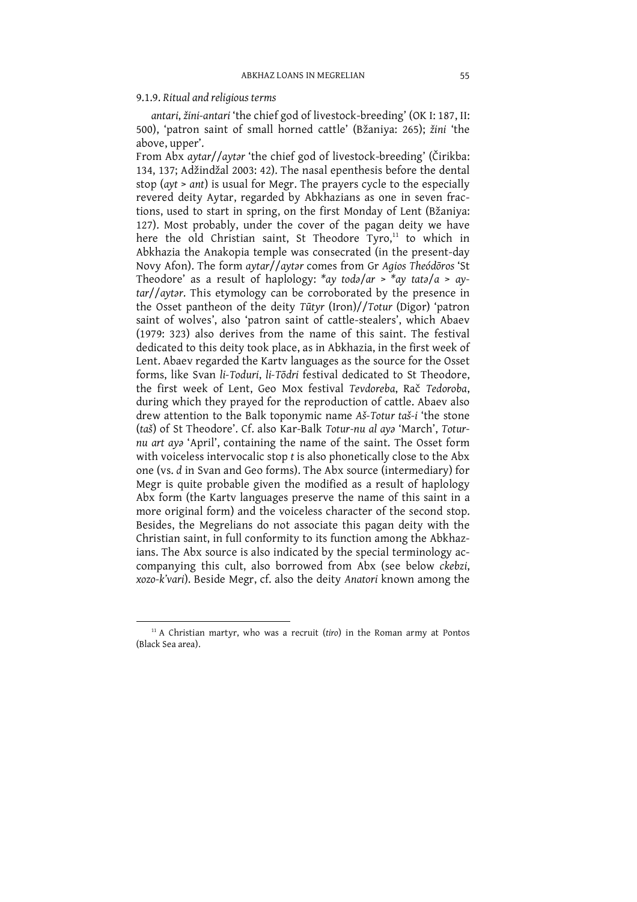### 9.1.9. Ritual and religious terms

antari, žini-antari 'the chief god of livestock-breeding' (OK I: 187, II: 500), 'patron saint of small horned cattle' (Bžaniya: 265); žini 'the above, upper'.

From Abx aytar//aytar 'the chief god of livestock-breeding' (Čirikba: 134, 137; Adžindžal 2003: 42). The nasal epenthesis before the dental stop (ayt > ant) is usual for Megr. The prayers cycle to the especially revered deity Aytar, regarded by Abkhazians as one in seven fractions, used to start in spring, on the first Monday of Lent (Bžaniya: 127). Most probably, under the cover of the pagan deity we have here the old Christian saint, St Theodore Tyro,<sup>11</sup> to which in Abkhazia the Anakopia temple was consecrated (in the present-day Novy Afon). The form aytar//aytar comes from Gr Agios Theódoros 'St Theodore' as a result of haplology: \*ay toda/ar > \*ay tata/a > aytar//aytar. This etymology can be corroborated by the presence in the Osset pantheon of the deity Tūtyr (Iron)//Totur (Digor) 'patron saint of wolves', also 'patron saint of cattle-stealers', which Abaev (1979: 323) also derives from the name of this saint. The festival dedicated to this deity took place, as in Abkhazia, in the first week of Lent. Abaev regarded the Karty languages as the source for the Osset forms, like Svan li-Toduri, li-Tōdri festival dedicated to St Theodore, the first week of Lent. Geo Mox festival Tevdoreba, Rač Tedoroba, during which they prayed for the reproduction of cattle. Abaev also drew attention to the Balk toponymic name Aš-Totur taš-i 'the stone (taš) of St Theodore'. Cf. also Kar-Balk Totur-nu al aya 'March', Toturnu art aya 'April', containing the name of the saint. The Osset form with voiceless intervocalic stop t is also phonetically close to the Abx one (vs. d in Svan and Geo forms). The Abx source (intermediary) for Megr is quite probable given the modified as a result of haplology Abx form (the Karty languages preserve the name of this saint in a more original form) and the voiceless character of the second stop. Besides, the Megrelians do not associate this pagan deity with the Christian saint, in full conformity to its function among the Abkhazians. The Abx source is also indicated by the special terminology accompanying this cult, also borrowed from Abx (see below ckebzi, xozo-k'vari). Beside Megr, cf. also the deity Anatori known among the

 $11$  A Christian martyr, who was a recruit (tiro) in the Roman army at Pontos (Black Sea area).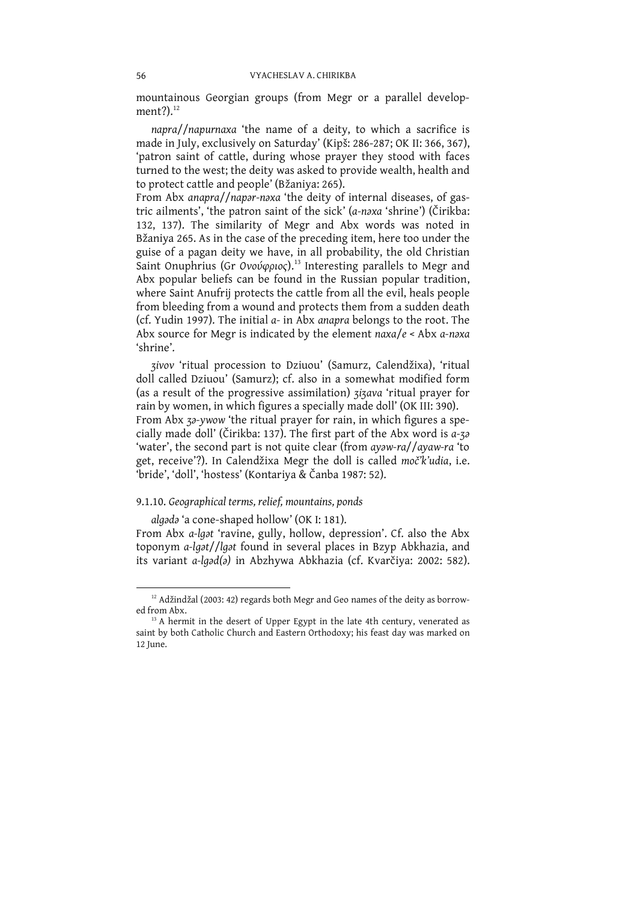mountainous Georgian groups (from Megr or a parallel development?). $12$ 

napra//napurnaxa 'the name of a deity, to which a sacrifice is made in July, exclusively on Saturday' (Kipš: 286-287; OK II: 366, 367), 'patron saint of cattle, during whose prayer they stood with faces turned to the west; the deity was asked to provide wealth, health and to protect cattle and people' (Bžaniya: 265).

From Abx anapra//napar-naxa 'the deity of internal diseases, of gastric ailments', 'the patron saint of the sick' (a-naxa 'shrine') (Čirikba: 132, 137). The similarity of Megr and Abx words was noted in Bžaniya 265. As in the case of the preceding item, here too under the guise of a pagan deity we have, in all probability, the old Christian<br>Saint Onuphrius (Gr *Ονούφριος*).<sup>13</sup> Interesting parallels to Megr and Abx popular beliefs can be found in the Russian popular tradition, where Saint Anufrij protects the cattle from all the evil, heals people from bleeding from a wound and protects them from a sudden death (cf. Yudin 1997). The initial a- in Abx anapra belongs to the root. The Abx source for Megr is indicated by the element  $naxa/e <$  Abx a-naxa 'shrine'.

zivov 'ritual procession to Dziuou' (Samurz, Calendžixa), 'ritual doll called Dziuou' (Samurz): cf. also in a somewhat modified form (as a result of the progressive assimilation) zizava 'ritual prayer for rain by women, in which figures a specially made doll' (OK III: 390). From Abx 30-ywow 'the ritual prayer for rain, in which figures a specially made doll' (Čirikba: 137). The first part of the Abx word is a-30 'water', the second part is not quite clear (from ayaw-ra//ayaw-ra 'to get, receive'?). In Calendžixa Megr the doll is called moč<sup>*i*</sup>k'udia, i.e. 'bride', 'doll', 'hostess' (Kontariya & Čanba 1987: 52).

### 9.1.10. Geographical terms, relief, mountains, ponds

algada 'a cone-shaped hollow' (OK I: 181).

From Abx a-lgat 'ravine, gully, hollow, depression'. Cf. also the Abx toponym a-lgət//lgət found in several places in Bzyp Abkhazia, and its variant a-lgad(a) in Abzhywa Abkhazia (cf. Kvarčiya: 2002: 582).

<sup>&</sup>lt;sup>12</sup> Adžindžal (2003: 42) regards both Megr and Geo names of the deity as borrowed from Abx.

<sup>&</sup>lt;sup>13</sup> A hermit in the desert of Upper Egypt in the late 4th century, venerated as saint by both Catholic Church and Eastern Orthodoxy; his feast day was marked on 12 June.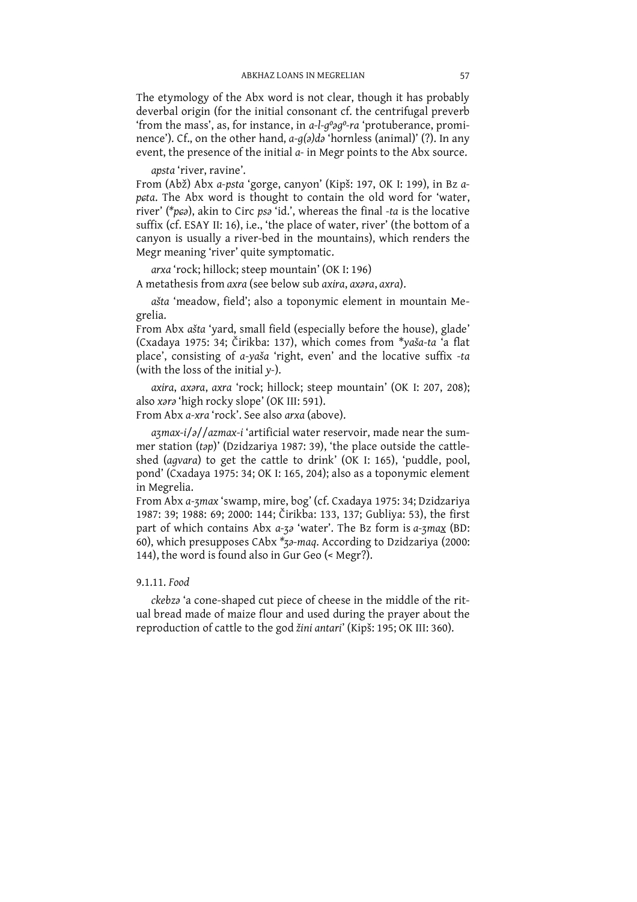The etymology of the Abx word is not clear, though it has probably deverbal origin (for the initial consonant cf. the centrifugal preverb 'from the mass', as, for instance, in a-l-g°og°-ra 'protuberance, prominence'). Cf., on the other hand, a-g(a)da 'hornless (animal)' (?). In any event, the presence of the initial a- in Megr points to the Abx source.

apsta 'river, ravine'.

From (Abž) Abx a-psta 'gorge, canyon' (Kipš: 197, OK I: 199), in Bz a-<br>peta. The Abx word is thought to contain the old word for 'water, river' (\*pca), akin to Circ psa 'id.', whereas the final -ta is the locative suffix (cf. ESAY II: 16), i.e., 'the place of water, river' (the bottom of a canyon is usually a river-bed in the mountains), which renders the Megr meaning 'river' quite symptomatic.

arxa 'rock; hillock; steep mountain' (OK I: 196) A metathesis from axra (see below sub axira, axara, axra).

ašta 'meadow, field'; also a toponymic element in mountain Megrelia.

From Abx ašta 'yard, small field (especially before the house), glade' (Cxadava 1975: 34; Čirikba: 137), which comes from \*vaša-ta 'a flat place', consisting of a-yaša 'right, even' and the locative suffix -ta (with the loss of the initial y-).

axira, axara, axra 'rock; hillock; steep mountain' (OK I: 207, 208); also xara 'high rocky slope' (OK III: 591).

From Abx a-xra 'rock'. See also arxa (above).

 $a$ zmax-i/ $a$ //azmax-i 'artificial water reservoir, made near the summer station (tap)' (Dzidzariya 1987: 39), 'the place outside the cattleshed (agvara) to get the cattle to drink' (OK I: 165), 'puddle, pool, pond' (Cxadaya 1975: 34; OK I: 165, 204); also as a toponymic element in Megrelia.

From Abx a-zmax 'swamp, mire, bog' (cf. Cxadaya 1975: 34; Dzidzariya 1987: 39: 1988: 69; 2000: 144; Čirikba: 133, 137; Gubliya: 53), the first part of which contains Abx a-za 'water'. The Bz form is a-zmax (BD: 60), which presupposes CAbx  $*_{72}$ -maq. According to Dzidzariya (2000: 144), the word is found also in Gur Geo (< Megr?).

# 9.1.11. Food

ckebza 'a cone-shaped cut piece of cheese in the middle of the ritual bread made of maize flour and used during the prayer about the reproduction of cattle to the god žini antari' (Kipš: 195; OK III: 360).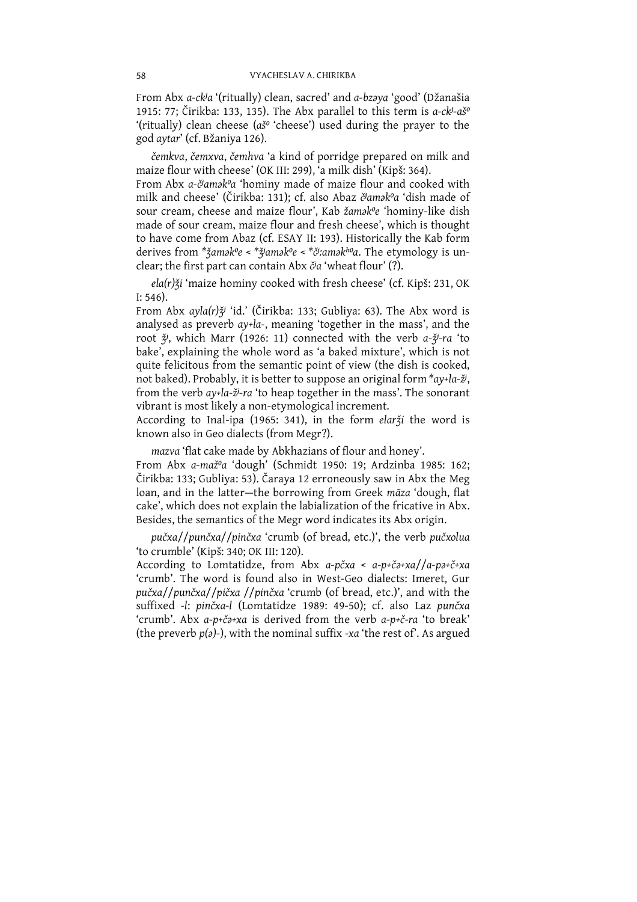From Abx a-ckja '(ritually) clean, sacred' and a-bzaya 'good' (Džanašia 1915: 77; Čirikba: 133, 135). The Abx parallel to this term is a-ck-ašo '(ritually) clean cheese ( $a\check{s}^o$  'cheese') used during the prayer to the god aytar' (cf. Bžaniya 126).

čemkva, čemxva, čemhva 'a kind of porridge prepared on milk and maize flour with cheese' (OK III: 299), 'a milk dish' (Kipš: 364).

From Abx a-č<sup>j</sup>amak<sup>o</sup>a 'hominy made of maize flour and cooked with milk and cheese' (Čirikba: 131); cf. also Abaz člamak<sup>o</sup>a 'dish made of sour cream, cheese and maize flour', Kab žamak<sup>o</sup>e 'hominy-like dish made of sour cream, maize flour and fresh cheese', which is thought to have come from Abaz (cf. ESAY II: 193). Historically the Kab form derives from \*žamak<sup>o</sup>e < \*žiamak<sup>o</sup>e < \*či:amak<sup>ho</sup>a. The etymology is unclear; the first part can contain Abx č<sup>j</sup>a 'wheat flour' (?).

ela(r) ži 'maize hominy cooked with fresh cheese' (cf. Kipš: 231, OK  $I: 546$ ).

From Abx ayla(r) $\check{\chi}$ 'id.' (Čirikba: 133; Gubliya: 63). The Abx word is analysed as preverb ay-la-, meaning 'together in the mass', and the root  $\check{z}$ , which Marr (1926: 11) connected with the verb  $a-\check{z}$ -ra 'to bake', explaining the whole word as 'a baked mixture', which is not quite felicitous from the semantic point of view (the dish is cooked, not baked). Probably, it is better to suppose an original form \*ay+la-ž<sup>j</sup>, from the verb ay+la-ž<sup>j</sup>-ra 'to heap together in the mass'. The sonorant vibrant is most likely a non-etymological increment.

According to Inal-ipa (1965: 341), in the form elarži the word is known also in Geo dialects (from Megr?).

mazva 'flat cake made by Abkhazians of flour and honey'.

From Abx a-maž<sup>o</sup>a 'dough' (Schmidt 1950: 19; Ardzinba 1985: 162; Čirikba: 133; Gubliya: 53). Čaraya 12 erroneously saw in Abx the Meg loan, and in the latter-the borrowing from Greek māza 'dough, flat cake', which does not explain the labialization of the fricative in Abx. Besides, the semantics of the Megr word indicates its Abx origin.

pučxa//punčxa//pinčxa 'crumb (of bread, etc.)', the verb pučxolua 'to crumble' (Kipš: 340; OK III: 120).

According to Lomtatidze, from Abx a-pčxa < a-p+ča+xa//a-pa+č+xa 'crumb'. The word is found also in West-Geo dialects: Imeret. Gur pučxa//punčxa//pičxa//pinčxa 'crumb (of bread, etc.)', and with the suffixed -l: pinčxa-l (Lomtatidze 1989: 49-50); cf. also Laz punčxa 'crumb'. Abx a-p+ča+xa is derived from the verb a-p+č-ra 'to break' (the preverb  $p(a)$ -), with the nominal suffix -xa 'the rest of'. As argued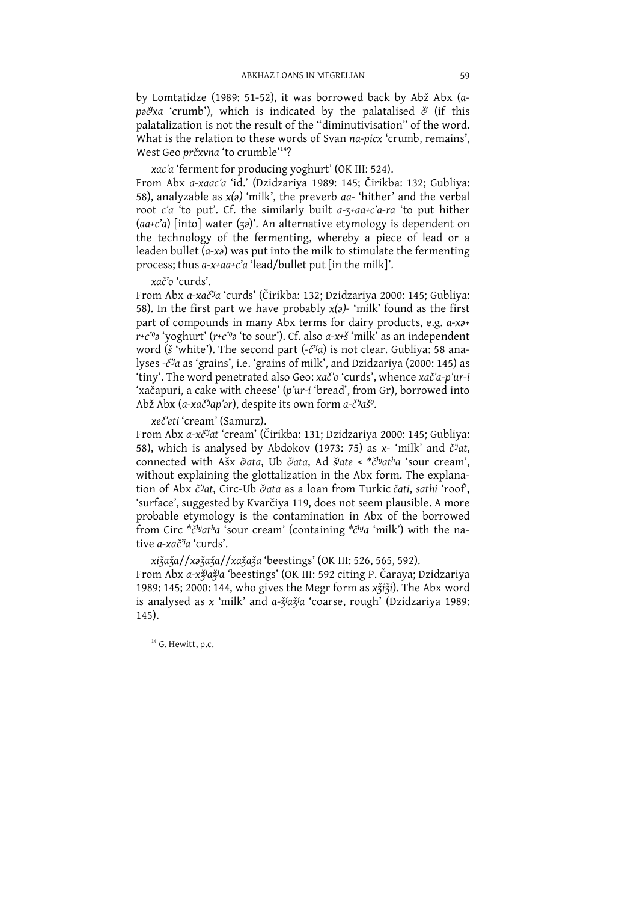by Lomtatidze (1989: 51-52), it was borrowed back by Abž Abx (apəč<sup>*y*xa</sup> 'crumb'), which is indicated by the palatalised  $\check{c}$ <sup>*i*</sup> (if this palatalization is not the result of the "diminutivisation" of the word. What is the relation to these words of Svan na-picx 'crumb, remains', West Geo prčxvna 'to crumble'<sup>14</sup>?

xac'a 'ferment for producing yoghurt' (OK III: 524).

From Abx a-xaac'a 'id.' (Dzidzariya 1989: 145; Čirikba: 132; Gubliya: 58), analyzable as  $x(z)$  'milk', the preverb aa- 'hither' and the verbal root c'a 'to put'. Cf. the similarly built a-3+aa+c'a-ra 'to put hither  $(a^a+c^a)$  [into] water (32)'. An alternative etymology is dependent on the technology of the fermenting, whereby a piece of lead or a leaden bullet  $(a-xa)$  was put into the milk to stimulate the fermenting process; thus a-x+aa+c'a 'lead/bullet put [in the milk]'.

xač'o 'curds'.

From Abx a-xač<sup>3</sup>a 'curds' (Čirikba: 132; Dzidzariya 2000: 145; Gubliya: 58). In the first part we have probably  $x(a)$ -'milk' found as the first part of compounds in many Abx terms for dairy products, e.g.  $a$ - $x a$ +  $r+c''$ <sup>2</sup> 'yoghurt' ( $r+c''$ <sup>2</sup> 'to sour'). Cf. also  $a-x+c''$  'milk' as an independent word (š 'white'). The second part  $(-\check{c}^{\prime\prime}a)$  is not clear. Gubliya: 58 analyses -č<sup>*ja*</sup> as 'grains', i.e. 'grains of milk', and Dzidzariya (2000: 145) as 'tiny'. The word penetrated also Geo: xač'o 'curds', whence xač'a-p'ur-i 'xačapuri, a cake with cheese' (p'ur-i 'bread', from Gr), borrowed into Abž Abx (a-xač'jap'ar), despite its own form a-č'jaš°.

xeč'eti 'cream' (Samurz).

From Abx a-xč"at 'cream' (Čirikba: 131; Dzidzariya 2000: 145; Gubliya: 58), which is analysed by Abdokov (1973: 75) as x- 'milk' and č<sup>3</sup>at, connected with Ašx č<sup>j</sup>ata, Ub č<sup>j</sup>ata, Ad š<sup>j</sup>ate < \*č<sup>hj</sup>at<sup>h</sup>a 'sour cream', without explaining the glottalization in the Abx form. The explanation of Abx č'at, Circ-Ub čata as a loan from Turkic čati, sathi 'roof', 'surface', suggested by Kvarčiya 119, does not seem plausible. A more probable etymology is the contamination in Abx of the borrowed from Circ  $*\check{c}^{hj}$ at<sup>h</sup>a 'sour cream' (containing  $*\check{c}^{hj}$ a 'milk') with the native *a-xač<sup>3</sup>a* 'curds'.

xižaža//xažaža//xažaža 'beestings' (OK III: 526, 565, 592).

From Abx a-xỹaỹa 'beestings' (OK III: 592 citing P. Čaraya; Dzidzariya<br>1989: 145; 2000: 144, who gives the Megr form as xǯiǯi). The Abx word is analysed as x 'milk' and a-žjažja 'coarse, rough' (Dzidzariya 1989: 145).

 $14$  G. Hewitt, p.c.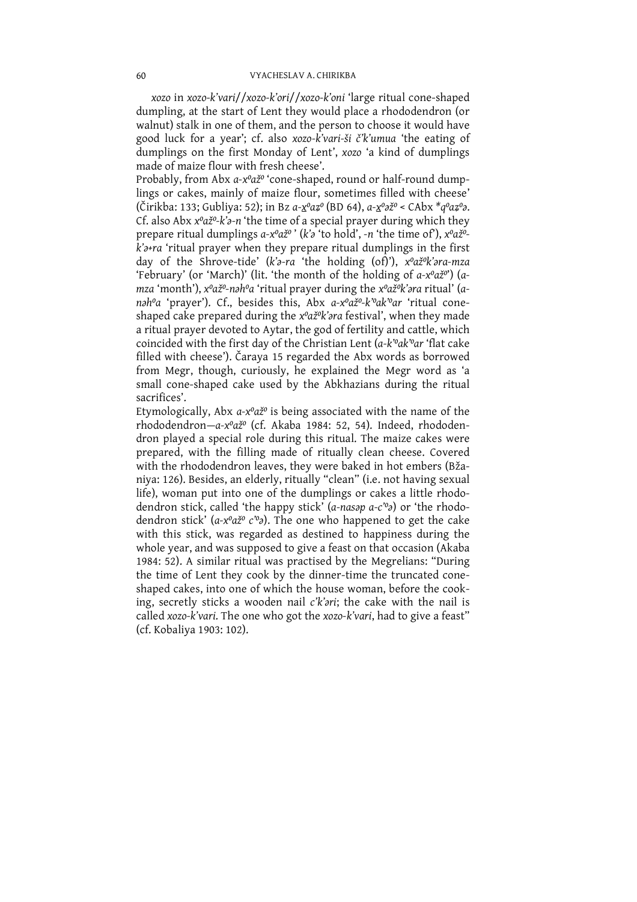xozo in xozo-k'vari//xozo-k'ori//xozo-k'oni 'large ritual cone-shaped dumpling, at the start of Lent they would place a rhododendron (or walnut) stalk in one of them, and the person to choose it would have good luck for a year'; cf. also xozo-k'vari-ši č'k'umua 'the eating of dumplings on the first Monday of Lent', xozo 'a kind of dumplings made of maize flour with fresh cheese'.

Probably, from Abx a-x°až° 'cone-shaped, round or half-round dumplings or cakes, mainly of maize flour, sometimes filled with cheese' (Čirikba: 133; Gubliya: 52); in Bz a-x<sup>o</sup>az<sup>o</sup> (BD 64), a-x<sup>o</sup>až<sup>o</sup> < CAbx \*q<sup>o</sup>az<sup>o</sup>a. Cf. also Abx xºažº-k'a-n 'the time of a special prayer during which they prepare ritual dumplings a-x<sup>o</sup>až<sup>o</sup>' (k'a'to hold', -n 'the time of'), x<sup>o</sup>až<sup>o</sup> $k$ <sup>2+ra</sup> 'ritual prayer when they prepare ritual dumplings in the first day of the Shrove-tide' (k'a-ra 'the holding (of)'), x°až°k'ara-mza 'February' (or 'March)' (lit. 'the month of the holding of a-x<sup>o</sup>až<sup>o</sup>') (a-<br>mza 'month'), x<sup>o</sup>až<sup>o</sup>-nəh<sup>o</sup>a 'ritual prayer during the x<sup>o</sup>až<sup>o</sup>k'əra ritual' (anah<sup>o</sup>a 'prayer'). Cf., besides this, Abx a-x<sup>o</sup>až<sup>o</sup>-k'<sup>o</sup>ak'<sup>o</sup>ar 'ritual coneshaped cake prepared during the x°až°k'ara festival', when they made a ritual prayer devoted to Aytar, the god of fertility and cattle, which<br>coincided with the first day of the Christian Lent (a-k<sup>o</sup>ak<sup>o</sup>ar 'flat cake filled with cheese'). Čaraya 15 regarded the Abx words as borrowed from Megr, though, curiously, he explained the Megr word as 'a small cone-shaped cake used by the Abkhazians during the ritual sacrifices'.

Etymologically, Abx a-x°až° is being associated with the name of the rhododendron-a-x<sup>o</sup>až<sup>o</sup> (cf. Akaba 1984: 52, 54). Indeed, rhododendron played a special role during this ritual. The maize cakes were prepared, with the filling made of ritually clean cheese. Covered with the rhododendron leaves, they were baked in hot embers (Bžaniya: 126). Besides, an elderly, ritually "clean" (i.e. not having sexual life), woman put into one of the dumplings or cakes a little rhododendron stick, called 'the happy stick' (a-nasap a-c'o) or 'the rhododendron stick'  $(a-x^0a\check{z}^0c^{\check{}}a)$ . The one who happened to get the cake with this stick, was regarded as destined to happiness during the whole year, and was supposed to give a feast on that occasion (Akaba 1984: 52). A similar ritual was practised by the Megrelians: "During the time of Lent they cook by the dinner-time the truncated coneshaped cakes, into one of which the house woman, before the cooking, secretly sticks a wooden nail c'k'ori; the cake with the nail is called xozo-k'vari. The one who got the xozo-k'vari, had to give a feast" (cf. Kobaliya 1903: 102).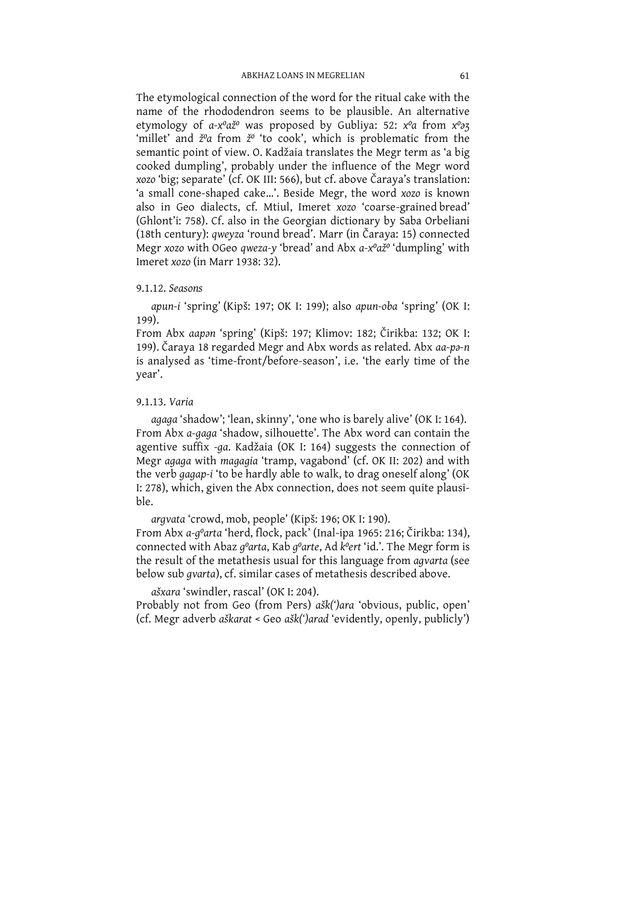The etymological connection of the word for the ritual cake with the name of the rhododendron seems to be plausible. An alternative etymology of  $a-x^0a\check{z}^0$  was proposed by Gubliya: 52:  $x^0a$  from  $x^0a\check{z}$  'millet' semantic point of view. O. Kadžaia translates the Megr term as 'a big cooked dumpling', probably under the influence of the Megr word<br>xozo 'big; separate' (cf. OK III: 566), but cf. above Čaraya's translation:<br>'a small cone-shaped cake...'. Beside Megr, the word xozo is known also in Geo dialects, cf. Mtiul, Imeret xozo 'coarse-grained bread' (Ghlont'i: 758). Cf. also in the Georgian dictionary by Saba Orbeliani<br>(18th century): *qweyza* 'round bread'. Marr (in Čaraya: 15) connected<br>Megr xozo with OGeo *qweza-y* 'bread' and Abx *a-x<sup>o</sup>až<sup>o</sup>* 'dumpling' with Imeret xozo (in Marr 1938: 32).

## 9.1.12. Seasons

apun-i 'spring' (Kipš: 197; OK I: 199); also apun-oba 'spring' (OK I:  $199$ ).

From Abx aapan 'spring' (Kipš: 197; Klimov: 182; Čirikba: 132; OK I: 199). Čaraya 18 regarded Megr and Abx words as related. Abx aa-pa-n is analysed as 'time-front/before-season', i.e. 'the early time of the year'.

### 9.1.13. Varia

agaga 'shadow'; 'lean, skinny', 'one who is barely alive' (OK I: 164).<br>From Abx a-gaga 'shadow, silhouette'. The Abx word can contain the<br>agentive suffix -ga. Kadžaia (OK I: 164) suggests the connection of<br>Megr agaga with  $h|e$ 

argvata 'crowd, mob, people' (Kipš: 196; OK I: 190).<br>From Abx a-g<sup>o</sup>arta 'herd, flock, pack' (Inal-ipa 1965: 216; Čirikba: 134), connected with Abaz g<sup>o</sup>arta, Kab g<sup>o</sup>arte, Ad k<sup>o</sup>ert 'id.'. The Megr form is the result of below sub qvarta), cf. similar cases of metathesis described above.

ašxara 'swindler, rascal' (OK I: 204). Probably not from Geo (from Pers) ašk(')ara 'obvious, public, open' (cf. Megr adverb aškarat < Geo ašk(')arad 'evidently, openly, publicly')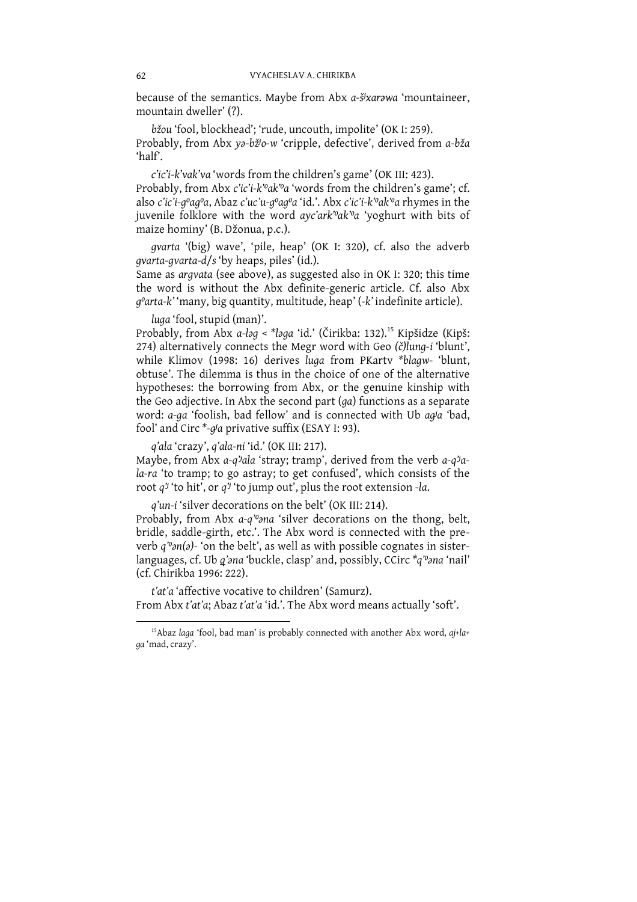because of the semantics. Maybe from Abx a-šixarawa 'mountaineer, mountain dweller' (?).

bžou 'fool, blockhead'; 'rude, uncouth, impolite' (OK I: 259). Probably, from Abx ya-bžio-w 'cripple, defective', derived from a-bža  $'half'.$ 

c'ic'i-k'vak'va 'words from the children's game' (OK III: 423). Probably, from Abx c'ic'i-k''ak''a 'words from the children's game'; cf. also c'ic'i-q'aq'a, Abaz c'uc'u-q'aq'a 'id.'. Abx c'ic'i-k''ak''a rhymes in the juvenile folklore with the word ayc'ark'<sup>o</sup>ak'<sup>o</sup>a 'yoghurt with bits of maize hominy' (B. Džonua, p.c.).

qvarta '(big) wave', 'pile, heap' (OK I: 320), cf. also the adverb *gvarta-gvarta-d/s* 'by heaps, piles' (id.).

Same as argvata (see above), as suggested also in OK I: 320; this time the word is without the Abx definite-generic article. Cf. also Abx  $q^{\circ}$ arta-k''many, big quantity, multitude, heap' (-k' indefinite article).

luga 'fool, stupid (man)'.

Probably, from Abx a-log < \*loga 'id.' (Čirikba: 132).<sup>15</sup> Kipšidze (Kipš: 274) alternatively connects the Megr word with Geo (č)lung-i 'blunt', while Klimov (1998: 16) derives luga from PKarty \*blagw- 'blunt, obtuse'. The dilemma is thus in the choice of one of the alternative hypotheses: the borrowing from Abx, or the genuine kinship with the Geo adjective. In Abx the second part (ga) functions as a separate word: a-ga 'foolish, bad fellow' and is connected with Ub agla 'bad, fool' and Circ \*-q'a privative suffix (ESAY I: 93).

q'ala 'crazy', q'ala-ni 'id.' (OK III: 217).

Maybe, from Abx a-q''ala 'stray; tramp', derived from the verb a-q''ala-ra 'to tramp; to go astray; to get confused', which consists of the root  $q^j$ 'to hit', or  $q^j$ 'to jump out', plus the root extension -la.

q'un-i 'silver decorations on the belt' (OK III: 214).

Probably, from Abx a-q'ona 'silver decorations on the thong, belt, bridle, saddle-girth, etc.'. The Abx word is connected with the preverb  $q^{\prime\prime}$ on(a)- 'on the belt', as well as with possible cognates in sisterlanguages, cf. Ub q'ana 'buckle, clasp' and, possibly, CCirc \*q'ona 'nail' (cf. Chirikba 1996: 222).

t'at'a 'affective vocative to children' (Samurz). From Abx t'at'a; Abaz t'at'a 'id.'. The Abx word means actually 'soft'.

<sup>&</sup>lt;sup>15</sup>Abaz laga 'fool, bad man' is probably connected with another Abx word, aj+la+ qa'mad, crazy'.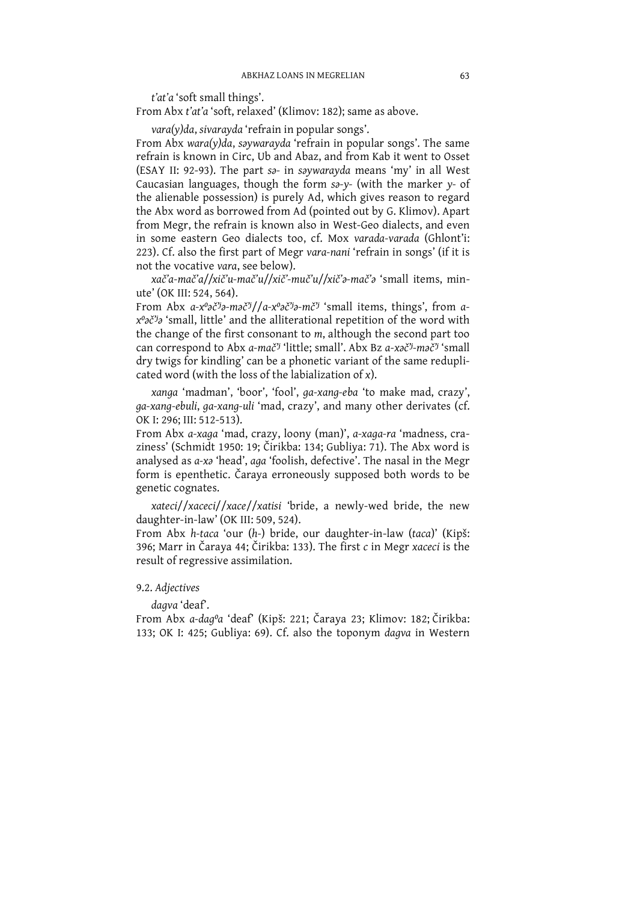t'at'a 'soft small things'.

From Abx t'at'a 'soft, relaxed' (Klimov: 182); same as above.

 $\text{vara}(\gamma)$ da, sivarayda 'refrain in popular songs'.

From Abx wara(y)da, saywarayda 'refrain in popular songs'. The same refrain is known in Circ, Ub and Abaz, and from Kab it went to Osset (ESAY II: 92-93). The part sa- in saywarayda means 'my' in all West Caucasian languages, though the form sa-y- (with the marker y- of the alienable possession) is purely Ad, which gives reason to regard the Abx word as borrowed from Ad (pointed out by G. Klimov). Apart from Megr, the refrain is known also in West-Geo dialects, and even in some eastern Geo dialects too, cf. Mox varada-varada (Ghlont'i: 223). Cf. also the first part of Megr vara-nani 'refrain in songs' (if it is not the vocative vara, see below).

xač'a-mač'a//xič'u-mač'u//xič'-muč'u//xič'a-mač'a 'small items, minute' (OK III: 524, 564).

From Abx a-x°2č'j2-m2č'j/a-x°2č'j2-mč'j 'small items, things', from aχ<sup>ο</sup> δ<sup>2</sup><sup>3</sup> 'small, little' and the alliterational repetition of the word with the change of the first consonant to  $m$ , although the second part too can correspond to Abx a-mač<sup>y</sup> 'little; small'. Abx Bz a-xač<sup>y</sup>-mač<sup>y</sup> 'small dry twigs for kindling' can be a phonetic variant of the same reduplicated word (with the loss of the labialization of x).

xanga 'madman', 'boor', 'fool', ga-xang-eba 'to make mad, crazy', ga-xang-ebuli, ga-xang-uli 'mad, crazy', and many other derivates (cf. OK I: 296; III: 512-513).

From Abx a-xaga 'mad, crazy, loony (man)', a-xaga-ra 'madness, craziness' (Schmidt 1950: 19; Čirikba: 134; Gubliya: 71). The Abx word is analysed as a-xa 'head', aga 'foolish, defective'. The nasal in the Megr form is epenthetic. Čaraya erroneously supposed both words to be genetic cognates.

xateci//xaceci//xace//xatisi 'bride, a newly-wed bride, the new daughter-in-law' (OK III: 509, 524).

From Abx h-taca 'our (h-) bride, our daughter-in-law (taca)' (Kipš: 396; Marr in Čaraya 44; Čirikba: 133). The first c in Megr xaceci is the result of regressive assimilation.

## 9.2. Adjectives

dagva 'deaf'.

From Abx a-daqºa 'deaf' (Kipš: 221; Čaraya 23; Klimov: 182; Čirikba: 133; OK I: 425; Gubliya: 69). Cf. also the toponym dagva in Western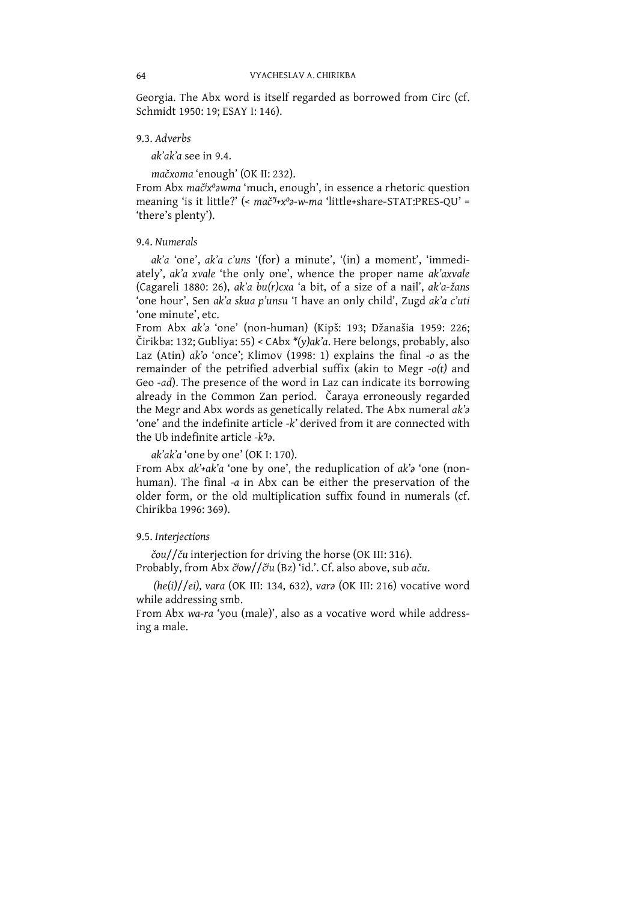Georgia. The Abx word is itself regarded as borrowed from Circ (cf. Schmidt 1950: 19; ESAY I: 146).

9.3. Adverbs

 $ak'ak'$  see in 9.4.

mačxoma 'enough' (OK II: 232).

From Abx mač<sup>i</sup>x<sup>o</sup>awma 'much, enough', in essence a rhetoric question meaning 'is it little?' (< mač<sup>y</sup>+x<sup>0</sup>a-w-ma 'little+share-STAT:PRES-QU' = 'there's plenty').

### 9.4. Numerals

ak'a 'one', ak'a c'uns '(for) a minute', '(in) a moment', 'immediately', ak'a xvale 'the only one', whence the proper name ak'axvale (Cagareli 1880: 26), ak'a bu(r)cxa 'a bit, of a size of a nail', ak'a-žans 'one hour', Sen ak'a skua p'unsu 'I have an only child', Zugd ak'a c'uti 'one minute', etc.

From Abx ak's 'one' (non-human) (Kipš: 193; Džanašia 1959: 226; Čirikba: 132; Gubliya: 55) < CAbx \*(y)ak'a. Here belongs, probably, also Laz (Atin)  $ak'$  o 'once'; Klimov (1998: 1) explains the final -o as the remainder of the petrified adverbial suffix (akin to Megr  $-o(t)$  and Geo -ad). The presence of the word in Laz can indicate its borrowing already in the Common Zan period. Čarava erroneously regarded the Megr and Abx words as genetically related. The Abx numeral ak's 'one' and the indefinite article -k' derived from it are connected with the Ub indefinite article -k<sup>y</sup>a.

ak'ak'a 'one by one' (OK I: 170).

From Abx ak'+ak'a 'one by one', the reduplication of ak's 'one (nonhuman). The final -a in Abx can be either the preservation of the older form, or the old multiplication suffix found in numerals (cf. Chirikha 1996: 369).

## 9.5. Interjections

čou//ču interjection for driving the horse (OK III: 316). Probably, from Abx č<sup>j</sup>ow//č<sup>j</sup>u (Bz) 'id.'. Cf. also above, sub aču.

 $(he(i)/[ei]$ , vara (OK III: 134, 632), vara (OK III: 216) vocative word while addressing smb.

From Abx wa-ra 'you (male)', also as a vocative word while addressing a male.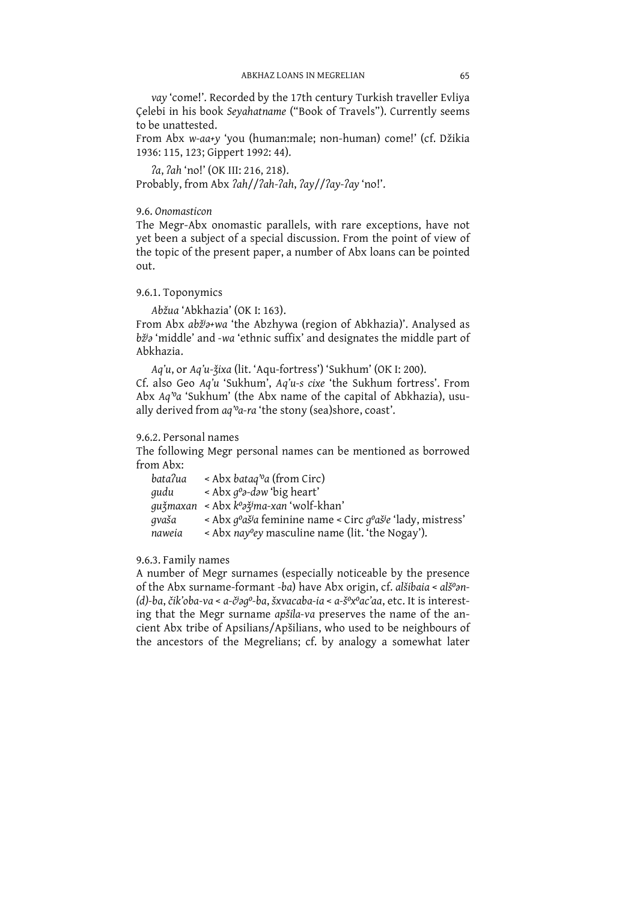vay 'come!'. Recorded by the 17th century Turkish traveller Evliya Celebi in his book Seyahatname ("Book of Travels"). Currently seems to be unattested.

From Abx w-aa+y 'you (human:male; non-human) come!' (cf. Džikia 1936: 115, 123; Gippert 1992: 44).

*la*, *lah* 'no!' (OK III: 216, 218). Probably, from Abx ?ah//?ah-?ah, ?ay//?ay-?ay 'no!'.

## 9.6. Onomasticon

The Megr-Abx onomastic parallels, with rare exceptions, have not yet been a subject of a special discussion. From the point of view of the topic of the present paper, a number of Abx loans can be pointed out.

## 9.6.1. Toponymics

Abžua 'Abkhazia' (OK I: 163).

From Abx abž<sup>j</sup>a+wa 'the Abzhywa (region of Abkhazia)'. Analysed as bž<sup>j</sup> imiddle' and -wa 'ethnic suffix' and designates the middle part of Abkhazia.

Aq'u, or Aq'u-žixa (lit. 'Aqu-fortress') 'Sukhum' (OK I: 200).

Cf. also Geo Aq'u 'Sukhum', Aq'u-s cixe 'the Sukhum fortress'. From Abx Aq'<sup>o</sup>a 'Sukhum' (the Abx name of the capital of Abkhazia), usually derived from aq''a-ra 'the stony (sea)shore, coast'.

## 9.6.2. Personal names

The following Megr personal names can be mentioned as borrowed from Ahx:

| bata?ua | < Abx bataq''a (from Circ)                                                                                    |
|---------|---------------------------------------------------------------------------------------------------------------|
| gudu    | $\leq$ Abx $q^{\circ}$ -dəw 'big heart'                                                                       |
|         | gužmaxan  < Abx k°əžima-xan 'wolf-khan'                                                                       |
| qvaša   | < Abx q <sup>o</sup> aš <sup>j</sup> a feminine name < Circ q <sup>o</sup> aš <sup>j</sup> e 'lady, mistress' |
| naweia  | $\alpha$ - Abx nay ey masculine name (lit. 'the Nogay').                                                      |

## 9.6.3. Family names

A number of Megr surnames (especially noticeable by the presence of the Abx surname-formant -ba) have Abx origin, cf. alšibaia < alš<sup>o</sup>an-(d)-ba, čik'oba-va < a-č<sup>j</sup>aq<sup>o</sup>-ba, šxvacaba-ia < a-š<sup>o</sup>x<sup>o</sup>ac'aa, etc. It is interesting that the Megr surname apsila-va preserves the name of the ancient Abx tribe of Apsilians/Apšilians, who used to be neighbours of the ancestors of the Megrelians; cf. by analogy a somewhat later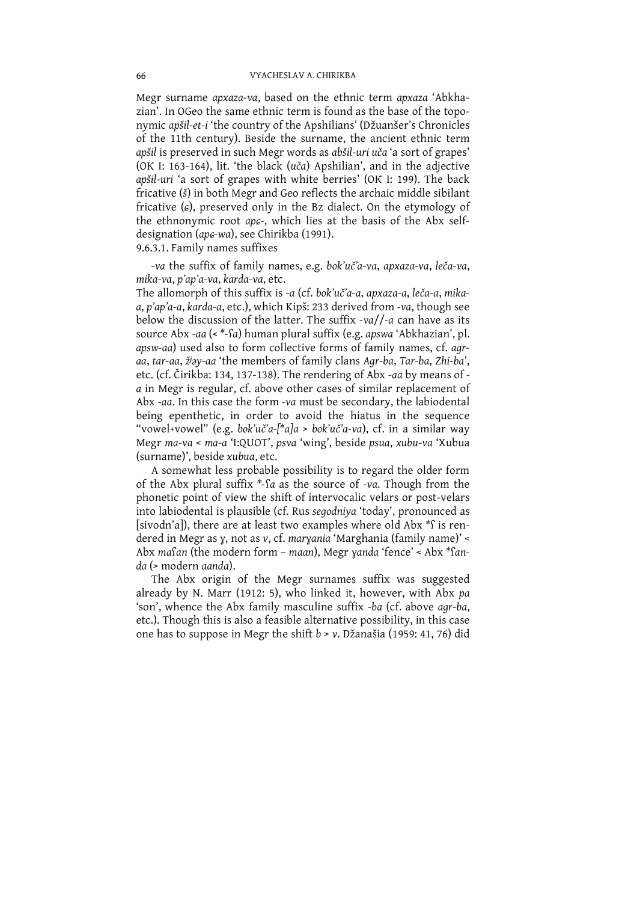Megr surname apxaza-va, based on the ethnic term apxaza 'Abkhazian'. In OGeo the same ethnic term is found as the base of the toponymic apšil-et-i 'the country of the Apshilians' (Džuanšer's Chronicles of the 11th century). Beside the surname, the ancient ethnic term apšil is preserved in such Megr words as abšil-uri uča'a sort of grapes' (OK I: 163-164), lit. 'the black (uča) Apshilian', and in the adjective apšil-uri 'a sort of grapes with white berries' (OK I: 199). The back fricative (š) in both Megr and Geo reflects the archaic middle sibilant fricative  $(\epsilon)$ , preserved only in the Bz dialect. On the etymology of the ethnonymic root aps-, which lies at the basis of the Abx selfdesignation (aps-wa), see Chirikba (1991). 9.6.3.1. Family names suffixes

-va the suffix of family names, e.g. bok'uč'a-va, apxaza-va, leča-va, mika-va, p'ap'a-va, karda-va, etc.

The allomorph of this suffix is -a (cf. bok'uč'a-a, apxaza-a, leča-a, mikaa, p'ap'a-a, karda-a, etc.), which Kipš: 233 derived from -va, though see below the discussion of the latter. The suffix  $-va//-a$  can have as its source Abx -aa (< \*-Sa) human plural suffix (e.g. apswa 'Abkhazian', pl. apsw-aa) used also to form collective forms of family names, cf. agraa, tar-aa, ž<sup>j</sup>ay-aa 'the members of family clans Agr-ba, Tar-ba, Zhi-ba', etc. (cf. Čirikba: 134, 137-138). The rendering of Abx -aa by means of a in Megr is regular, cf. above other cases of similar replacement of Abx -aa. In this case the form -va must be secondary, the labiodental being epenthetic, in order to avoid the hiatus in the sequence "vowel+vowel" (e.g. bok'uč'a-[\*a]a > bok'uč'a-va), cf. in a similar way Megr ma-va < ma-a 'I:QUOT', psva 'wing', beside psua, xubu-va 'Xubua (surname)', beside xubua, etc.

A somewhat less probable possibility is to regard the older form of the Abx plural suffix \*- $a$  as the source of -va. Though from the phonetic point of view the shift of intervocalic velars or post-velars into labiodental is plausible (cf. Rus segodniya 'today', pronounced as [sivodn'a]), there are at least two examples where old Abx \*f is rendered in Megr as y, not as v, cf. maryania 'Marghania (family name)' < Abx masan (the modern form - maan), Megr yanda 'fence' < Abx \*sanda (> modern aanda).

The Abx origin of the Megr surnames suffix was suggested already by N. Marr (1912: 5), who linked it, however, with Abx pa 'son', whence the Abx family masculine suffix -ba (cf. above agr-ba, etc.). Though this is also a feasible alternative possibility, in this case one has to suppose in Megr the shift b > v. Džanašia (1959: 41, 76) did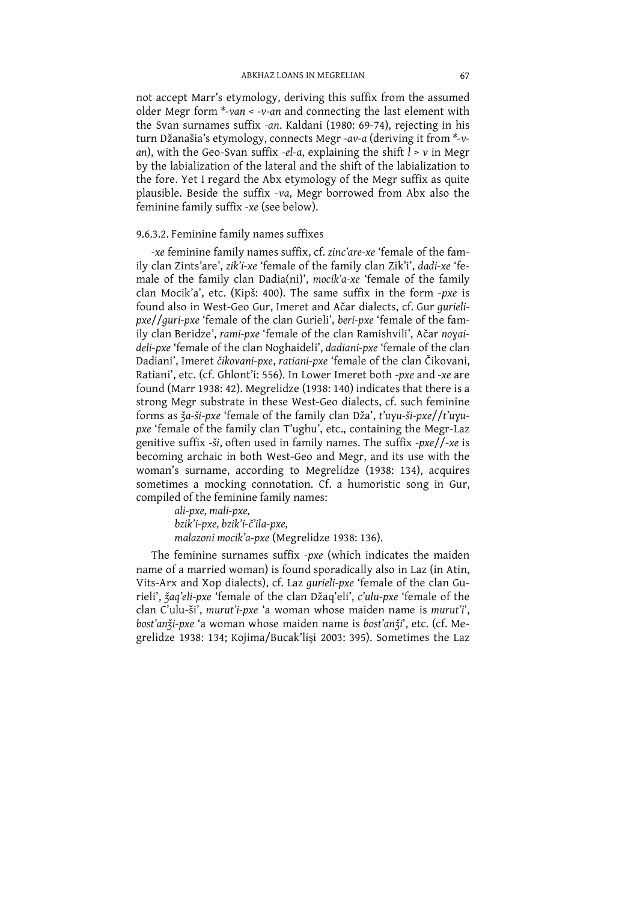not accept Marr's etymology, deriving this suffix from the assumed older Megr form  $*$ -van  $<$  -v-an and connecting the last element with the Svan surnames suffix -an. Kaldani (1980: 69-74), rejecting in his turn Džanašia's etymology, connects Megr -av-a (deriving it from \*-van), with the Geo-Svan suffix -el-a, explaining the shift  $\tilde{l}$  > v in Megr by the labialization of the lateral and the shift of the labialization to the fore. Yet I regard the Abx etymology of the Megr suffix as quite<br>plausible. Beside the suffix -va, Megr borrowed from Abx also the feminine family suffix -xe (see below).

## 9.6.3.2. Feminine family names suffixes

-xe feminine family names suffix, cf. zinc'are-xe 'female of the family clan Zints'are', zik'i-xe 'female of the family clan Zik'i', dadi-xe 'female of the family clan Dadia(ni)', mocik'a-xe 'female of the family clan Mocik'a', etc. (Kipš: 400). The same suffix in the form -pxe is found also in West-Geo Gur, Imeret and Ačar dialects, cf. Gur qurielipxe//quri-pxe 'female of the clan Gurieli', beri-pxe 'female of the family clan Beridze', rami-pxe 'female of the clan Ramishvili', Ačar noyaideli-pxe 'female of the clan Noghaideli', dadiani-pxe 'female of the clan Dadiani', Imeret čikovani-pxe, ratiani-pxe 'female of the clan Čikovani, Ratiani', etc. (cf. Ghlont'i: 556). In Lower Imeret both -pxe and -xe are found (Marr 1938: 42). Megrelidze (1938: 140) indicates that there is a strong Megr substrate in these West-Geo dialects, cf. such feminine forms as  $\frac{3}{4}a - \frac{3}{4}a - \frac{3}{4}a - \frac{3}{4}a$  female of the family clan Dža', t'uyu-ši-pxe//t'uyupxe 'female of the family clan T'ughu', etc., containing the Megr-Laz genitive suffix -ši, often used in family names. The suffix  $-pxe//-xe$  is becoming archaic in both West-Geo and Megr, and its use with the woman's surname, according to Megrelidze (1938: 134), acquires sometimes a mocking connotation. Cf. a humoristic song in Gur, compiled of the feminine family names:

ali-pxe, mali-pxe, bzik'i-pxe, bzik'i-č'ila-pxe, malazoni mocik'a-pxe (Megrelidze 1938: 136).

The feminine surnames suffix -pxe (which indicates the maiden name of a married woman) is found sporadically also in Laz (in Atin, Vits-Arx and Xop dialects), cf. Laz gurieli-pxe 'female of the clan Gurieli', žaq'eli-pxe 'female of the clan Džaq'eli', c'ulu-pxe 'female of the clan C'ulu-ši', murut'i-pxe 'a woman whose maiden name is murut'i', bosťanži-pxe 'a woman whose maiden name is bosťanži', etc. (cf. Megrelidze 1938: 134; Kojima/Bucak'lişi 2003: 395). Sometimes the Laz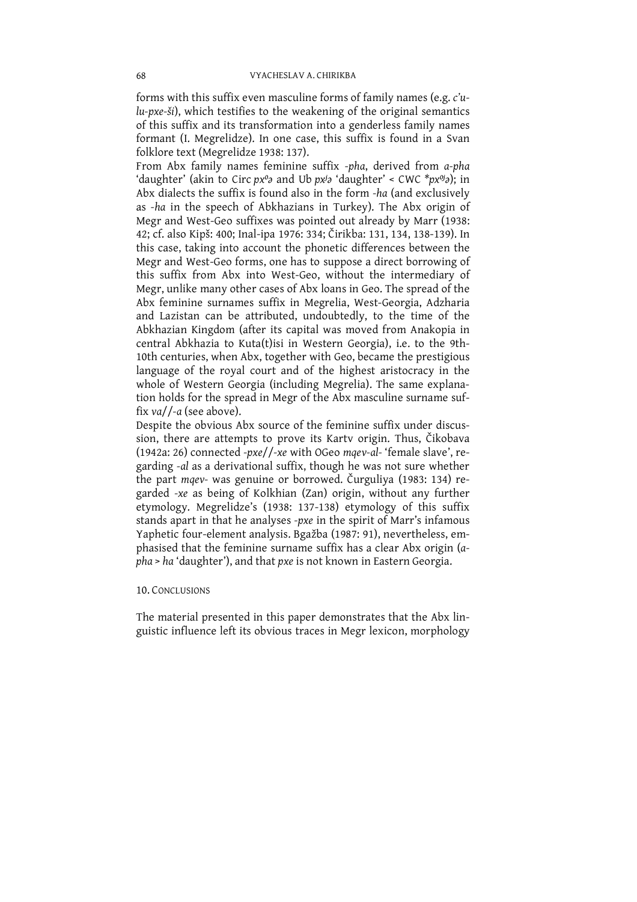forms with this suffix even masculine forms of family names (e.g. c'ulu-pxe-ši), which testifies to the weakening of the original semantics<br>of this suffix and its transformation into a genderless family names formant (I. Megrelidze). In one case, this suffix is found in a Svan folklore text (Megrelidze 1938: 137).

From Abx family names feminine suffix -pha, derived from a-pha<br>'daughter' (akin to Circ  $px^0a$  and Ub  $px^ja$  'daughter' < CWC  $*px^0a$ ); in Abx dialects the suffix is found also in the form  $-ha$  (and exclusively as -ha in the speech of Abkhazians in Turkey). The Abx origin of Megr and West-Geo suffixes was pointed out already by Marr (1938:<br>42; cf. also Kipš: 400; Inal-ipa 1976: 334; Čirikba: 131, 134, 138-139). In this case, taking into account the phonetic differences between the Megr and West-Geo forms, one has to suppose a direct borrowing of this suffix from Abx into West-Geo, without the intermediary of Megr, unlike many other cases of Abx loans in Geo. The spread of the Abx feminine surnames suffix in Megrelia, West-Georgia, Adzharia and Lazistan can be attributed, undoubtedly, to the time of the Abkhazian Kingdom (after its capital was moved from Anakopia in central Abkhazia to Kuta(t)isi in Western Georgia), i.e. to the 9th-10th centuries, when Abx, together with Geo, became the prestigious language of the royal court and of the highest aristocracy in the whole of Western Georgia (including Megrelia). The same explanation holds for the spread in Megr of the Abx masculine surname suffix  $\frac{v}{a}$ /-a (see above).

Despite the obvious Abx source of the feminine suffix under discussion, there are attempts to prove its Kartv origin. Thus, Čikobava (1942a: 26) connected -pxe//-xe with OGeo mqev-al-'female slave', regarding -al as a derivational suffix, though he was not sure whether the part mqev- was genuine or borrowed. Čurguliya (1983: 134) rethe part map a genuine of borrowed. Curgunya (1965). 154) regarded -xe as being of Kolkhian (Zan) origin, without any further etymology. Megrelidze's (1938: 137-138) etymology of this suffix stands apart in that he analyse phasised that the feminine surname suffix has a clear Abx origin (apha > ha 'daughter'), and that pxe is not known in Eastern Georgia.

### **10. CONCLUSIONS**

The material presented in this paper demonstrates that the Abx linguistic influence left its obvious traces in Megr lexicon, morphology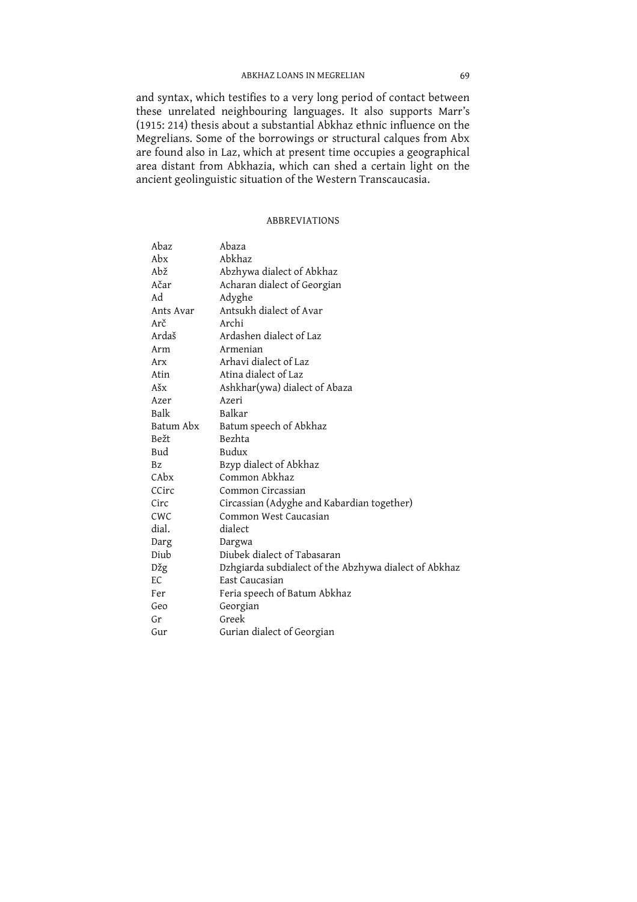and syntax, which testifies to a very long period of contact between these unrelated neighbouring languages. It also supports Marr's (1915: 214) thesis about a substantial Abkhaz ethnic influence on the Megrelians. Some of the borrowings or structural calques from Abx are found also in Laz, which at present time occupies a geographical area distant from Abkhazia, which can shed a certain light on the ancient geolinguistic situation of the Western Transcaucasia.

#### **ABBREVIATIONS**

| Abaz      | Abaza                                                 |
|-----------|-------------------------------------------------------|
| Abx       | Abkhaz                                                |
| Abž       | Abzhywa dialect of Abkhaz                             |
| Ačar      | Acharan dialect of Georgian                           |
| Ad        | Adyghe                                                |
| Ants Avar | Antsukh dialect of Avar                               |
| Arč       | Archi                                                 |
| Ardaš     | Ardashen dialect of Laz                               |
| Arm       | Armenian                                              |
| Arx       | Arhavi dialect of Laz                                 |
| Atin      | Atina dialect of Laz                                  |
| Ašx       | Ashkhar(ywa) dialect of Abaza                         |
| Azer      | Azeri                                                 |
| Balk      | Balkar                                                |
| Batum Abx | Batum speech of Abkhaz                                |
| Bežt      | Bezhta                                                |
| Bud       | Budux                                                 |
| <b>Bz</b> | Bzyp dialect of Abkhaz                                |
| CAbx      | Common Abkhaz                                         |
| CCirc     | Common Circassian                                     |
| Circ      | Circassian (Adyghe and Kabardian together)            |
| CWC       | Common West Caucasian                                 |
| dial.     | dialect                                               |
| Darg      | Dargwa                                                |
| Diub      | Diubek dialect of Tabasaran                           |
| Džg       | Dzhgiarda subdialect of the Abzhywa dialect of Abkhaz |
| EC        | East Caucasian                                        |
| Fer       | Feria speech of Batum Abkhaz                          |
| Geo       | Georgian                                              |
| Gr        | Greek                                                 |
| Gur       | Gurian dialect of Georgian                            |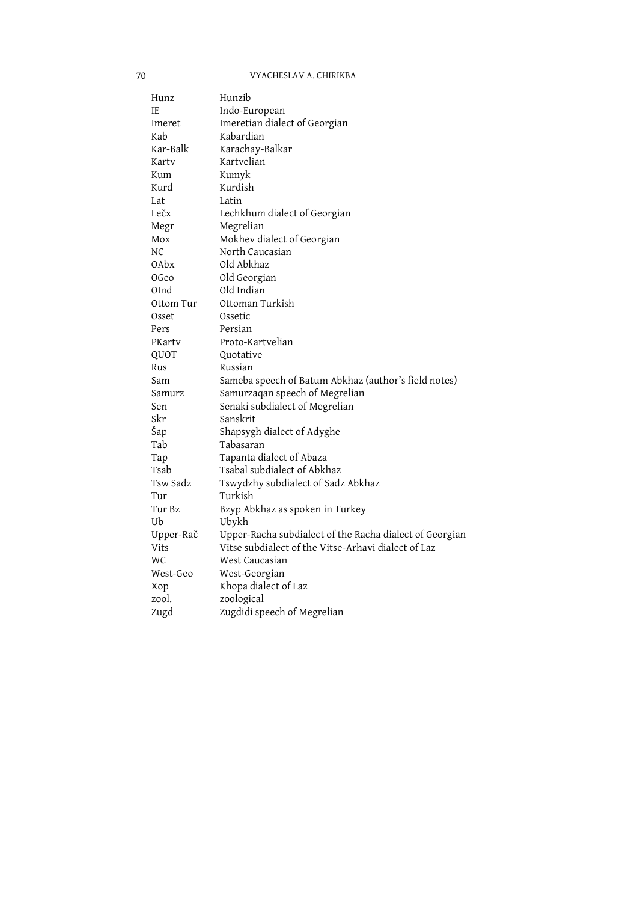#### VYACHESLAV A. CHIRIKBA

| Hunz      | Hunzib                                                  |
|-----------|---------------------------------------------------------|
| IE        | Indo-European                                           |
| Imeret    | Imeretian dialect of Georgian                           |
| Kab       | Kabardian                                               |
| Kar-Balk  | Karachay-Balkar                                         |
| Karty     | Kartvelian                                              |
| Kum       | Kumyk                                                   |
| Kurd      | Kurdish                                                 |
| Lat       | Latin                                                   |
| Lečx      | Lechkhum dialect of Georgian                            |
| Megr      | Megrelian                                               |
| Mox       | Mokhev dialect of Georgian                              |
| NC        | North Caucasian                                         |
| 0Abx      | Old Abkhaz                                              |
| OGeo      | Old Georgian                                            |
| OInd      | Old Indian                                              |
| Ottom Tur | Ottoman Turkish                                         |
| Osset     | Ossetic                                                 |
| Pers      | Persian                                                 |
| PKartv    | Proto-Kartvelian                                        |
| QUOT      | Quotative                                               |
| Rus       | Russian                                                 |
| Sam       | Sameba speech of Batum Abkhaz (author's field notes)    |
| Samurz    | Samurzaqan speech of Megrelian                          |
| Sen       | Senaki subdialect of Megrelian                          |
| Skr       | Sanskrit                                                |
| Šap       | Shapsygh dialect of Adyghe                              |
| Tab       | Tabasaran                                               |
| Tap       | Tapanta dialect of Abaza                                |
| Tsab      | Tsabal subdialect of Abkhaz                             |
| Tsw Sadz  | Tswydzhy subdialect of Sadz Abkhaz                      |
| Tur       | Turkish                                                 |
| Tur Bz    | Bzyp Abkhaz as spoken in Turkey                         |
| Ub        | Ubykh                                                   |
| Upper-Rač | Upper-Racha subdialect of the Racha dialect of Georgian |
| Vits      | Vitse subdialect of the Vitse-Arhavi dialect of Laz     |
| <b>WC</b> | West Caucasian                                          |
| West-Geo  | West-Georgian                                           |
| Xop       | Khopa dialect of Laz                                    |
| zool.     | zoological                                              |
| Zugd      | Zugdidi speech of Megrelian                             |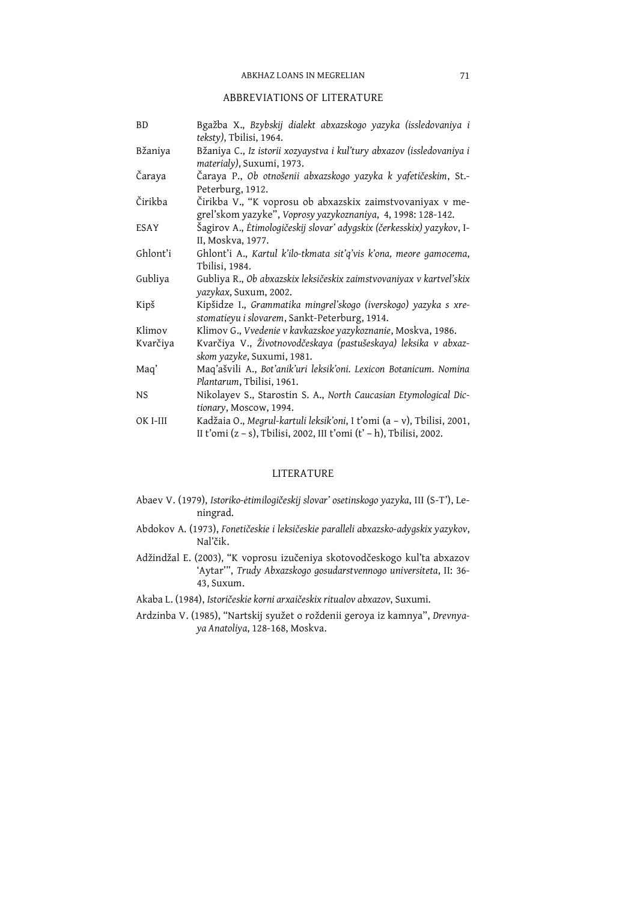#### ABBREVIATIONS OF LITERATURE

| <b>BD</b> | Bgažba X., Bzybskij dialekt abxazskogo yazyka (issledovaniya i<br>teksty), Tbilisi, 1964.                                                     |
|-----------|-----------------------------------------------------------------------------------------------------------------------------------------------|
| Bžaniya   | Bžaniya C., Iz istorii xozyaystva i kul'tury abxazov (issledovaniya i<br>materialy), Suxumi, 1973.                                            |
| Čaraya    | Čaraya P., Ob otnošenii abxazskogo yazyka k yafetičeskim, St.-<br>Peterburg, 1912.                                                            |
| Čirikba   | Čirikba V., "K voprosu ob abxazskix zaimstvovaniyax v me-<br>grel'skom yazyke", Voprosy yazykoznaniya, 4, 1998: 128-142.                      |
| ESAY      | Šagirov A., Ėtimologičeskij slovar' adygskix (čerkesskix) yazykov, I-<br>II, Moskva, 1977.                                                    |
| Ghlont'i  | Ghlont'i A., Kartul k'ilo-tkmata sit'q'vis k'ona, meore gamocema,<br>Tbilisi, 1984.                                                           |
| Gubliya   | Gubliya R., Ob abxazskix leksičeskix zaimstvovaniyax v kartvel'skix<br>yazykax, Suxum, 2002.                                                  |
| Kipš      | Kipšidze I., Grammatika mingrel'skogo (iverskogo) yazyka s xre-<br>stomatieyu i slovarem, Sankt-Peterburg, 1914.                              |
| Klimov    | Klimov G., Vvedenie v kavkazskoe yazykoznanie, Moskva, 1986.                                                                                  |
| Kvarčiya  | Kvarčiya V., Životnovodčeskaya (pastušeskaya) leksika v abxaz-<br>skom yazyke, Suxumi, 1981.                                                  |
| Maq'      | Maq'ašvili A., Bot'anik'uri leksik'oni. Lexicon Botanicum. Nomina<br>Plantarum, Tbilisi, 1961.                                                |
| <b>NS</b> | Nikolayev S., Starostin S. A., North Caucasian Etymological Dic-<br>tionary, Moscow, 1994.                                                    |
| OK I-III  | Kadžaia O., Megrul-kartuli leksik'oni, I t'omi (a - v), Tbilisi, 2001,<br>II t'omi (z - s), Tbilisi, 2002, III t'omi (t' - h), Tbilisi, 2002. |

#### LITERATURE

- Abaev V. (1979), Istoriko-ėtimilogičeskij slovar' osetinskogo yazyka, III (S-T'), Leningrad.
- Abdokov A. (1973), Fonetičeskie i leksičeskie paralleli abxazsko-adygskix yazykov, Nal'čik.
- Adžindžal E. (2003), "K voprosu izučeniya skotovodčeskogo kul'ta abxazov 'Aytar"', Trudy Abxazskogo gosudarstvennogo universiteta, II: 36-43, Suxum.
- Akaba L. (1984), Istoričeskie korni arxaičeskix ritualov abxazov, Suxumi.
- Ardzinba V. (1985), "Nartskij syužet o roždenii geroya iz kamnya", Drevnyaya Anatoliya, 128-168, Moskva.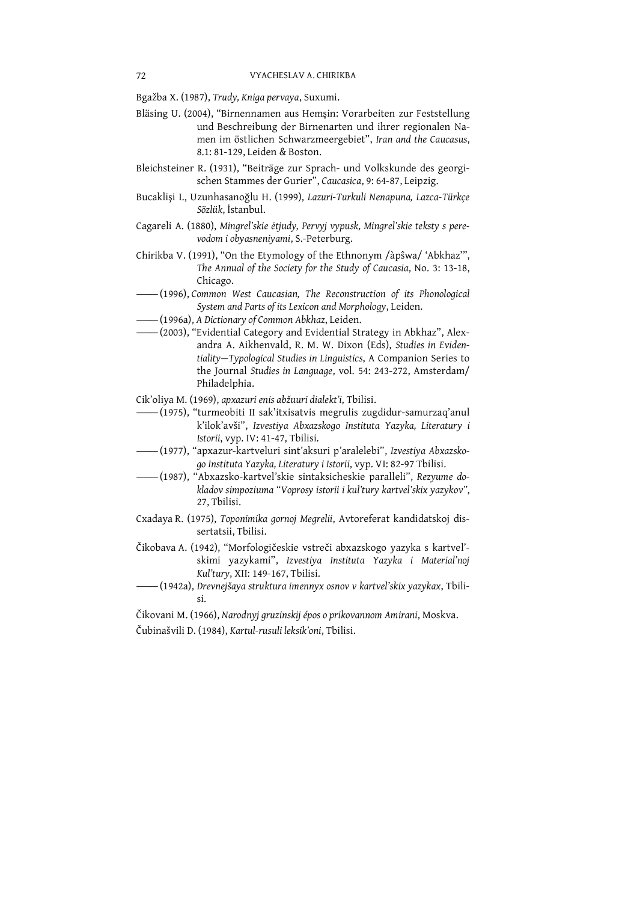Bgažba X. (1987), Trudy, Kniga pervaya, Suxumi.

- Bläsing U. (2004), "Birnennamen aus Hemsin: Vorarbeiten zur Feststellung und Beschreibung der Birnenarten und ihrer regionalen Namen im östlichen Schwarzmeergebiet", Iran and the Caucasus, 8.1: 81-129. Leiden & Boston.
- Bleichsteiner R. (1931), "Beiträge zur Sprach- und Volkskunde des georgischen Stammes der Gurier", Caucasica, 9: 64-87, Leipzig.
- Bucaklişi I., Uzunhasanoğlu H. (1999), Lazuri-Turkuli Nenapuna, Lazca-Türkçe Sözlük, İstanbul,
- Cagareli A. (1880), Mingrel'skie ėtjudy, Pervyj vypusk, Mingrel'skie teksty s perevodom i obyasneniyami, S.-Peterburg.
- Chirikba V. (1991), "On the Etymology of the Ethnonym /apswa/ 'Abkhaz", The Annual of the Society for the Study of Caucasia, No. 3: 13-18, Chicago.
- (1996), Common West Caucasian, The Reconstruction of its Phonological System and Parts of its Lexicon and Morphology, Leiden.
- (1996a), A Dictionary of Common Abkhaz, Leiden.
- (2003), "Evidential Category and Evidential Strategy in Abkhaz", Alexandra A. Aikhenvald, R. M. W. Dixon (Eds), Studies in Evidentiality-Typological Studies in Linguistics, A Companion Series to the Journal Studies in Language, vol. 54: 243-272, Amsterdam/ Philadelphia.
- Cik'oliya M. (1969), apxazuri enis abžuuri dialekt'i, Tbilisi.
- (1975), "turmeobiti II sak'itxisatvis megrulis zugdidur-samurzaq'anul k'ilok'avši", Izvestiya Abxazskogo Instituta Yazyka, Literatury i Istorii, vyp. IV: 41-47, Tbilisi.
- -(1977), "apxazur-kartveluri sint'aksuri p'aralelebi", Izvestiya Abxazskogo Instituta Yazyka, Literatury i Istorii, vyp. VI: 82-97 Tbilisi.
- -(1987), "Abxazsko-kartvel'skie sintaksicheskie paralleli", Rezyume dokladov simpoziuma "Voprosy istorii i kul'tury kartvel'skix yazykov", 27. Tbilisi.
- Cxadaya R. (1975), Toponimika gornoj Megrelii, Avtoreferat kandidatskoj dissertatsii, Tbilisi.
- Čikobava A. (1942), "Morfologičeskie vstreči abxazskogo yazyka s kartvel'skimi yazykami", Izvestiya Instituta Yazyka i Material'noj Kul'tury, XII: 149-167, Tbilisi.
- —— (1942a), Drevnejšaya struktura imennyx osnov v kartvel'skix yazykax, Tbilisi.

Čikovani M. (1966), Narodnyj gruzinskij épos o prikovannom Amirani, Moskva.

Čubinašvili D. (1984), Kartul-rusuli leksik'oni, Tbilisi.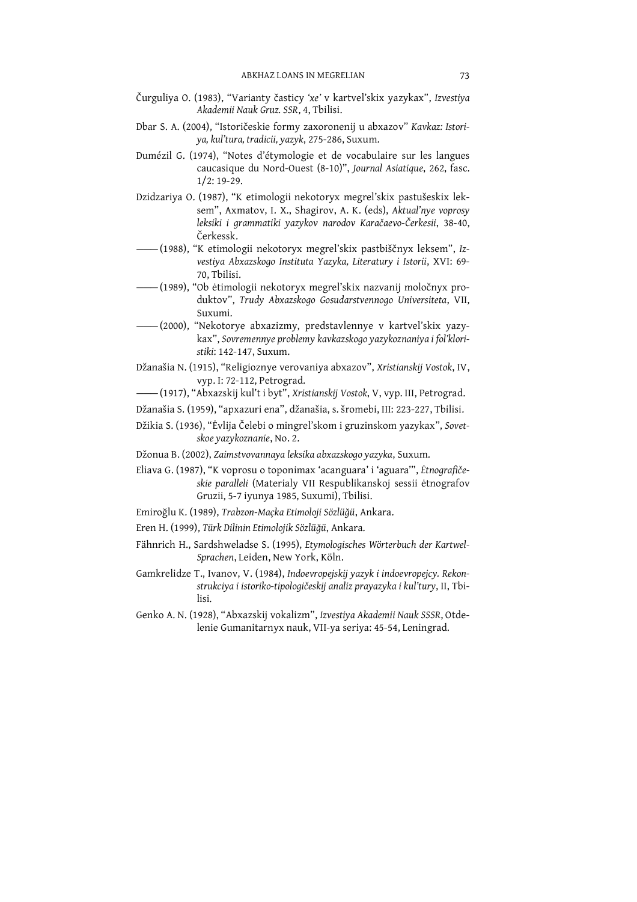- Čurguliya O. (1983), "Varianty časticy 'xe' v kartvel'skix yazykax", Izvestiya Akademii Nauk Gruz. SSR, 4, Tbilisi.
- Dbar S. A. (2004), "Istoričeskie formy zaxoronenij u abxazov" Kavkaz: Istoriya, kul'tura, tradicii, yazyk, 275-286, Suxum.
- Dumézil G. (1974), "Notes d'étymologie et de vocabulaire sur les langues caucasique du Nord-Ouest (8-10)", Journal Asiatique, 262, fasc.  $1/2$ : 19-29.
- Dzidzariya O. (1987), "K etimologii nekotoryx megrel'skix pastušeskix leksem", Axmatov, I. X., Shagirov, A. K. (eds), Aktual'nye voprosy leksiki i grammatiki yazykov narodov Karačaevo-Čerkesii, 38-40, Čerkessk
- (1988), "K etimologii nekotoryx megrel'skix pastbiščnyx leksem", Izvestiya Abxazskogo Instituta Yazyka, Literatury i Istorii, XVI: 69-70. Thilisi.
- (1989), "Ob ėtimologii nekotoryx megrel'skix nazvanij moločnyx produktov", Trudy Abxazskogo Gosudarstvennogo Universiteta, VII, Suxumi.
- -(2000), "Nekotorye abxazizmy, predstavlennye v kartvel'skix yazykax", Sovremennye problemy kavkazskogo yazykoznaniya i fol'kloristiki: 142-147, Suxum.
- Džanašia N. (1915), "Religioznye verovaniya abxazov", Xristianskij Vostok, IV, vyp. I: 72-112, Petrograd.
- -(1917), "Abxazskij kul't i byt", Xristianskij Vostok, V, vyp. III, Petrograd.
- Džanašia S. (1959), "apxazuri ena", džanašia, s. šromebi, III: 223-227, Tbilisi.
- Džikia S. (1936), "Ėvlija Čelebi o mingrel'skom i gruzinskom yazykax", Sovetskoe yazykoznanie, No. 2.
- Džonua B. (2002), Zaimstvovannaya leksika abxazskogo yazyka, Suxum.
- Eliava G. (1987), "K voprosu o toponimax 'acanguara' i 'aguara'", Etnografičeskie paralleli (Materialy VII Respublikanskoj sessii ėtnografov Gruzii, 5-7 iyunya 1985, Suxumi), Tbilisi.
- Emiroğlu K. (1989), Trabzon-Maçka Etimoloji Sözlüğü, Ankara.
- Eren H. (1999), Türk Dilinin Etimolojik Sözlüğü, Ankara.
- Fähnrich H., Sardshweladse S. (1995), Etymologisches Wörterbuch der Kartwel-Sprachen, Leiden, New York, Köln.
- Gamkrelidze T., Ivanov, V. (1984), Indoevropejskij yazyk i indoevropejcy. Rekonstrukciya i istoriko-tipologičeskij analiz prayazyka i kul'tury, II, Tbilisi.
- Genko A. N. (1928), "Abxazskij vokalizm", Izvestiya Akademii Nauk SSSR, Otdelenie Gumanitarnyx nauk, VII-ya seriya: 45-54, Leningrad.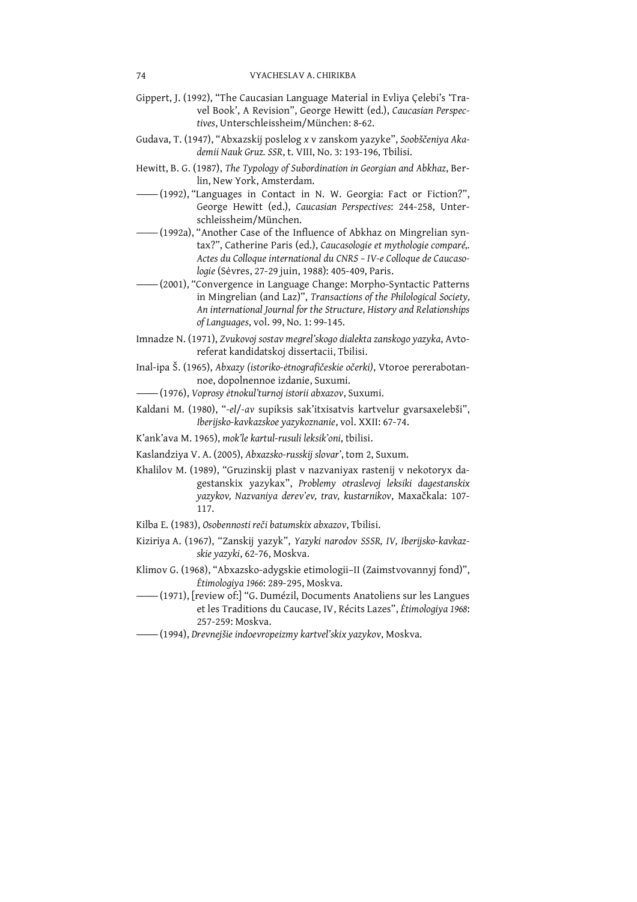- Gippert, J. (1992), "The Caucasian Language Material in Evliya Çelebi's 'Travel Book', A Revision", George Hewitt (ed.), Caucasian Perspectives. Unterschleissheim/München: 8-62.
- Gudava, T. (1947), "Abxazskij poslelog x v zanskom yazyke", Soobščeniya Akademii Nauk Gruz. SSR, t. VIII, No. 3: 193-196, Tbilisi.
- Hewitt, B. G. (1987), The Typology of Subordination in Georgian and Abkhaz, Berlin, New York, Amsterdam.
- -(1992), "Languages in Contact in N. W. Georgia: Fact or Fiction?", George Hewitt (ed.), Caucasian Perspectives: 244-258, Unterschleissheim/München.
- -(1992a), "Another Case of the Influence of Abkhaz on Mingrelian syntax?", Catherine Paris (ed.), Caucasologie et mythologie comparé,. Actes du Colloque international du CNRS - IV-e Colloque de Caucasologie (Sėvres, 27-29 juin, 1988): 405-409, Paris.
- -(2001), "Convergence in Language Change: Morpho-Syntactic Patterns in Mingrelian (and Laz)", Transactions of the Philological Society, An international Journal for the Structure, History and Relationships of Languages, vol. 99, No. 1: 99-145.
- Imnadze N. (1971), Zvukovoj sostav megrel'skogo dialekta zanskogo yazyka, Avtoreferat kandidatskoj dissertacii, Tbilisi.
- Inal-ipa Š. (1965), Abxazy (istoriko-ėtnografičeskie očerki), Vtoroe pererabotannoe, dopolnennoe izdanie, Suxumi.
- (1976), Voprosy ėtnokul'turnoj istorii abxazov, Suxumi.
- Kaldani M. (1980), "-el/-av supiksis sak'itxisatvis kartvelur gvarsaxelebši", Iberijsko-kavkazskoe yazykoznanie, vol. XXII: 67-74.
- K'ank'ava M. 1965), mok'le kartul-rusuli leksik'oni, tbilisi.
- Kaslandziya V. A. (2005), Abxazsko-russkij slovar', tom 2, Suxum.
- Khalilov M. (1989), "Gruzinskij plast v nazvaniyax rastenij v nekotoryx dagestanskix yazykax", Problemy otraslevoj leksiki dagestanskix yazykov, Nazvaniya derev'ev, trav, kustarnikov, Maxačkala: 107-117.
- Kilba E. (1983), Osobennosti reči batumskix abxazov, Tbilisi.
- Kiziriya A. (1967), "Zanskij yazyk", Yazyki narodov SSSR, IV, Iberijsko-kavkazskie yazyki, 62-76, Moskva.
- Klimov G. (1968), "Abxazsko-adygskie etimologii-II (Zaimstvovannyj fond)", Ėtimologiya 1966: 289-295, Moskva.
- (1971), [review of:] "G. Dumézil, Documents Anatoliens sur les Langues et les Traditions du Caucase, IV, Récits Lazes", Étimologiya 1968: 257-259: Moskva.
- (1994), Drevnejšie indoevropeizmy kartveľskix yazykov, Moskva.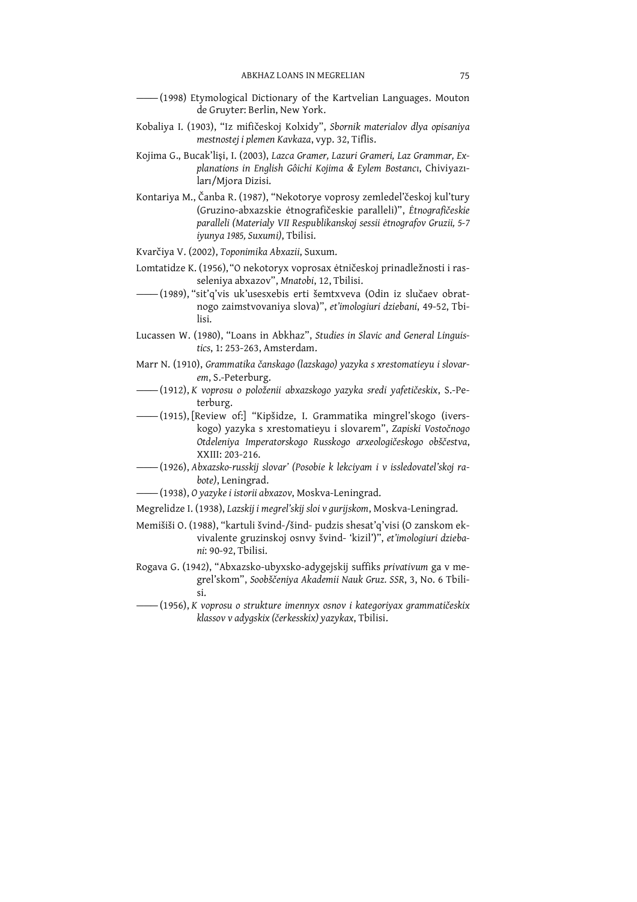- -(1998) Etymological Dictionary of the Kartvelian Languages. Mouton de Gruyter: Berlin, New York.
- Kobaliya I. (1903), "Iz mifičeskoj Kolxidy", Sbornik materialov dlya opisaniya mestnostej i plemen Kavkaza, vyp. 32, Tiflis.
- Kojima G., Bucak'lişi, I. (2003), Lazca Gramer, Lazuri Grameri, Laz Grammar, Explanations in English Gôichi Kojima & Eylem Bostancı, Chiviyazıları/Mjora Dizisi.
- Kontariya M., Čanba R. (1987), "Nekotorye voprosy zemledel'českoj kul'tury (Gruzino-abxazskie ėtnografičeskie paralleli)", Ėtnografičeskie paralleli (Materialy VII Respublikanskoj sessii ėtnografov Gruzii, 5-7 iyunya 1985, Suxumi), Tbilisi.
- Kvarčiya V. (2002), Toponimika Abxazii, Suxum.
- Lomtatidze K. (1956), "O nekotoryx voprosax ėtničeskoj prinadležnosti i rasseleniya abxazov", Mnatobi, 12, Tbilisi.
- (1989), "sit'q'vis uk'usesxebis erti šemtxveva (Odin iz slučaev obratnogo zaimstvovaniya slova)", et'imologiuri dziebani, 49-52, Tbilisi.
- Lucassen W. (1980), "Loans in Abkhaz", Studies in Slavic and General Linguistics, 1: 253-263, Amsterdam.
- Marr N. (1910), Grammatika čanskago (lazskago) yazyka s xrestomatieyu i slovarem, S.-Peterburg.
- (1912), K voprosu o položenii abxazskogo yazyka sredi yafetičeskix, S.-Peterburg.
- kogo) yazyka s xrestomatieyu i slovarem", Zapiski Vostočnogo Otdeleniya Imperatorskogo Russkogo arxeologičeskogo obščestva, XXIII: 203-216.
- -(1926), Abxazsko-russkij slovar' (Posobie k lekciyam i v issledovateľskoj rabote), Leningrad.
- (1938), O yazyke i istorii abxazov, Moskva-Leningrad.

Megrelidze I. (1938), Lazskij i megrel'skij sloi v gurijskom, Moskva-Leningrad.

- Memišiši O. (1988), "kartuli švind-/šind- pudzis shesať q'visi (O zanskom ekvivalente gruzinskoj osnvy švind- 'kizil')", et'imologiuri dziebani: 90-92. Tbilisi.
- Rogava G. (1942), "Abxazsko-ubyxsko-adygejskij suffiks privativum ga v megrel'skom", Soobščeniya Akademii Nauk Gruz. SSR, 3, No. 6 Tbilisi.
- (1956), K voprosu o strukture imennyx osnov i kategoriyax grammatičeskix klassov v adygskix (čerkesskix) yazykax, Tbilisi.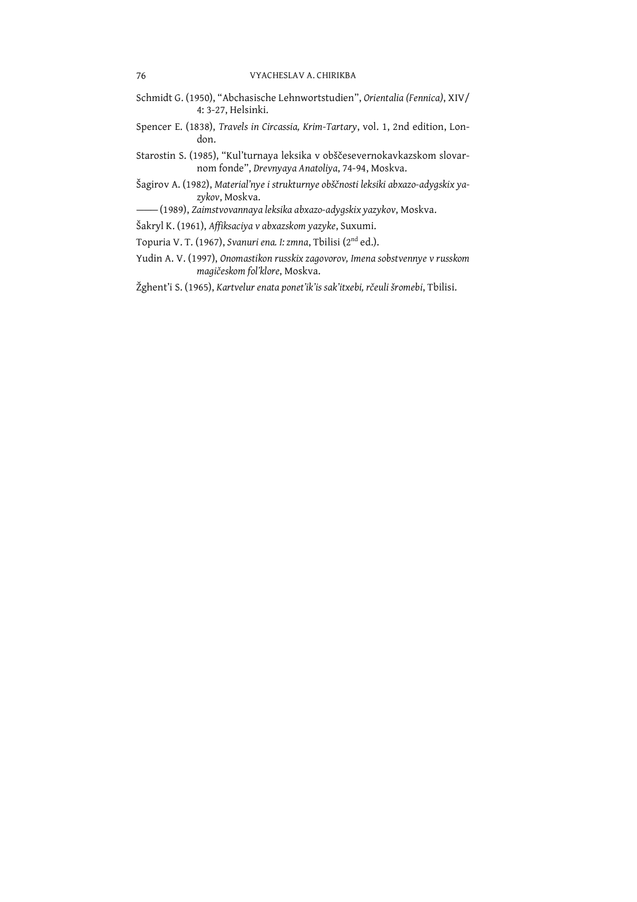- Schmidt G. (1950), "Abchasische Lehnwortstudien", Orientalia (Fennica), XIV/ 4: 3-27, Helsinki.
- Spencer E. (1838), Travels in Circassia, Krim-Tartary, vol. 1, 2nd edition, London.
- Starostin S. (1985), "Kul'turnaya leksika v obščesevernokavkazskom slovarnom fonde", Drevnyaya Anatoliya, 74-94, Moskva.
- Šagirov A. (1982), Material'nye i strukturnye obščnosti leksiki abxazo-adygskix yazvkov, Moskva.
- (1989), Zaimstvovannaya leksika abxazo-adygskix yazykov, Moskva.
- Šakryl K. (1961), Affiksaciya v abxazskom yazyke, Suxumi.
- Topuria V. T. (1967), Svanuri ena. I: zmna, Tbilisi (2<sup>nd</sup> ed.).
- Yudin A. V. (1997), Onomastikon russkix zagovorov, Imena sobstvennye v russkom magičeskom fol'klore, Moskva.
- Žghent'i S. (1965), Kartvelur enata ponet'ik'is sak'itxebi, rčeuli šromebi, Tbilisi.